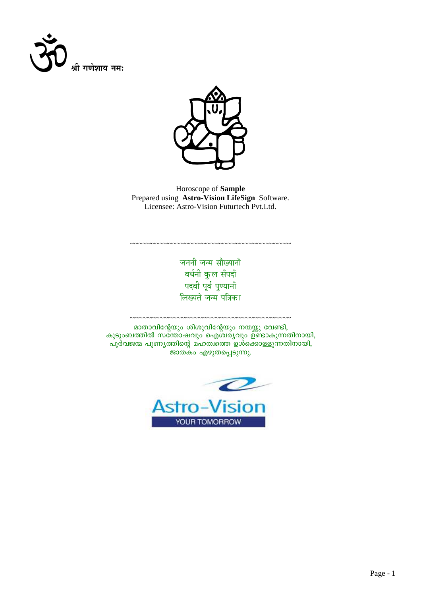



Horoscope of Sample Prepared using Astro-Vision LifeSign Software. Licensee: Astro-Vision Futurtech Pvt.Ltd.

> जननी जन्म सौख्यानाँ वर्धनी कुल सँपदाँ पदवी पूर्व पुण्यानाँ लिख्यते जन्म पत्रिका

~~~~~~~~~~~~~~~~~~~~~~~~~~~~~~~~

മാതാവിന്റേയും ശിശുവിന്റേയും നന്മയ്ക്കു വേണ്ടി, കുടുംബത്തിൽ സന്തോഷവും ഐശ്വര്യവും ഉണ്ടാകുന്നതിനായി, പൂർവജന്മ പുണ്യത്തിന്റെ മഹത്വത്തെ ഉൾക്കൊള്ളുന്നതിനായി, ജാതകം എഴുതപ്പെടുന്നു.

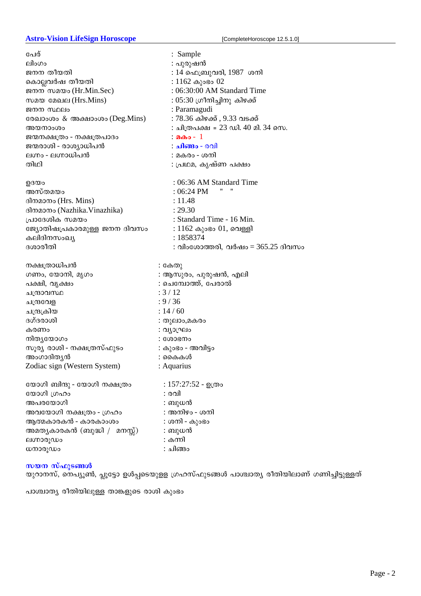# Astro-Vision LifeSign Horoscope **by Complete Horoscope 12.5.1.0**]

| പേര്                          | : Sample                           |
|-------------------------------|------------------------------------|
| ലിംഗം                         | : പുരുഷൻ                           |
| ജനന തീയതി                     | : 14 ഫെബ്രുവരി, 1987  ശനി          |
| കൊല്ലവർഷ തീയതി                | $: 1162 \omega$ ുംഭം 02            |
| ജനന സമയം (Hr.Min.Sec)         | : 06:30:00 AM Standard Time        |
| സമയ മേഖല (Hrs.Mins)           | : 05:30 ഗ്രീനിച്ചിനു കിഴക്ക്       |
| ജനന സ്ഥലം                     | : Paramagudi                       |
| രേഖാംശം & അക്ഷാംശം (Deg.Mins) | : 78.36 കിഴക്ക് , 9.33 വടക്ക്      |
| അയനാംശം                       | : ചിത്രപക്ഷ = 23 ഡി. 40 മി. 34 സെ. |
| ജന്മനക്ഷത്രം - നക്ഷത്രപാദം    | : മകം - 1                          |
| ജന്മരാശി - രാശ്യാധിപൻ         | <b>: ചിങ്ങം</b> - രവി              |
| ലഗ്നം - ലഗ്നാധിപൻ             | : മകരം - ശനി                       |
| തിഥി                          | ∶ പ്രഥമ, കൃഷ്ണ പക്ഷം               |
|                               |                                    |
| ഉദയം                          | : 06:36 AM Standard Time           |
| അസ്തമയം                       | $:06:24$ PM                        |
| ദിനമാനം (Hrs. Mins)           | : 11.48                            |
| ദിനമാനം (Nazhika.Vinazhika)   | : 29.30                            |
| പ്രാദേശിക സമയം                | : Standard Time - 16 Min.          |
| ജ്യോതിഷപ്രകാരമുള്ള ജനന ദിവസം  | $: 1162 \omega$ ംഭം $01$ , വെള്ളി  |
| കലിദിനസംഖ്യ                   | : 1858374                          |
| ദശാരീതി                       | : വിംശോത്തരി, വർഷം = 365.25 ദിവസം  |
|                               |                                    |
|                               |                                    |
|                               |                                    |
| നക്ഷത്രാധിപൻ                  | : കേതു                             |
| ഗണം, യോനി, മൃഗം               | : ആസുരം, പുരുഷൻ, എലി               |
| പക്ഷി, വൃക്ഷം                 | : ചെമ്പോത്ത്, പേരാൽ<br>: 3 / 12    |
| ചന്ദ്രാവസ്ഥ                   | : 9 / 36                           |
| ചന്ദ്രവേള                     | : 14/60                            |
| ചന്ദ്രക്രിയ                   |                                    |
| ദഗ്ദരാശി<br>കരണം              | : തുലാം,മകരം                       |
|                               | : വ്യാഘ്രം<br>: ശോഭനം              |
| നിതൃയോഗം                      |                                    |
| സൂര്യ രാശി - നക്ഷത്രസ്ഫുടം    | : കുംഭം - അവിട്ടം                  |
| അംഗാദിതൃൻ                     | : കൈകൾ                             |
| Zodiac sign (Western System)  | : Aquarius                         |
|                               |                                    |
| യോഗി ബിന്ദു - യോഗി നക്ഷത്രം   | : 157:27:52 - ഉത്രം<br>: രവി       |
| യോഗി ഗ്രഹം                    |                                    |
| അപരയോഗി                       | : ബുധൻ                             |
| അവയോഗി നക്ഷത്രം - ഗ്രഹം       | : അനിഴം - ശനി                      |
| ആത്മകാരകൻ - കാരകാംശം          | : ശനി - കുംഭം                      |
| അമതൃകാരകൻ (ബുദ്ധി /  മനസ്സ്)  | : ബുധൻ<br>: കന്നി                  |
| ലഗ്നാരൂഡം<br>ധനാരൂഡം          | : ചിങ്ങം                           |

# സയന സ്ഫുടങ്ങൾ

യുറാനസ്, നെപ്യൂൺ, പ്ലൂട്ടോ ഉൾപ്പടെയുളള ശ്രഹസ്ഫുടങ്ങൾ പാശ്ചാത്യ രീതിയിലാണ് ഗണിച്ചിട്ടുള്ളത്

പാശ്ചാത്യ രീതിയിലുള്ള താങ്കളുടെ രാശി കുംഭം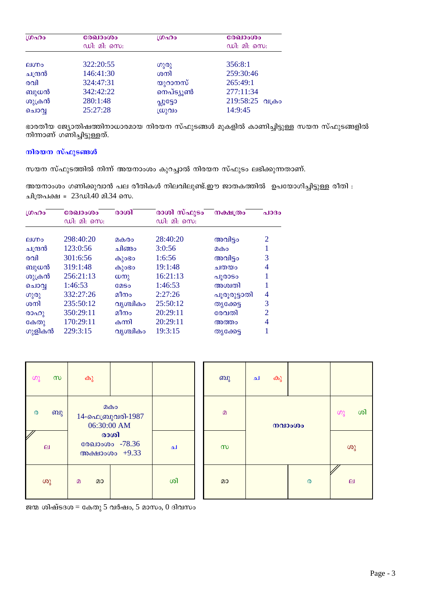| ഗ്രഹം        | രേഖാംശം     | ശ്രഹം     | രേഖാംശം           |
|--------------|-------------|-----------|-------------------|
|              | ഡി: മി: സെ: |           | ഡി: മി: സെ:       |
| <b>AIODO</b> | 322:20:55   | ഗുരു      | 356:8:1           |
| ചന്ദ്രൻ      | 146:41:30   | ശനി       | 259:30:46         |
| രവി          | 324:47:31   | യുറാനസ്   | 265:49:1          |
| ബുധൻ         | 342:42:22   | നെപ്ട്യൂൺ | 277:11:34         |
| ശുക്രൻ       | 280:1:48    | പ്പൂട്ടോ  | 219:58:25<br>വികാ |
| ചൊവ          | 25:27:28    | സ്രുവം    | 14:9:45           |

ഭാരതീയ ജ്യോതിഷത്തിനാധാരമായ നിരയന സ്ഫുടങ്ങൾ മുകളിൽ കാണിച്ചിട്ടുള്ള സയന സ്ഫുടങ്ങളിൽ നിന്നാണ് ഗണിച്ചിട്ടുള്ളത്.

# നിരയന സ്ഫുടങ്ങൾ

സയന സ്ഫുടത്തിൽ നിന്ന് അയനാംശം കുറച്ചാൽ നിരയന സ്ഫുടം ലഭിക്കുന്നതാണ്.

അയനാംശം ഗണിക്കുവാൻ പല രീതികൾ നിലവിലുണ്ട്.ഈ ജാതകത്തിൽ ഉപയോഗിച്ചിട്ടുള്ള രീതി : ചിത്രപക്ഷ = 23ഡി.40 മി.34 സെ.

| LOADO   | രേഖാംശം<br>ഡി: മി: സെ: | രാശി         | രാശി സ്ഫുടം<br>ഡി: മി: സെ: | നക്ഷത്രം     | പാദം           |
|---------|------------------------|--------------|----------------------------|--------------|----------------|
|         |                        |              |                            |              |                |
| elmo    | 298:40:20              | മകരം         | 28:40:20                   | അവിട്ടം      | 2              |
| ചന്ദ്രൻ | 123:0:56               | ചിങ്ങപ       | 3:0:56                     | മകം          | 1              |
| രവി     | 301:6:56               | കുാഭാ        | 1:6:56                     | അവിട്ടം      | 3              |
| ബുധൻ    | 319:1:48               | കുാഭാ        | 19:1:48                    | ചതയം         | 4              |
| ശുക്രൻ  | 256:21:13              | $(\omega_0)$ | 16:21:13                   | പൂരാടം       |                |
| ചൊവൃ    | 1:46:53                | <b>COSO</b>  | 1:46:53                    | അശ്വതി       |                |
| ഗുരു    | 332:27:26              | മീനം         | 2:27:26                    | പൂരൂരുട്ടാതി | 4              |
| ശനി     | 235:50:12              | വൃശ്ചികം     | 25:50:12                   | തൃക്കേട്ട    | 3              |
| രാഹു    | 350:29:11              | മീനം         | 20:29:11                   | രേവതി        | $\overline{2}$ |
| കേതു    | 170:29:11              | കന്നി        | 20:29:11                   | അത്തം        | 4              |
| ഗുളികൻ  | 229:3:15               | വൃശ്ചികം     | 19:3:15                    | തൃക്കേട്ട    |                |

| ပာ္လ                  | $\infty$                  | കു                                       |    | ബു           | ച | കു |          |                           |  |
|-----------------------|---------------------------|------------------------------------------|----|--------------|---|----|----------|---------------------------|--|
| $\boldsymbol{\omega}$ | ബു                        | இது<br>14-ഫെബ്രുവരി-1987<br>06:30:00 AM  |    | $\mathbf{D}$ |   |    | നവാംശം   | ശി<br>ဟွ                  |  |
|                       | $\boldsymbol{\mathsf{e}}$ | രാശി<br>രേഖാംശം -78.36<br>അക്ഷാംശം +9.33 | ച  | $\infty$     |   |    |          | ശു                        |  |
|                       | ശു                        | $\Omega$<br>മാ                           | ശി | മാ           |   |    | $\omega$ | $\boldsymbol{\mathsf{e}}$ |  |

ജന്മ ശിഷ്ടദശ $=$  കേതു 5 വർഷം, 5 മാസം, 0 ദിവസം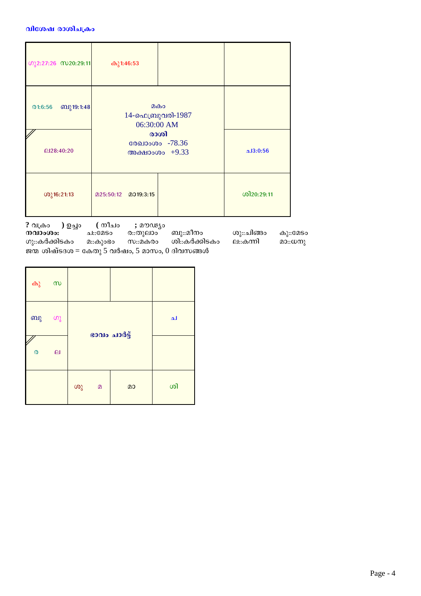## വിശേഷ രാശിചക്രം

| <b><i>S</i></b> <sub>2:27:26 <b>C</b><sub>20:29:11</sub></sub> | കു1:46:53                                |                  |            |
|----------------------------------------------------------------|------------------------------------------|------------------|------------|
| ബു19:1:48<br>@1:6:56                                           | മകം<br>14-ഫെബ്രുവരി-1987<br>06:30:00 AM  |                  |            |
| @28:40:20                                                      | രാശി<br>രേഖാംശം -78.36<br>അക്ഷാംശം +9.33 | $\Delta$ 13:0:56 |            |
| $(00)$ 16:21:13                                                | 205:50:12 2019:3:15                      |                  | ശി20:29:11 |

? വക്രം ( നീചം ) ഉച്ചം ; മൗഢ്യം  $\overline{0}$   $\overline{0}$   $\overline{0}$   $\overline{0}$   $\overline{0}$   $\overline{0}$   $\overline{0}$   $\overline{0}$   $\overline{0}$   $\overline{0}$   $\overline{0}$   $\overline{0}$   $\overline{0}$   $\overline{0}$   $\overline{0}$   $\overline{0}$   $\overline{0}$   $\overline{0}$   $\overline{0}$   $\overline{0}$   $\overline{0}$   $\overline{0}$   $\overline{0}$   $\overline{0}$   $\overline{$ ര∷തുലാം` ബു::മീനം ശു∷ചിങ്ങം ച::മേടം സ::മകരം ശി::കർക്കിടകം ല∷കന്നി ഗു::കർക്കിടകം മ::കുാഭാ ജന്മ ശിഷ്ടദശ $=$  കേതു 5 വർഷം, 5 മാസം, 0 ദിവസങ്ങൾ

| കു സ                       |              |    |   |              |    |
|----------------------------|--------------|----|---|--------------|----|
| ബു                         | ഗു           |    |   | ഭാവം ചാർട്ട് | ച  |
| $\boldsymbol{\mathcal{O}}$ | $\mathbf{p}$ |    |   |              |    |
|                            |              | ശു | മ | മാ           | ശി |

കു::മേടം മാ::ധനു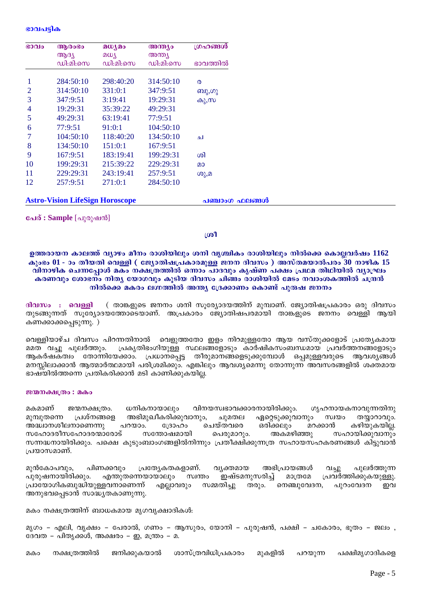#### ഭാവപട്ടിക

| ഭാവം           | ആരാഭാ<br>ആദ്യ                          | മധ്യമം<br>മധ്യ | അന്ത്യം<br>അന്ത്യ | ഗ്രഹങ്ങൾ       |
|----------------|----------------------------------------|----------------|-------------------|----------------|
|                | ഡി:മി:സെ                               | ഡി:മി:സെ       | ഡി:മി:സെ          | ഭാവത്തിൽ       |
|                |                                        |                |                   |                |
| 1              | 284:50:10                              | 298:40:20      | 314:50:10         | $\Omega$       |
| $\overline{2}$ | 314:50:10                              | 331:0:1        | 347:9:51          | ബു,ഗു          |
| 3              | 347:9:51                               | 3:19:41        | 19:29:31          | കു,സ           |
| 4              | 19:29:31                               | 35:39:22       | 49:29:31          |                |
| 5              | 49:29:31                               | 63:19:41       | 77:9:51           |                |
| 6              | 77:9:51                                | 91:0:1         | 104:50:10         |                |
| 7              | 104:50:10                              | 118:40:20      | 134:50:10         | ച              |
| 8              | 134:50:10                              | 151:0:1        | 167:9:51          |                |
| 9              | 167:9:51                               | 183:19:41      | 199:29:31         | ശി             |
| 10             | 199:29:31                              | 215:39:22      | 229:29:31         | മാ             |
| 11             | 229:29:31                              | 243:19:41      | 257:9:51          | ശു,മ           |
| 12             | 257:9:51                               | 271:0:1        | 284:50:10         |                |
|                |                                        |                |                   |                |
|                | <b>Astro-Vision LifeSign Horoscope</b> |                |                   | പഞ്ചാംഗ ഫലങ്ങൾ |

പേര് : Sample [പുരുഷൻ]

### $1001$

ഉത്തരായന കാലത്ത് വ്യാഴം മീനം രാശിയിലും ശനി വൃശ്ചികം രാശിയിലും നിൽക്കെ കൊല്ലവർഷം 1162 കൂംഭം  $01$  - ാം തീയതി വെള്ളി ( ജ്യോതിഷപ്രകാരമുള്ള ജനന ദിവസം ) അസ്തമയാൽപരം 30 നാഴിക 15 വിനാഴിക ചെന്നപ്പോൾ മകം നക്ഷത്രത്തിൽ ഒന്നാം പാദവും കൃഷ്ണ പക്ഷം പ്രഥമ തിഥിയിൽ വ്യാഘ്രം കരണവും ശോഭനം നിത്യ യോഗവും കുടിയ ദിവസം ചിങ്ങം രാശിയിൽ മേടം നവാംശകത്തിൽ ചന്ദ്രൻ നിൽക്കെ മകരം ലഗ്നത്തിൽ അന്ത്യ ദ്രേക്കാണം കൊണ്ട് പുരുഷ ജനനം

( താങ്കളുടെ ജനനം ശനി സുര്യോദയത്തിന് മുമ്പാണ്. ജ്യോതിഷപ്രകാരം ഒരു ദിവസം ദിവസം : വെള്ളി തുടങ്ങുന്നത് സൂര്യോദയത്തോടെയാണ്. അപ്രകാരം ജ്യോതിഷപരമായി താങ്കളുടെ ജനനം വെള്ളി ആയി കണക്കാക്കപ്പെടുന്നു.)

വെള്ളിയാഴ്ച ദിവസം പിറന്നതിനാൽ വെളുത്തതോ ഇളം നിറമുള്ളതോ ആയ വസ്തുക്കളോട് പ്രത്യേകമായ പ്രകൃതിഭംഗിയുള്ള സ്ഥലങ്ങളോടും കാർഷികസംബന്ധമായ പ്രവർത്തനങ്ങളോടും മമത വച്ചു പുലർത്തും. ആകർഷകത്വം തോന്നിയേക്കാം. പ്രധാനപ്പെട്ട തീരുമാനങ്ങളെടുക്കുമ്പോൾ ഒപ്പമുള്ളവരുടെ ആവശ്യങ്ങൾ മനസ്സിലാക്കാൻ ആത്മാർത്ഥമായി പരിശ്രമിക്കും. എങ്കിലും ആവശ്യമെന്നു തോന്നുന്ന അവസരങ്ങളിൽ ശക്തമായ ഭാഷയിൽത്തന്നെ പ്രതികരിക്കാൻ മടി കാണിക്കുകയില്ല.

#### ജന്മനക്ഷത്രം : മകം

ധനികനായാലും മകമാണ് ജന്മനക്ഷത്രം. വിനയസ്വഭാവക്കാരനായിരിക്കും. ഗ്യഹനായകനാവുന്നതിനു ഏറ്റെടുക്കുവാനും മൂമ്പുതന്നെ പ്രശ്നങ്ങളെ അഭിമുഖീകരിക്കുവാനും. സ്വയം തയാറാവും. ചുമതല പറയാം. ഒരിക്കലും അദ്ധ്വാനശീലനാണെന്നു ചെയ്തവരെ മറക്കാൻ കഴിയുകയില്ല.  $O(3000)$ സഹോദരീസഹോദരന്മാരോട് സന്തോഷമായി പെരുമാറും. അകമഴിഞ്ഞു സഹായിക്കുവാനും സന്നദ്ധനായിരിക്കും. പക്ഷെ കുടുംബാംഗങ്ങളിൽനിന്നും പ്രതീക്ഷിക്കുന്നത്ര സഹായസഹകരണങ്ങൾ കിട്ടുവാൻ പ്രയാസമാണ്.

പിണക്കവും പ്രത്യേകതകളാണ്. വ്യക്തമായ അഭിപ്രായങ്ങൾ മുൻകോപവും, വച്ചു പുലർത്തുന്ന പുരുഷനായിരിക്കും. എന്തുതന്നെയായാലും സ്വന്തം ഇഷ്ടമനുസരിച്ച് മാത്രമേ പ്രവർത്തിക്കുകയുള്ളു. പ്രായോഗികബുദ്ധിയുള്ളവനാണെന്ന് എല്ലാവരും സമ്മതിച്ചു തരും. നെഞ്ചുവേദന, പുറംവേദന ഩവ അനുഭവപ്പെടാൻ സാദ്ധ്യതകാണുന്നു.

മകം നക്ഷത്രത്തിന് ബാധകമായ മൃഗവൃക്ഷാദികൾ:

മൃഗം – എലി, വൃക്ഷം – പേരാൽ, ഗണം – ആസുരം, യോനി – പുരുഷൻ, പക്ഷി – ചകോരം, ഭൂതം – ജലം , ദേവത – പിതൃക്കൾ, അക്ഷരം – ഇ, മന്ത്രം – മ.

ശാസ്ത്രവിധിപ്രകാരം നക്ഷത്രത്തിൽ ജനിക്കുകയാൽ മുകളിൽ പക്ഷിമൃഗാദികളെ മകവ പറയുന്ന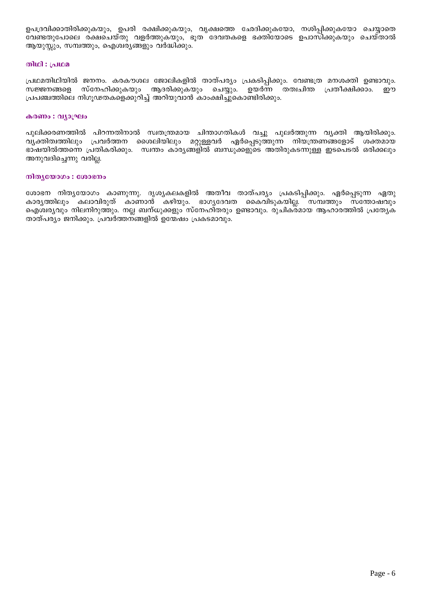ഉപദ്രവിക്കാതിരിക്കുകയും, ഉപരി രക്ഷിക്കുകയും, വൃക്ഷത്തെ ഛേദിക്കുകയോ, നശിപ്പിക്കുകയോ ചെയ്യാതെ വേണ്ടതുപോലെ രക്ഷചെയ്തു വളർത്തുകയും, ഭൂത ദേവതകളെ ഭക്തിയോടെ ഉപാസിക്കുകയും ചെയ്താൽ ആയുസ്സും, സമ്പത്തും, ഐശ്വര്യങ്ങളും വർദ്ധിക്കും.

### **லிமி** : പ്രഥമ

പ്രഥമതിഥിയിൽ ജനനം. കരകൗശല ജോലികളിൽ താത്പര്യം പ്രകടിപ്പിക്കും. വേണ്ടത്ര മനശക്തി ഉണ്ടാവും. സജ്ജനങ്ങളെ സ്നേഹിക്കുകയും ആദരിക്കുകയും ചെയ്യും. ഉയർന്ന തത്വചിന്ത പ്രതീക്ഷിക്കാം. ഈ പ്രപഞ്ചത്തിലെ നിഗൂഢതകളെക്കുറിച്ച് അറിയുവാൻ കാംക്ഷിച്ചുകൊണ്ടിരിക്കും.

#### കരണം : വ്യാഘ്രം

പുലിക്കരണത്തിൽ പിറന്നതിനാൽ സ്വതന്ത്രമായ ചിന്താഗതികൾ വച്ചു പുലർത്തുന്ന വൃക്തി ആയിരിക്കും. വ്യക്തിത്വത്തിലും പ്രവർത്തന ശൈലിയിലും മറ്റുള്ളവർ ഏർപ്പെടുത്തുന്ന നിയന്ത്രണങ്ങളോട് ശക്തമായ ഭാഷയിൽത്തന്നെ പ്രതികരിക്കും. സ്വന്തം കാര്യങ്ങളിൽ ബന്ധുക്കളുടെ അതിരുകടന്നുള്ള ഇടപെടൽ ഒരിക്കലും അനുവദിച്ചെന്നു വരില്ല.

#### നിത്യയോഗം : ശോഭനം

ശോഭന നിതൃയോഗം കാണുന്നു. ദൃശൃകലകളിൽ അതീവ താത്പര്യം പ്രകടിപ്പിക്കും. ഏർപ്പെടുന്ന ഏതു കാരൃത്തിലും കലാവിരുത് കാണാൻ കഴിയും. ഭാഗൃദേവത കൈവിടുകയില്ല. സമ്പത്തും സന്തോഷവും ഐശ്വര്യവും നിലനിറുത്തും. നല്ല ബന്ധുക്കളും സ്നേഹിതരും ഉണ്ടാവും. രുചികരമായ ആഹാരത്തിൽ പ്രത്യേക താത്പര്യം ജനിക്കും. പ്രവർത്തന്ങ്ങളിൽ ഉന്മേഷം പ്രകടമാവും.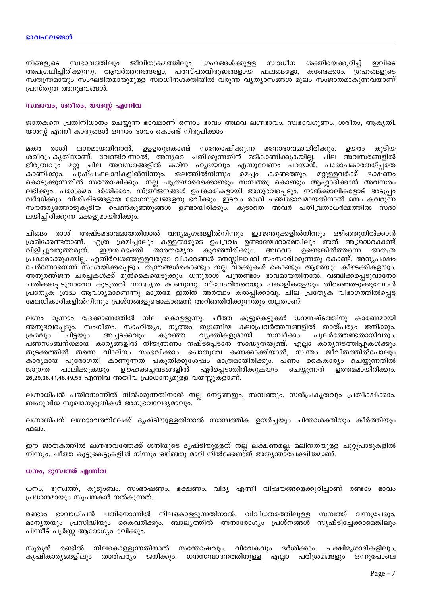നിങ്ങളുടെ സ്വഭാവത്തിലും ജീവിതക്രമത്തിലും ഗ്രഹങ്ങൾക്കുള്ള സ്വാധീന ശക്തിയെക്കുറിച്ച് ഇവിടെ അപഗ്രഥിച്ചിരിക്കുന്നു. ആവർത്തനങ്ങളോ, പരസ്പരവിരുദ്ധങ്ങളായ ഫലങ്ങളോ, കണ്ടേക്കാം. ഗ്രഹങ്ങളുടെ സ്വതന്ത്രമായും സംഘടിതമായുമുളള സ്വാധീനശക്തിയിൽ വരുന്ന വ്യത്യാസങ്ങൾ മൂലം സംജാതമാകുന്നവയാണ് പ്രസ്തുത അനുഭവങ്ങൾ.

### സ്വഭാവം, ശരീരം, യശസ്സ് എന്നിവ

ജാതകനെ പ്രതിനിധാനം ചെയ്യുന്ന ഭാവമാണ് ഒന്നാം ഭാവം അഥവ ലഗ്നഭാവം. സ്വഭാവഗുണം, ശരീരം, ആകൃതി, യശസ്സ് എന്നീ കാര്യങ്ങൾ ഒന്നാം ഭാവം കൊണ്ട് നിരൂപിക്കാം.

രാശി ലഗ്നമായതിനാൽ, ഉള്ളതുകൊണ്ട് സന്തോഷിക്കുന്ന മനോഭാവമായിരിക്കും. ഉയരം കുടിയ മകര ശരീരപ്രകൃതിയാണ്. വേണ്ടിവന്നാൽ, അനൃരെ ചതിക്കുന്നതിന് മടികാണിക്കുകയില്ല. ചില അവസരങ്ങളിൽ ഭീരുത്വവും മറ്റു ചില അവസരങ്ങളിൽ കഠിന ഹൃദയവും എന്നുവേണം പറയാൻ. പരോപകാരതത്പ്പരത കാണിക്കും. പുഷ്പഫലാദികളിൽനിന്നും, ജലത്തിൽനിന്നും മെച്ചം കണ്ടെത്തും. മറ്റുള്ളവർക്ക് ഭക്ഷണം കൊടുക്കുന്നതിൽ സന്തോഷിക്കും. നല്ല പുത്രന്മാരെക്കൊണ്ടും സമ്പത്തു കൊണ്ടും ആഹ്റാദിക്കാൻ അവസരം ലഭിക്കും. പരാക്രമം ദർശിക്കാം. സ്ത്രീജനങ്ങൾ ഉപകാരികളായി അനുഭവപ്പെടും. നാൽക്കാലികളോട് അടുപ്പം വർദ്ധിക്കും. വിശിഷ്ടങ്ങളായ ഭോഗസുഖങ്ങളനു ഭവിക്കും. ഇടവം രാശി പഞ്ച്മഭാവമായതിനാൽ മനം കവരുന്ന സൗന്ദര്യത്തോടുകൂടിയ പെൺകുഞ്ഞുങ്ങൾ ഉണ്ടായിരിക്കും. കൂടാതെ അവർ പതിവ്രതാധർമ്മത്തിൽ സദാ ലയിച്ചിരിക്കുന്ന മക്കളുമായിരിക്കും.

ചിങ്ങം രാശി അഷ്ടമഭാവമായതിനാൽ വന്യമൃഗങ്ങളിൽനിന്നും ഇഴജന്തുക്കളിൽനിന്നും ഒഴിഞ്ഞുനിൽക്കാൻ ശ്രമിക്കേണ്ടതാണ്. എത്ര ശ്രമിച്ചാലും കള്ളന്മാരുടെ ഉപദ്രവം ഉണ്ടായേക്കാമെങ്കിലും അത് അശ്രദ്ധകൊണ്ട്<br>വിളിച്ചുവരുത്തരുത്. ഈശ്വരഭക്തി താരതമ്യേന കുറഞ്ഞിരിക്കും. അഥവാ ഉണ്ടെങ്കിൽത്തന്നെ അതത്ര പ്രകടമാക്കുകയില്ല. എതിർവശത്തുളളവരുടെ വികാരങ്ങൾ മനസ്സിലാക്കി സംസാരിക്കുന്നതു കൊണ്ട്, അനൃപക്ഷം ചേർന്നോയെന്ന് സംശയിക്കപ്പെടും. തന്ത്രങ്ങൾകൊണ്ടും നല്ല വാക്കുകൾ കൊണ്ടും ആരേയും കീഴടക്കികളയും. അനുരഞ്ജന ചർച്ചകൾക്ക് മുൻകൈയെടുക്കും. ധനുരാശി ്പന്ത്രണ്ടാം ഭാവമായതിനാൽ, വഞ്ചിക്കപ്പെടുവാനോ ചതിക്കപ്പെടുവാനോ കൂടുതൽ സാദ്ധ്യത കാണുന്നു. സ്നേഹിതരെയും പങ്കാളികളേയും തിരഞ്ഞെടുക്കുമ്പോൾ പ്രത്യേക തുവശ്യമാണെന്നു മാത്രമേ ഇതിന് അർത്ഥം കൽപിക്കാവു. ചില പ്രത്യേക വിഭാഗത്തിൽപെട്ട മേലധികാരികളിൽനിന്നും പ്രശ്നങ്ങളുണ്ടാകാമെന്ന് അറിഞ്ഞിരിക്കുന്നതും നല്ലതാണ്.

ലഗ്നം മൂന്നാം ദ്രേക്കാണത്തിൽ നില കൊള്ളുന്നു. ചീത്ത കൂട്ടുകെട്ടുകൾ ധനനഷ്ടത്തിനു കാരണമായി അനുഭവപ്പെടും. സംഗീതം, സാഹിത്യം, നൃത്തം തുടങ്ങിയ കലാപ്രവർത്തനങ്ങളിൽ താത്പര്യം ജനിക്കും. വ്യക്തികളുമായി കുറഞ്ഞ സമ്പർക്കം പുലർത്തേണ്ടതായിവരും. ക്രമവും ചിട്ടയും അച്ചടക്കവും പണസംബന്ധമായ കാര്യങ്ങളിൽ നിയന്ത്രണം നഷ്ടപ്പെടാൻ സാദ്ധ്യതയുണ്ട്. എല്ലാ കാര്യനടത്തിപ്പുകൾക്കും തുടക്കത്തിൽ തന്നെ വിഘ്നം സംഭവിക്കാം. പൊതുവേ കണക്കാക്കിയാൽ, സ്വ്ന്തം ജീവിതത്തിൽപോലും കാര്യമായ പുരോഗതി കാണുന്നത് പകുതിക്കുശേഷം മാത്രമായിരിക്കും. പണം കൈകാര്യം ചെയ്യുന്നതിൽ ഊഹക്കച്ചവടങ്ങളിൽ ഏർപ്പെടാതിരിക്കുകയും ചെയ്യുന്നത് ഉത്തമമായിരിക്കും. ജാഗ്രത പാലിക്കുകയും 26,29,36,41,46,49,55 എന്നിവ അതീവ പ്രാധാന്യമുള്ള വയസ്സുക്ളാണ്.

ലഗ്നാധിപൻ പതിനൊന്നിൽ നിൽക്കുന്നതിനാൽ നല്ല നേട്ടങ്ങളും, സമ്പത്തും, സൽപ്രകൃതവും പ്രതീക്ഷിക്കാം. ബഹുവിധ സുഖാനുഭൂതികൾ അനുഭവവേദ്യമാവും.

ലഗ്നാധിപന് ലഗ്നഭാവത്തിലേക്ക് ദൃഷ്ടിയുള്ളതിനാൽ സാമ്പത്തിക ഉയർച്ചയും ചിന്താശക്തിയും കീർത്തിയും ഫലം.

ഈ ജാതകത്തിൽ ലഗ്നഭാവത്തേക്ക് ശനിയുടെ ദൃഷ്ടിയുള്ളത് നല്ല ലക്ഷണമല്ല. മലിനതയുള്ള ചുറ്റുപാടുകളിൽ നിന്നും, ചീത്ത കുട്ടുകെട്ടുകളിൽ നിന്നും ഒഴിഞ്ഞു മാറി നിൽക്കേണ്ടത് അതൃന്താപേക്ഷിതമാണ്.

### ധനം, ഭൂസ്വത്ത് എന്നിവ

ധനം, ഭൂസ്വത്ത്, കുടുംബം, സംഭാഷണം, ഭക്ഷണം, വിദ്യ എന്നീ വിഷയങ്ങളെക്കുറിച്ചാണ് രണ്ടാം ഭാവം പ്രധാനമായും സൂചനകൾ നൽകുന്നത്.

രണ്ടാം ഭാവാധിപൻ പതിനൊന്നിൽ നിലകൊള്ളുന്നതിനാൽ, വിവിധതരത്തിലുള്ള സമ്പത്ത് വന്നുചേരും. മാന്യതയും പ്രസിദ്ധിയും കൈവരിക്കും. ബാല്യത്തിൽ അനാരോഗ്യം പ്രശ്നങ്ങൾ സൃഷ്ടിച്ചേക്കാമെങ്കിലും പിന്നീട് പൂർണ്ണ ആരോഗ്യം ഭവിക്കും.

സൂര്യൻ രണ്ടിൽ നിലകൊള്ളുന്നതിനാൽ സന്തോഷവും, വിവേകവും ദർശിക്കാം. പക്ഷിമൃഗാദികളിലും, കൃഷികാര്യങ്ങളിലും താത്പര്യം ജനിക്കും. ധനസമ്പാദനത്തിനുള്ള എല്ലാ പരിശ്രമങ്ങളും ഒന്നുപോലെ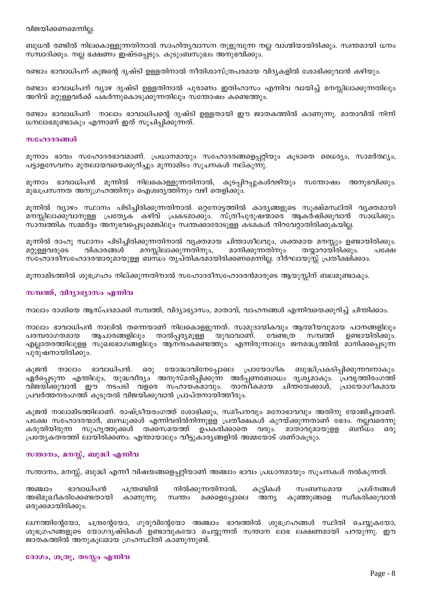ബുധൻ രണ്ടിൽ നിലകൊള്ളുന്നതിനാൽ സാഹിതൃവാസന തുളുമ്പുന്ന നല്ല വാഗ്മിയായിരിക്കും. സ്വന്തമായി ധനം സമ്പാദിക്കും. നല്ല ഭക്ഷണം ഇഷ്ടപ്പെടും. കുടുംബസുഖം അനുഭവിക്കും.

രണ്ടാം ഭാവാധിപന് കുജന്റെ ദൃഷ്ടി ഉള്ളതിനാൽ നീതിശാസ്ത്രപരമായ വിദൃകളിൽ ശോഭിക്കുവാൻ കഴിയും.

രണ്ടാം ഭാവാധിപന് വ്യാഴ ദൃഷ്ടി ഉള്ളതിനാൽ പുരാണം ഇതിഹാസം എന്നിവ വായിച്ച് മനസ്സിലാക്കുന്നതിലും അറിവ് മറ്റുള്ളവർക്ക് പകർന്നുകൊടുക്കുന്നതിലും സന്തോഷം കണ്ടെത്തും.

രണ്ടാം ഭാവാധിപന് നാലാം ഭാവാധിപന്റെ ദൃഷ്ടി ഉള്ളതായി ഈ ജാതകത്തിൽ കാണുന്നു. മാതാവിൽ നിന്ന് ധനലാഭമുണ്ടാകും എന്നാണ് ഇത് സൂചിപ്പിക്കുന്നത്.

#### സഹോദരങ്ങൾ

മൂന്നാം ഭാവം സഹോദരഭാവമാണ്. പ്രധാനമായും സഹോദരങ്ങളെപ്പറ്റിയും കൂടാതെ ധൈര്യം, സാമർത്ഥ്യം, പട്ടാളസേവനം മുതലായവയെക്കുറിച്ചും മൂന്നാമിടം സൂചനകൾ നല്കുന്നു.

മൂന്നാം ഭാവാധിപൻ മൂന്നിൽ നിലകൊള്ളുന്നതിനാൽ, കൂടപ്പിറപ്പുകൾവഴിയും സന്തോഷം അനുഭവിക്കും. മുഖപ്രസന്നത അനുഗ്രഹത്തിനും ഐശ്വര്യത്തിനും വഴി തെളിക്കും.

മൂന്നിൽ വ്യാഴം സ്ഥാനം പിടിച്ചിരിക്കുന്നതിനാൽ ഒറ്റനോട്ടത്തിൽ കാര്യങ്ങളുടെ സൂക്ഷ്മസ്ഥിതി വ്യക്തമായി മനസ്സിലാക്കുവാനുള്ള പ്രത്യേക കഴിവ് പ്രകടമാക്കും. സ്ത്രീപുരുഷന്മാരെ ആകർഷിക്കുവാൻ സാധിക്കും. സാമ്പത്തിക സമ്മർദ്ദം അനുഭവപ്പെടുമെങ്കിലും സ്വന്തക്കാരോടുള്ള കടമകൾ നിറവേറ്റാതിരിക്കുകയില്ല.

മൂന്നിൽ രാഹു സ്ഥാനം പിടിച്ചിരിക്കുന്നതിനാൽ വ്യക്തമായ ചിന്താശീലവും, ശക്തമായ മനസ്സും ഉണ്ടായിരിക്കും. മനസ്സിലാക്കുന്നതിനും, മറ്റുള്ളവരുടെ വികാരങ്ങൾ മാനിക്കുന്നതിനും തയ്യാറായിരിക്കും. പക്ഷേ സ്ഹോദരീസഹോദരന്മാരുമായുള്ള ബന്ധം തൃപ്തികരമായിരിക്കണമെന്നില്ല. ദീർഘായുസ്സ് പ്രതീക്ഷിക്കാം.

മൂന്നാമിടത്തിൽ ശുഭഗ്രഹം നില്ക്കുന്നതിനാൽ സഹോദരീസഹോദരൻമാരുടെ ആയുസ്സിന് ബലമുണ്ടാകും.

## സമ്പത്ത്, വിദ്യാഭ്യാസം എന്നിവ

നാലാം രാശിയെ ആസ്പദമാക്കി സമ്പത്ത്, വിദ്യാഭ്യാസം, മാതാവ്, വാഹനങ്ങൾ എന്നിവയെക്കുറിച്ച് ചിന്തിക്കാം.

നാലാം ഭാവാധിപൻ നാലിൽ തന്നെയാണ് നിലകൊളളുന്നത്. സാമുദായികവും ആത്മീയവുമായ പഠനങ്ങളിലും പരമ്പരാഗതമായ ആചാരങ്ങളിലും താൽപ്പര്യമ<u>ുള്ള</u> യുവാവാണ്. വേണ്ടത്ര സമ്പത്ത് ഉണ്ടായിരിക്കും. എല്ലാതരത്തിലുളള സുഖഭോഗങ്ങളിലും ആനന്ദംകണ്ടെത്തും. എന്നിരുന്നാലും ജനമദ്ധ്യത്തിൽ മാനിക്കപ്പെടുന്ന പുരുഷനായിരിക്കും.

ഭാവാധിപൻ. യോദ്ധാവിനേപ്പോലെ പ്രായോഗിക ബുദ്ധിപ്രകടിപ്പിക്കുന്നവനാകും. കുജൻ നാലാം ഒരു ഏർപ്പെടുന്ന എന്തിലും, യുദ്ധവീര്യം അനുസ്മരിപ്പിക്കുന്ന അർപ്പണബോധം ദൃശ്യമാകും. പ്രവൃത്തിരംഗത്ത് വിജയിക്കുവാൻ ഈ നടപടി വളരെ സഹായകമാവും. താത്വീകമായ ചിന്തയേക്കാൾ, പ്രായോഗീകമായ പ്രവർത്തനരംഗത്ത് കൂടുതൽ വിജയിക്കുവാൻ പ്രാപ്തനായിത്തീരും.

കുജൻ നാലാമിടത്തിലാണ്. രാഷ്ട്രീയരംഗത്ത് ശോഭിക്കും, സമീപനവും മനോഭാവവും അതിനു യോജിച്ചതാണ്. പക്ഷേ സഹോദരന്മാർ, ബന്ധുക്കൾ എന്നിവരിൽനിന്നുളള പ്രതീക്ഷകൾ കുറയ്ക്കുന്നതാണ് ഭേദം. നല്ലവരെന്നു കരുതിയിരുന്ന സുഹൃത്തുക്കൾ തക്കസമയത്ത് ഉപകരിക്കാതെ വരും. മാതാവുമായുളള ബന്ധം  $6301$ പ്രത്യേകതരത്തി ലായിരിക്കണം. എന്തായാലും വീട്ടുകാര്യങ്ങളിൽ അമ്മയോട് ശണ്ഠകൂടും.

#### സന്താനം, മനസ്സ്, ബുദ്ധി എന്നിവ

സന്താനം, മനസ്സ്, ബുദ്ധി എന്നീ വിഷയങ്ങളെപ്പറ്റിയാണ് അഞ്ചാം ഭാവം പ്രധാനമായും സൂചനകൾ നൽകുന്നത്.

കുട്ടികൾ ഭാവാധിപൻ പന്ത്രണ്ടിൽ നിൽക്കുന്നതിനാൽ, സംബന്ധമായ പ്രശ്നങ്ങൾ അഞ്ചാം അഭിമുഖീകരിക്കേണ്ടതായി കാണുന്നു. സ്വന്തം മക്കളെപ്പോലെ അന്യ കുഞ്ഞുങ്ങളെ സ്വീകരിക്കുവാൻ ഒരുക്കമായിരിക്കും.

ലഗ്നത്തിന്റേയോ, ചന്ദ്രന്റേയോ, ഗുരുവിന്റേയോ അഞ്ചാം ഭാവത്തിൽ ശുഭഗ്രഹങ്ങൾ സ്ഥിതി ചെയ്യുകയോ, ശുഭഗ്രഹങ്ങളുടെ യോഗദൃഷ്ടികൾ ഉണ്ടാവുകയോ ചെയ്യുന്നത് സന്താന ലാഭ ലക്ഷണമായി പറയുന്നു. ഈ ജാതകത്തിൽ അനുകൂലമായ ഗ്രഹസ്ഥിതി കാണുന്നുണ്ട്.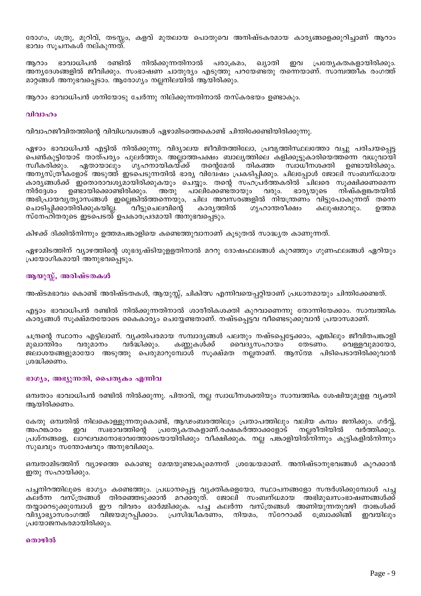രോഗം, ശത്രു, മുറിവ്, തടസ്സം, കളവ് മുതലായ പൊതുവെ അനിഷ്ടകരമായ കാരൃങ്ങളെക്കുറിച്ചാണ് ആറാം ഭാവം സൂചനകൾ നല്കുന്നത്.

ആറാം ഭാവാധിപൻ രണ്ടിൽ നിൽക്കുന്നതിനാൽ പരാക്രമം, ഖ്യാതി ഇവ പ്രത്യേകതകളായിരിക്കും. അന്യദേശങ്ങളിൽ ജീവിക്കും. സംഭാഷണ ചാതുര്യം എടുത്തു പറയേണ്ടതു തന്നെയാണ്. സാമ്പത്തീക രംഗത്ത് മാറ്റങ്ങൾ അനുഭവപ്പെടാം. ആരോഗ്യം നല്ലനിലയിൽ ആയിരിക്കും.

ആറാം ഭാവാധിപൻ ശനിയോടു ചേർന്നു നില്ക്കുന്നതിനാൽ തസ്കരഭയം ഉണ്ടാകും.

#### വിവാഹം

വിവാഹജീവിതത്തിന്റെ വിവിധവശങ്ങൾ ഏഴാമിടത്തെകൊണ്ട് ചിന്തിക്കേണ്ടിയിരിക്കുന്നു.

ഏഴാം ഭാവാധിപൻ എട്ടിൽ നിൽക്കുന്നു. വിദ്യാലയ ജീവിതത്തിലോ, പ്രവൃത്തിസ്ഥലത്തോ വച്ചു പരിചയപ്പെട്ട പെൺകുട്ടിയോട് താത്പര്യം പുലർത്തും. അല്ലാത്തപക്ഷം ബാല്യത്തിലെ കളിക്കൂട്ടുകാരിയെത്തന്നെ വധുവായി സ്വീകരിക്കും. ഏതായാലും ഗൃഹനായികയ്ക്ക് തന്റെമേൽ തികഞ്ഞ സ്വാധീനശക്തി ഉണ്ടായിരിക്കും. അന്യസ്ത്രീകളോട് അടുത്ത് ഇടപെടുന്നതിൽ ഭാര്യ വിദേിഷം പ്രകടിപ്പിക്കും. ചിലപ്പോൾ ജോലി സംബന്ധമായ കാര്യങ്ങൾക്ക് ഇതൊരാവശ്യമായിരിക്കുകയും ചെയ്യും. തന്റെ സഹപ്രർത്തകരിൽ ചിലരെ സുക്ഷിക്കണമെന്ന ഉണ്ടായിക്കൊണ്ടിരിക്കും. അതു നിർദേശം പാലിക്കേണ്ടതായും വരും. ഭാര്യയുടെ നിഷ്കളങ്കതയിൽ അഭിപ്രായവൃത്യാസങ്ങൾ ഇല്ലെങ്കിൽത്തന്നെയും, ചില അവസരങ്ങളിൽ നിയന്ത്രണം വിട്ടുപോകുന്നത് തന്നെ ്വീട്ടുചെലവിന്റെ കാര്യത്തിൽ ഗൃഹാന്തരീക്ഷം ചൊടിപ്പിക്കാതിരിക്കുകയില്ല. കലുഷമാവും. ഉത്തമ സ്നേഹിതരുടെ ഇടപെടൽ് ഉപകാരപ്രദമായി അനുഭവപ്പെടും.

കിഴക്ക് ദിക്കിൽനിന്നും ഉത്തമപങ്കാളിയെ കണ്ടെത്തുവാനാണ് കൂടുതൽ സാദ്ധ്യത കാണുന്നത്.

ഏഴാമിടത്തിന് വ്യാഴത്തിന്റെ ശുഭദൃഷ്ടിയുള്ളതിനാൽ മററു ദോഷഫലങ്ങൾ കുറഞ്ഞും ഗുണഫലങ്ങൾ ഏറിയും പ്രയോഗികമായി അനുഭവപ്പെടും.

### ആയുസ്ല്, അരിഷ്ടതകൾ

അഷ്ടമഭാവം കൊണ്ട് അരിഷ്ടതകൾ, ആയുസ്സ്, ചികിത്സ എന്നിവയെപ്പറ്റിയാണ് പ്രധാനമായും ചിന്തിക്കേണ്ടത്.

എട്ടാം ഭാവാധിപൻ രണ്ടിൽ നിൽക്കുന്നതിനാൽ ശാരീരികശക്തി കുറവാണെന്നു തോന്നിയേക്കാം. സാമ്പത്തിക കാര്യങ്ങൾ സുക്ഷ്മതയോടെ കൈകാര്യം ചെയ്യേണ്ടതാണ്. നഷ്ടപ്പെട്ടവ വീണ്ടെടുക്കുവാൻ പ്രയാസമാണ്.

ചന്ദ്രന്റെ സ്ഥാനം എട്ടിലാണ്. വൃക്തിപരമായ സമ്പാദൃങ്ങൾ പലതും നഷ്ടപ്പെട്ടേക്കാം, എങ്കിലും ജീവിതപങ്കാളി മൈദൃസഹായം മുഖാന്തിരം വരുമാനം വർദ്ധിക്കും. കണ്ണുകൾക്ക് തേടണം. വെള്ളവുമായോ, ജലാശയങ്ങളുമായോ അടുത്തു പെരുമാറുമ്പോൾ സുക്ഷ്മത നലതാണ്. ആസ്ത്മ പിടിപെടാതിരിക്കുവാൻ ശ്രദ്ധിക്കണം.

#### ഭാഗ്യം, അഭ്യുന്നതി, പൈത്യകം എന്നിവ

ഒമ്പതാം ഭാവാധിപൻ രണ്ടിൽ നിൽക്കുന്നു. പിതാവ്, നല്ല സ്വാധീനശക്തിയും സാമ്പത്തിക ശേഷിയുമുള്ള വൃക്തി ആയിരിക്കണം.

കേതു ഒമ്പതിൽ നിലകൊള്ളുന്നതുകൊണ്ട്, ആഢംബരത്തിലും പ്രതാപത്തിലും വലിയ കമ്പം ജനിക്കും. ഗർവ്വ്, സ്വഭാവത്തിന്റെ <u>പ്രത്യേകതകളാണ്.രക്ഷകർത്താക്കളോട്</u> നലരീതിയിൽ അഹങ്കാരം ഇവ വർത്തിക്കും. പ്രശ്നങ്ങളെ, ലാഘവമനോഭാവത്തോടെയായിരിക്കും വീക്ഷിക്കുക. നല പങ്കാളിയിൽനിന്നും കുട്ടികളിൽനിന്നും സുഖവും സന്തോഷവും അനുഭവിക്കും.

ഒമ്പതാമിടത്തിന് വ്യാഴത്തെ കൊണ്ടു മേന്മയുണ്ടാകുമെന്നത് ശ്രദ്ധേയമാണ്. അനിഷ്ടാനുഭവങ്ങൾ കുറക്കാൻ ഇതു സഹായിക്കും.

പച്ചനിറത്തിലൂടെ ഭാഗ്യം കണ്ടെത്തും. പ്രധാനപ്പെട്ട വ്യക്തികളെയോ, സ്ഥാപനങ്ങളോ സന്ദർശിക്കുമ്പോൾ പച്ച കലർന്ന വസ്ത്രങ്ങൾ തിരഞ്ഞെടുക്കാൻ മറക്കരുത്. ജോലി സംബന്ധമായ അഭിമുഖസംഭാഷണങ്ങൾക്ക് തയ്യാറെടുക്കുമ്പോൾ ഈ വിവരം ഓർമ്മിക്കുക. പച്ച കലർന്ന വസ്ത്രങ്ങൾ അണിയുന്നതുവഴി താങ്കൾക്ക് വിദ്യാഭ്യാസരംഗത്ത് വിജയമുറപ്പിക്കാം. പ്രസിദ്ധീകരണം, നിയമം, സ്റേറാക്ക് ഫ്രോക്കിങ്ങ് ഇവയിലും പ്രയോജനകരമായിരിക്കും.

#### തൊഴിൽ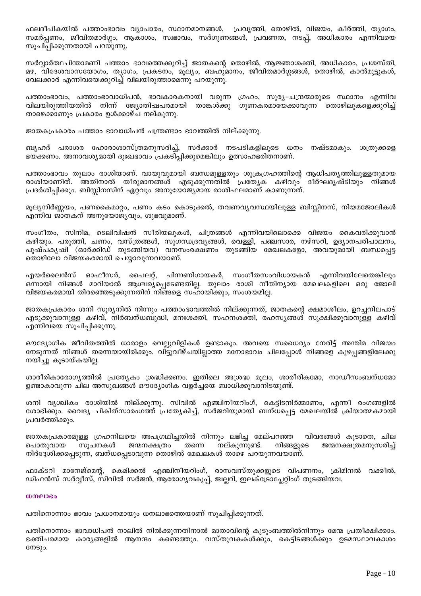ഫലദീപികയിൽ പത്താംഭാവം വ്യാപാരം, സ്ഥാനമാനങ്ങൾ, പ്രവൃത്തി, തൊഴിൽ, വിജയം, കീർത്തി, ത്യാഗം, സമർപ്പണം, ജീവിതമാർഗ്ഗം, ആകാശം, സ്വഭാവം, സദ്ഗുണങ്ങൾ, പ്രവണത, നടപ്, അധികാരം എന്നിവയെ സുചിപ്പിക്കുന്നതായി പറയുന്നു.

സർവ്വാർത്ഥചിന്താമണി പത്താം ഭാവത്തെക്കുറിച്ച് ജാതകന്റെ തൊഴിൽ, ആജ്ഞാശക്തി, അധികാരം, പ്രശസ്തി, മഴ, വിദേശവാസയോഗം, ത്യാഗം, പ്രകടനം, മുല്യം, ബഹുമാനം, ജീവിതമാർഗ്ഗങ്ങൾ, തൊഴിൽ, കാൽമുട്ടുകൾ, വേലക്കാർ എന്നിവയെക്കുറിച്ച് വിലയിരുത്താമെന്നു പറയുന്നു.

പത്താംഭാവം, പത്താംഭാവാധിപൻ, ഭാവകാരകനായി വരുന്ന ഗ്രഹം, സൂര്യ–ചന്ദ്രന്മാരുടെ സ്ഥാനം എന്നിവ വിലയിരുത്തിയതിൽ നിന്ന് ജ്യോതിഷപരമായി താങ്കൾക്കു ഗുണകരമായേക്കാവുന്ന തൊഴിലുകളെക്കുറിച്ച് താഴെക്കാണും പ്രകാരം ഉൾക്കാഴ്ച നല്കുന്നു.

ജാതകപ്രകാരം പത്താം ഭാവാധിപൻ പന്ത്രണ്ടാം ഭാവത്തിൽ നില്ക്കുന്നു.

ബൃഹദ് പരാശര ഹോരാശാസ്ത്രമനുസരിച്ച്, സർക്കാർ നടപടികളിലൂടെ ധനം നഷ്ടമാകും. ശത്രുക്കളെ ഭയക്കണം. അനാവശ്യമായി ദുഃഖഭാവം പ്രകടിപ്പിക്കുമെങ്കിലും ഉത്സാഹഭരിതനാണ്.

പത്താംഭാവം തുലാം രാശിയാണ്. വായുവുമായി ബന്ധമുള്ളതും ശുക്രഗ്രഹത്തിന്റെ ആധിപതൃത്തിലുള്ളതുമായ രാശിയാണിത്. അതിനാൽ തീരുമാനങ്ങൾ എടുക്കുന്നതിൽ പ്രത്യേക കഴിവും ദീർഘദൃഷ്ടിയും നിങ്ങൾ പ്രദർശിപ്പിക്കും. ബിസ്സിനസിന് ഏറ്റവും അനുയോജ്യമായ രാശിഫലമാണ് കാണുന്നത്.

മുല്യനിർണ്ണയം, പണകൈമാറ്റം, പണം കടം കൊടുക്കൽ, തവണവ്യവസ്ഥയിലുള്ള ബിസ്സിനസ്, നിയമജോലികൾ എന്നിവ ജാതകന് അനുയോജ്യവും, ശുഭവുമാണ്.

സംഗീതം, സിനിമ, ടെലിവിഷൻ സീരിയലുകൾ, ചിത്രങ്ങൾ എന്നിവയിലൊക്കെ വിജയം കൈവരിക്കുവാൻ കഴിയും. പരുത്തി, ചണം, വസ്ത്രങ്ങൾ, സുഗന്ധദ്രവൃങ്ങൾ, വെള്ളി, പഞ്ചസാര, നഴ്സറി, ഉദ്യാനപരിപാലനം, പുഷ്പകൃഷി (ഓർക്കിഡ് തുടങ്ങിയവ) വനസംരക്ഷണം തുടങ്ങിയ മേഖലകളോ, അവയുമായി ബന്ധപ്പെട്ട തൊഴിലോ വിജയകരമായി ചെയ്യാവുന്നവയാണ്.

പൈലറ്റ്, പിന്നണിഗായകർ, സംഗീതസംവിധായകൻ എന്നിവയിലേതെങ്കിലും എയർലൈൻസ് ഓഫീസർ, ഒന്നായി നിങ്ങൾ മാറിയാൽ ആശ്ചര്യപ്പെടേണ്ടതില്ല. തുലാം രാശി നീതിന്യായ മേഖലകളിലെ ഒരു ജോലി വിജയകരമായി തിരഞ്ഞെടുക്കുന്നതിന് നിങ്ങളെ സഹായിക്കും, സംശയമില്ല.

ജാതകപ്രകാരം ശനി സുര്യനിൽ നിന്നും പത്താംഭാവത്തിൽ നില്ക്കുന്നത്, ജാതകന്റെ ക്ഷമാശീലം, ഉറച്ചനിലപാട് .എടുക്കുവാനുള്ള കഴിവ്, നിർബന്ധബുദ്ധി, മനഃശക്തി, സഹനശക്തി, രഹസ്യങ്ങൾ സൂക്ഷിക്കുവാനുള്ള കഴിവ് എന്നിവയെ സൂചിപ്പിക്കുന്നു.

ഔദ്യോഗിക ജീവിതത്തിൽ ധാരാളം വെല്ലുവിളികൾ ഉണ്ടാകും. അവയെ സധൈര്യം നേരിട്ട് അന്തിമ വിജയം നേടുന്നത് നിങ്ങൾ തന്നെയായിരിക്കും. വിട്ടുവീഴ്ചയില്ലാത്ത മനോഭാവം ചിലപ്പോൾ നിങ്ങളെ കുഴപ്പങ്ങളിലേക്കു നയിച്ചു കൂടായ്കയില്ല.

ശാരീരികാരോഗൃത്തിൽ പ്രത്യേകം ശ്രദ്ധിക്കണം. ഇതിലെ അശ്രദ്ധ മൂലം, ശാരീരികമോ, നാഡീസംബന്ധമോ ഉണ്ടാകാവുന്ന ചില അസുഖങ്ങൾ ഔദ്യോഗിക വളർച്ചയെ ബാധിക്കുവാനിടയുണ്ട്.

ശനി വൃശ്ചികം രാശിയിൽ നില്ക്കുന്നു. സിവിൽ എഞ്ചിനീയറിംഗ്, കെട്ടിടനിർമ്മാണം, എന്നീ രംഗങ്ങളിൽ ശോഭിക്കും. വൈദ്യ ചികിത്സാരംഗത്ത് പ്രത്യേകിച്ച്, സർജറിയുമായി ബന്ധപ്പെട്ട മേഖലയിൽ ക്രിയാത്മകമായി പ്രവർത്തിക്കും.

ജാതകപ്രകാരമുള്ള ഗ്രഹനിലയെ അപഗ്രഥിച്ചതിൽ നിന്നും ലഭിച്ച മേല്പറഞ്ഞ വിവരങ്ങൾ കൂടാതെ, ചില നല്കുന്നുണ്ട്. പൊതുവായ സുചനകൾ ജന്മനക്ഷത്രം തന്നെ നിങ്ങളുടെ ജന്മനക്ഷത്രമനുസരിച്ച് നിർദ്ദേശിക്കപ്പെടുന്ന, ബന്ധപ്പെടാവുന്ന തൊഴിൽ മേഖലകൾ താഴെ പറയുന്നവയാണ്.

ഫാക്ടറി മാനേജ്മെന്റ്, കെമിക്കൽ എഞ്ചിനീയറിംഗ്, രാസവസ്തുക്കളുടെ വിപണനം, ക്രിമിനൽ വക്കീൽ, ഡിഫൻസ് സർവ്വീസ്, സിവിൽ സർജൻ, ആരോഗ്യവകുപ്പ്, ജില്ലറി, ഇലക്ട്രോപ്പേറ്റിംഗ് തുടങ്ങിയവ.

#### $w$ menco

പതിനൊന്നാം ഭാവം പ്രധാനമായും ധനലാഭത്തെയാണ് സൂചിപ്പിക്കുന്നത്.

പതിനൊന്നാം ഭാവാധിപൻ നാലിൽ നിൽക്കുന്നതിനാൽ മാതാവിന്റെ കുടുംബത്തിൽനിന്നും മേന്മ പ്രതീക്ഷിക്കാം. ഭക്തിപരമായ കാര്യങ്ങളിൽ ആനന്ദം കണ്ടെത്തും. വസ്തുവകക്ൾക്കും, കെട്ടിടങ്ങൾക്കും ഉടമസ്ഥാവകാശം  $@MS$ <sub>20</sub>.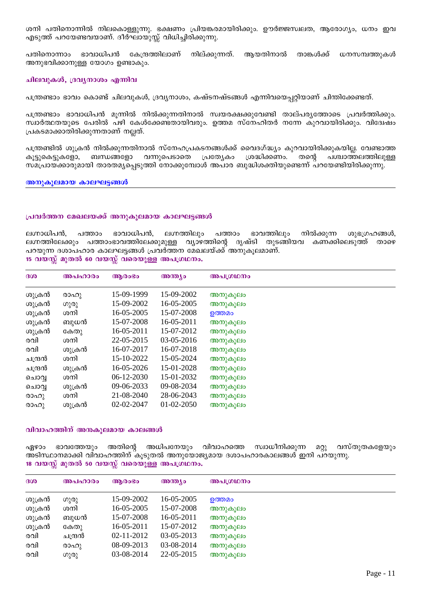ശനി പതിനൊന്നിൽ നിലകൊള്ളുന്നു. ഭക്ഷണം പ്രിയങ്കരമായിരിക്കും. ഊർജ്ജസ്വലത, ആരോഗ്യം, ധനം ഇവ .എടുത്ത് പറയേണ്ടവയാണ്. ദീർഘായുസ്സ് വിധിച്ചിരിക്കുന്നു.

കേന്ദ്രത്തിലാണ് നില്ക്കുന്നത്. ആയതിനാൽ താങ്കൾക്ക് ധനസമ്പത്തുകൾ പതിനൊന്നാം ഭാവാധിപൻ അനുഭവിക്കാനുള്ള യോഗം ഉണ്ടാകും.

### ചിലവുകൾ, ദ്രവൃനാശം എന്നിവ

പന്ത്രണ്ടാം ഭാവം കൊണ്ട് ചിലവുകൾ, ദ്രവ്യനാശം, കഷ്ടനഷ്ടങ്ങൾ എന്നിവയെപറ്റിയാണ് ചിന്തിക്കേണ്ടത്.

പന്ത്രണ്ടാം ഭാവാധിപൻ മുന്നിൽ നിൽക്കുന്നതിനാൽ സ്വയരക്ഷക്കുവേണ്ടി താല്പര്യത്തോടെ പ്രവർത്തിക്കും. സ്വാർത്ഥതയുടെ പേരിൽ പഴി കേൾക്കേണ്ടതായിവരും. ഉത്തമ സ്നേഹിതർ നന്നേ കുറവായിരിക്കും. വിദ്വേഷം പ്രകടമാക്കാതിരിക്കുന്നതാണ് നല്ലത്.

പന്ത്രണ്ടിൽ ശുക്രൻ നിൽക്കുന്നതിനാൽ സ്നേഹപ്രകടനങ്ങൾക്ക് വൈദഗ്ദ്ധ്യം കുറവായിരിക്കുകയില്ല. വേണ്ടാത്ത കൂട്ടുകെട്ടുകളോ, ബന്ധങ്ങളോ വന്നുപെടാതെ പ്രത്യേകാ ശ്രദ്ധിക്കണം. തന്റെ പശ്ചാത്തലത്തിലുള്ള സമപ്രായക്കാരുമായി താരതമ്യപ്പെടുത്തി നോക്കുമ്പോൾ അപാര ബുദ്ധിശക്തിയുണ്ടെന്ന് പറയേണ്ടിയിരിക്കുന്നു.

അനുകൂലമായ കാലഘട്ടങ്ങൾ

#### പ്രവർത്തന മേഖലയക്ക് അനുകൂലമായ കാലഘട്ടങ്ങൾ

ഭാവാധിപൻ, ലഗ്നത്തിലും ലഗ്നാധിപൻ, പത്താം പത്താം ഭാവത്തിലും നിൽക്കുന്ന ശുഭഗ്രഹങ്ങൾ, ്ലഗ്നത്തിലേക്കും പത്താംഭാവത്തിലേക്കുമുള്ള വൃാഴത്തിന്റെ ദൃഷ്ടി തുടങ്ങിയവ കണക്കിലെടുത്ത് താഴെ പറയുന്ന ദശാപഹാര കാലഘട്ടങ്ങൾ പ്രവർത്തന മേഖലയ്ക്ക് അനുകൂലമാണ്.

15 വയസ്സ് മുതൽ 60 വയസ്സ് വരെയുള്ള അപഗ്രഥനം.

| 300     | അപഹാരം | ആരാഭാ      | <b>അന്ത്യം</b> | അപഗ്രഥനം |
|---------|--------|------------|----------------|----------|
| ശുക്രൻ  | രാഹു   | 15-09-1999 | 15-09-2002     | അനുകൂലം  |
| ശുക്രൻ  | ഗുരു   | 15-09-2002 | 16-05-2005     | അനുകൂലം  |
| ശുക്രൻ  | ശനി    | 16-05-2005 | 15-07-2008     | ഉത്തമം   |
| ശുക്രൻ  | ബുധൻ   | 15-07-2008 | 16-05-2011     | അനുകൂലം  |
| ശുക്രൻ  | കേതു   | 16-05-2011 | 15-07-2012     | അനുകൂലം  |
| രവി     | ശനി    | 22-05-2015 | 03-05-2016     | അനുകൂലം  |
| രവി     | ശുക്രൻ | 16-07-2017 | 16-07-2018     | അനുകൂലം  |
| ചന്ദ്രൻ | ശനി    | 15-10-2022 | 15-05-2024     | അനുകൂലം  |
| ചന്ദ്രൻ | ശുക്രൻ | 16-05-2026 | 15-01-2028     | അനുകൂലം  |
| ചൊവ്വ   | ശനി    | 06-12-2030 | 15-01-2032     | അനുകൂലം  |
| ചൊവ്    | ശുക്രൻ | 09-06-2033 | 09-08-2034     | അനുകൂലം  |
| രാഹു    | ശനി    | 21-08-2040 | 28-06-2043     | അനുകൂലം  |
| രാഹു    | ശുക്രൻ | 02-02-2047 | 01-02-2050     | അനുകൂലം  |

#### വിവാഹത്തിന് അനകുലമായ കാലങ്ങൾ

ഭാവത്തേയും അതിന്റെ അധിപനേയും വിവാഹത്തെ സ്വാധീനിക്കുന്ന വസ്തുതകളേയും ഏഴാം  $\Omega Q$ അടിസ്ഥാനമാക്കി വിവാഹത്തിന് കൂടുതൽ അനുയോജ്യമായ ദശാപഹാരകാലങ്ങൾ ഇനി പറയുന്നു. 18 വയസ്സ് മുതൽ 50 വയസ്സ് വരെയുള്ള അപഗ്രഥനം.

| 300    | അപഹാരം  | ആരാഭാ      | അന്ത്യം    | അപഗ്രഥനം |
|--------|---------|------------|------------|----------|
| ശുക്രൻ | ഗുരു    | 15-09-2002 | 16-05-2005 | ഉത്തമം   |
| ശുക്രൻ | ശനി     | 16-05-2005 | 15-07-2008 | അനുകൂലം  |
| ശുക്രൻ | ബുധൻ    | 15-07-2008 | 16-05-2011 | അനുകൂലം  |
| ശുക്രൻ | കേതു    | 16-05-2011 | 15-07-2012 | അനുകൂലം  |
| രവി    | ചന്ദ്രൻ | 02-11-2012 | 03-05-2013 | അനുകൂലം  |
| രവി    | രാഹു    | 08-09-2013 | 03-08-2014 | അനുകൂലം  |
| രവി    | ഗുരു    | 03-08-2014 | 22-05-2015 | അനുകൂലം  |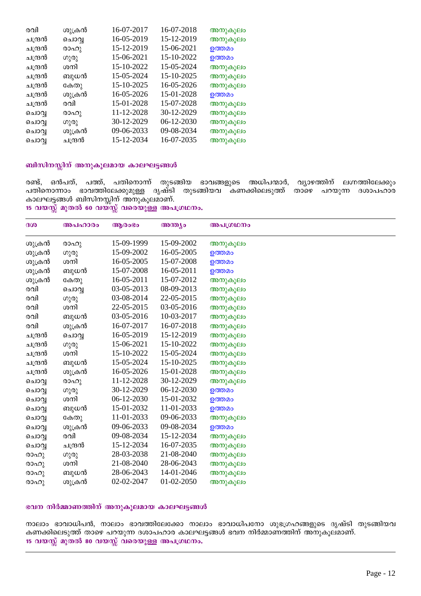| രവി     | ശുക്രൻ  | 16-07-2017 | 16-07-2018 | അനുകൂലം |
|---------|---------|------------|------------|---------|
| ചന്ദ്രൻ | ചൊവൃ    | 16-05-2019 | 15-12-2019 | അനുകൂലം |
| ചന്ദ്രൻ | രാഹു    | 15-12-2019 | 15-06-2021 | ഉത്തമം  |
| ചന്ദ്രൻ | ഗുരു    | 15-06-2021 | 15-10-2022 | ഉത്തമം  |
| ചന്ദ്രൻ | ശനി     | 15-10-2022 | 15-05-2024 | അനുകൂലം |
| ചന്ദ്രൻ | ബുധൻ    | 15-05-2024 | 15-10-2025 | അനുകൂലം |
| ചന്ദ്രൻ | കേതു    | 15-10-2025 | 16-05-2026 | അനുകൂലം |
| ചന്ദ്രൻ | ശുക്രൻ  | 16-05-2026 | 15-01-2028 | ഉത്തമം  |
| ചന്ദ്രൻ | രവി     | 15-01-2028 | 15-07-2028 | അനുകൂലം |
| ചൊവൃ    | രാഹു    | 11-12-2028 | 30-12-2029 | അനുകൂലം |
| ചൊവ്വ   | ഗുരു    | 30-12-2029 | 06-12-2030 | അനുകൂലം |
| ചൊവ്വ   | ശുക്രൻ  | 09-06-2033 | 09-08-2034 | അനുകൂലം |
| ചൊവൃ    | ചന്ദ്രൻ | 15-12-2034 | 16-07-2035 | അനുകൂലം |
|         |         |            |            |         |

### ്ബിസിനസ്സിന് അനുകൂലമായ കാലഘട്ടങ്ങൾ

രണ്ട്, ഒൻപത്, പത്ത്, പതിനൊന്ന് തുടങ്ങിയ ഭാവങ്ങളുടെ അധിപന്മാർ, വ്യാഴത്തിന് ലഗ്നത്തിലേക്കും പതിനൊന്നാം ഭാവത്തിലേക്കുമുള്ള ദൃഷ്ടി തുടങ്ങിയവ കണക്കിലെടുത്ത് താഴെ പറയുന്ന ദശാപഹാര കാലഘട്ടങ്ങൾ ബിസിനസ്സിന് അനുകൂലമാണ്. 15 വയസ്സ് മുതൽ 60 വയസ്സ് വരെയുള്ള അപഗ്രഥനം.

| 300     | അപഹാരം  | ആരംഭം      | അന്ത്യം    | അപഗ്രഥനം |
|---------|---------|------------|------------|----------|
| ശുക്രൻ  | രാഹു    | 15-09-1999 | 15-09-2002 | അനുകൂലം  |
| ശുക്രൻ  | ഗുരു    | 15-09-2002 | 16-05-2005 | ഉത്തമം   |
| ശുക്രൻ  | ശനി     | 16-05-2005 | 15-07-2008 | ഉത്തമം   |
| ശുക്രൻ  | ബുധൻ    | 15-07-2008 | 16-05-2011 | ഉത്തമം   |
| ശുക്രൻ  | കേതു    | 16-05-2011 | 15-07-2012 | അനുകൂലം  |
| രവി     | ചൊവൃ    | 03-05-2013 | 08-09-2013 | അനുകൂലം  |
| രവി     | ഗുരു    | 03-08-2014 | 22-05-2015 | അനുകൂലം  |
| രവി     | ശനി     | 22-05-2015 | 03-05-2016 | അനുകൂലം  |
| രവി     | ബുധൻ    | 03-05-2016 | 10-03-2017 | അനുകൂലം  |
| രവി     | ശുക്രൻ  | 16-07-2017 | 16-07-2018 | അനുകൂലം  |
| ചന്ദ്രൻ | ചൊവൃ    | 16-05-2019 | 15-12-2019 | അനുകൂലം  |
| ചന്ദ്രൻ | ഗുരു    | 15-06-2021 | 15-10-2022 | അനുകൂലം  |
| ചന്ദ്രൻ | ശനി     | 15-10-2022 | 15-05-2024 | അനുകൂലം  |
| ചന്ദ്രൻ | ബുധൻ    | 15-05-2024 | 15-10-2025 | അനുകൂലം  |
| ചന്ദ്രൻ | ശുക്രൻ  | 16-05-2026 | 15-01-2028 | അനുകൂലം  |
| ചൊവൃ    | രാഹു    | 11-12-2028 | 30-12-2029 | അനുകൂലം  |
| ചൊവൃ    | ഗുരു    | 30-12-2029 | 06-12-2030 | ഉത്തമം   |
| ചൊവൃ    | ശനി     | 06-12-2030 | 15-01-2032 | ഉത്തമം   |
| ചൊവൃ    | ബുധൻ    | 15-01-2032 | 11-01-2033 | ഉത്തമം   |
| ചൊവൃ    | കേതു    | 11-01-2033 | 09-06-2033 | അനുകൂലം  |
| ചൊവ്വ   | ശുക്രൻ  | 09-06-2033 | 09-08-2034 | ഉത്തമം   |
| ചൊവ്വ   | രവി     | 09-08-2034 | 15-12-2034 | അനുകൂലം  |
| ചൊവൃ    | ചന്ദ്രൻ | 15-12-2034 | 16-07-2035 | അനുകൂലം  |
| രാഹു    | ഗുരു    | 28-03-2038 | 21-08-2040 | അനുകൂലം  |
| രാഹു    | ശനി     | 21-08-2040 | 28-06-2043 | അനുകൂലം  |
| രാഹു    | ബുധൻ    | 28-06-2043 | 14-01-2046 | അനുകൂലം  |
| രാഹു    | ശുക്രൻ  | 02-02-2047 | 01-02-2050 | അനുകൂലം  |

### ഭവന നിർമ്മാണത്തിന് അനുകൂലമായ കാലഘട്ടങ്ങൾ

നാലാം ഭാവാധിപൻ, നാലാം ഭാവത്തിലേക്കോ നാലാം ഭാവാധിപനോ ശുഭഗ്രഹങ്ങളുടെ ദൃഷ്ടി തുടങ്ങിയവ കണക്കിലെടുത്ത് താഴെ പറയുന്ന ദശാപഹാര കാലഘട്ടങ്ങൾ ഭവന നിർമ്മാണത്തിന് അനുകൂലമാണ്. 15 വയസ്സ് മുതൽ 80 വയസ്സ് വരെയുള്ള അപഗ്രഥനം.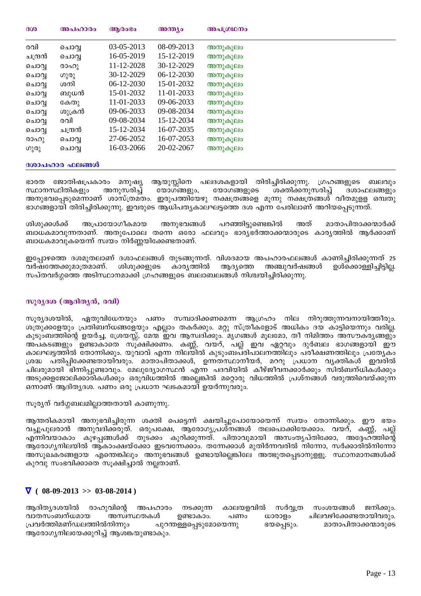| 300     | അപഹാരം  | ആരാഭാ      | അന്ത്യം      | അപഗ്രഥനം |
|---------|---------|------------|--------------|----------|
| രവി     | ചൊവ്വ   | 03-05-2013 | 08-09-2013   | അനുകൂലം  |
| ചന്ദ്രൻ | ചൊവ്വ   | 16-05-2019 | 15-12-2019   | അനുകൂലം  |
| ചൊവ്വ   | രാഹു    | 11-12-2028 | 30-12-2029   | അനുകൂലം  |
| ചൊവ്വ   | ഗുരു    | 30-12-2029 | $06-12-2030$ | അനുകൂലം  |
| ചൊവ്വ   | ശനി     | 06-12-2030 | 15-01-2032   | അനുകൂലം  |
| ചൊവ്വ   | ബുധൻ    | 15-01-2032 | 11-01-2033   | അനുകൂലം  |
| ചൊവ്വ   | കേതു    | 11-01-2033 | 09-06-2033   | അനുകൂലം  |
| ചൊവ്വ   | ശുക്രൻ  | 09-06-2033 | 09-08-2034   | അനുകൂലം  |
| ചൊവ്വ   | രവി     | 09-08-2034 | 15-12-2034   | അനുകൂലം  |
| ചൊവ്വ   | ചന്ദ്രൻ | 15-12-2034 | 16-07-2035   | അനുകൂലം  |
| രാഹു    | ചൊവ്വ   | 27-06-2052 | 16-07-2053   | അനുകൂലം  |
| ഗുരു    | ചൊവ്വ   | 16-03-2066 | 20-02-2067   | അനുകൂലം  |

#### **ദശാപഹാര ഫലങ്ങൾ**

ഭാരത ജോതിഷപ്രകാരം മനുഷ്യ ആയുസ്സിനെ പലദശകളായി തിരിച്ചിരിക്കുന്നു. ഗ്രഹങ്ങളുടെ ബലവും<br>സ്ഥാനസ്ഥിതികളും അനുസരിച്ച് യോഗങ്ങളും, യോഗങ്ങളുടെ ശക്തിക്കനുസരിച്ച് ദശാഫലങ്ങളും സ്ഥാനസ്ഥിതികളും അനുസരിച്ച് യോഗങ്ങളും, യോഗങ്ങളുടെ ശക്തിക്കനുസരിച്ച് ദശാഫലങ്ങളും അനുഭവപ്പെടുമെന്നാണ് ശാസ്ത്രമതം. ഇരുപത്തിയേഴു നക്ഷത്രങ്ങളെ മൂന്നു നക്ഷത്രങ്ങൾ വീതമുളള ഒമ്പതു ഭാഗങ്ങളായി തിരിച്ചിരിക്കുന്നു. ഇവരുടെ ആധിപതൃകാലഘട്ടത്തെ ദശ എന്ന പേരിലാണ് അറിയപ്പെടുന്നത്.

ശിശുക്കൾക്ക് അപ്രായോഗീകമായ അനുഭവങ്ങൾ പറഞ്ഞിട്ടുണ്ടെങ്കിൽ അത് മാതാപിതാക്കന്മാർക്ക് ബാധകമാവുന്നതാണ്. അതുപോലെ തന്നെ ഒരോ ഫലവും ഭാര്യഭർത്താക്കന്മാരുടെ കാര്യത്തിൽ ആർക്കാണ് ബാധകമാവുകയെന്ന് സ്വയം നിർണ്ണയിക്കേണ്ടതാണ്.

ഇപ്പോഴത്തെ ദശമുതലാണ് ദശാഫലങ്ങൾ തുടങ്ങുന്നത്. വിശദമായ അപഹാരഫലങ്ങൾ കാണിച്ചിരിക്കുന്നത് 25<br>വർഷത്തേക്കുമാത്രമാണ്. ശിശുക്കളുടെ കാര്യത്തിൽ ആദ്യത്തെ അഞ്ചുവർഷങ്ങൾ ഉൾക്കൊള്ളിച്ചിട്ടില്ല. വർഷത്തേക്കുമാത്രമാണ്. സപ്തവർഗ്ഗത്തെ അടിസ്ഥാനമാക്കി ഗ്രഹങ്ങളുടെ ബലാബലങ്ങൾ നിശ്ചയിച്ചിരിക്കുന്നു.

## സൂരൃദശ (ആദിതൃൻ, രവി)

സൂര്യദശയിൽ, ഏതുവിധേനയും പണം സമ്പാദിക്കണമെന്ന ആഗ്രഹം നില നിറുത്തുന്നവനായിത്തീരും. ശത്രുക്കളേയും പ്രതിബന്ധങ്ങളേയും എല്ലാം തകർക്കും. മറ്റു സ്ത്രീകളോട് അധികം ദയ കാട്ടിയെന്നും വരില്ല. കുടുംബത്തിന്റെ ഉയർച്ച, ശ്രേയസ്സ്, മേന്മ ഇവ ആസ്വദിക്കും. മൃഗങ്ങൾ മൂലമോ, തീ നിമിത്തം അസൗകര്യങ്ങളും അപകടങ്ങളും ്ഉണ്ടാകാതെ സൂ്ക്ഷിക്കണം. കണ്ണ്, വയറ്, പല്ല് ഇവ ഏറ്റവും ദുർബല ഭാഗങ്ങളായി ഈ കാലഘട്ടത്തിൽ തോന്നിക്കും. യുവാവ് എന്ന നിലയിൽ കുടുംബപരിപാലനത്തിലും പരീക്ഷണത്തിലും പ്രത്യേകം ്രദ്ധ പതിപ്പിക്കേണ്ടതായിവരും. മാതാപിതാക്കൾ, ഉന്നതസ്ഥാനീയർ, മററു പ്രധാന വൃക്തികൾ ഇവരിൽ ചിലരുമായി `്ഭിന്നിപ്പുണ്ടാവും. മേലുദ്യോഗസ്ഥൻ എന്ന പദവിയിൽ കീഴ്ജീവനക്കാർക്കും സിൽബന്ധികൾക്കും അടുക്കളജോലിക്കാരികൾക്കും ഒരുവിധത്തിൽ അല്ലെങ്കിൽ മറ്റൊരു വിധത്തിൽ പ്രശ്നങ്ങൾ വരുത്തിവെയ്ക്കുന്ന ഒന്നാണ് ആദിതൃദശ. പണം ഒരു പ്രധാന ഘടകമായി ഉയർന്നുവരും.

### സൂര്യന് വർഗ്ഗബലമില്ലാത്തതായി കാണുന്നു.

ആന്തരികമായി അനുഭവിച്ചിരുന്ന ശക്തി പെട്ടെന്ന് ക്ഷയിച്ചുപോയോയെന്ന് സ്വയം തോന്നിക്കും. ഈ ഭയം വച്ചുപുലരാൻ അനുവദിക്കരുത്. ഒരുപക്ഷേ, ആരോഗൃപ്രശ്നങ്ങൾ തലപൊക്കിയേക്കാം. വയറ്, കണ്ണ്, പല്ല് എന്നിവയാകാം കുഴപ്പങ്ങൾക്ക് തുടക്കം കുറിക്കുന്നത്. പിതാവുമായി അസംതൃപ്തിക്കോ, അദ്ദേഹ്ത്തിന്റെ ആരോഗ്യനിലയിൽ ആകാംക്ഷയ്ക്കോ ഇടവന്നേക്കാം. തന്നേക്കാൾ മുതിർന്നവരിൽ നിന്നോ, സർക്കാരിൽനിന്നോ അസുഖകരങ്ങളായ എന്തെങ്കിലും അനുഭവങ്ങൾ ഉണ്ടായില്ലെങ്കിലേ അത്ഭുതപ്പെടാനുളളൂ. സ്ഥാനമാനങ്ങൾക്ക് കുറവു സംഭവിക്കാതെ സൂക്ഷിച്ചാൽ നല്ലതാണ്.

### $\nabla$  ( 08-09-2013 >> 03-08-2014)

ആദിതൃദശയിൽ രാഹുവിന്റെ അപഹാരം നടക്കുന്ന കാലയളവിൽ സർവ്വത്ര സംശയങ്ങൾ ജനിക്കും. വാതസംബന്ധമായ അസ്വസ്ഥതകൾ ഉണ്ടാകാം. പണം ധാരാളം ചിലവഴിക്കേണ്ടതായിവരും. പ്രവർത്തിമണ്ഡലത്തിൽനിന്നും പുറന്തള്ളപ്പെടുമോയെന്നു ഭയപ്പെടും. മാതാപിതാക്കന്മാരുടെ ആരോഗൃനിലയേക്കുറിച്ച് ആശങ്കയുണ്ടാകും.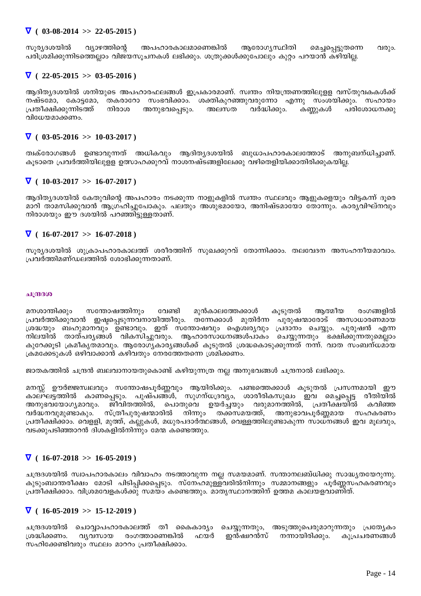### ∇ **( 03-08-2014 >> 22-05-2015 )**

സൂര്യദശയിൽ വ്യാഴത്തിന്റെ അപഹാരകാലമാണെങ്കിൽ ആരോഗ്യസ്ഥിതി മെച്ചപ്പെട്ടുതന്നെ വരും. ്പരിശ്രമിക്കുന്നിടത്തെല്ലാം വിജയസൂചനകൾ ലഭിക്കും. ശത്രുക്കൾക്കുപോലും കുറ്റം പറയാൻ കഴിയില്ല.

### $\nabla$  ( 22-05-2015 >> 03-05-2016)

ആദിത്യദശയിൽ ശനിയുടെ അപഹാരഫലങ്ങൾ ഇപ്രകാരമാണ്. സ്വന്തം നിയന്ത്രണത്തിലുള്ള വസ്തുവകകൾക്ക് `നഷ്ടമോ, കോട്ടമോ, തകരാറോ സംഭവിക്കാം. ശക്തികുറഞ്ഞുവരുന്നോ എന്നു സംശയിക്കും. സഹായം<br>പ്രതീക്ഷിക്കുന്നിടത്ത് നിരാശ അനുഭവപ്പെടും. അലസത വർദ്ധിക്കും. കണ്ണുകൾ പരിശോധനക്കു ്രപതീക്ഷിക്കുന്നിടത്ത് നിരാശ അനുഭവപ്പെടും. അലസത വർദ്ധിക്കും. കണ്ണുകൾ പരിശോധനക്കു വിധേയമാക്കണം.

### $\nabla$  ( 03-05-2016 >> 10-03-2017)

ത്വക്രോഗങ്ങൾ ഉണ്ടാവുന്നത് അധികവും ആദിതൃദശയിൽ ബുധാപഹാരകാലത്തോട് അനുബന്ധിച്ചാണ്. ികൂടാതെ പ്രവർത്തിയിലുള്ള ഉത്സാഹക്കുറവ് നാശനഷ്ടങ്ങളിലേക്കു വഴിതെളിയിക്കാതിരിക്കുകയില്ല.

## $\nabla$  ( 10-03-2017 >> 16-07-2017 )

ആദിത്യദശയിൽ കേതുവിന്റെ അപഹാരം നടക്കുന്ന നാളുകളിൽ സ്വന്തം സ്ഥലവും ആളുകളെയും വിട്ടകന്ന് ദുരെ മാറി താമസിക്കുവാൻ ആഗ്രഹിച്ചുപോകും. പലതും അശുഭമായോ, അനിഷ്ടമായോ തോന്നും. കാര്യവിഘ്നവും നിരാശയും ഈ ദശയിൽ പറഞ്ഞിട്ടുള്ളതാണ്.

### $\nabla$  ( 16-07-2017 >> 16-07-2018)

സുര്യദശയിൽ ശുക്രാപഹാരകാലത്ത് ശരീരത്തിന് സുഖക്കുറവ് തോന്നിക്കാം. തലവേദന അസഹനീയമാവാം. പ്രവർത്തിമണ്ഡലത്തിൽ ശോഭിക്കുന്നതാണ്.

#### **ചന്ദ്രദശ**

\_മനശാന്തിക്കും സന്തോഷത്തിനും വേണ്ടി മുൻകാലത്തേക്കാൾ കൂടുതൽ ആത്മീയ രംഗങ്ങളിൽ ്രപ്രവർത്തിക്കുവാൻ ഇഷ്ടപ്പെടുന്നവനായിത്തീരും. തന്നേക്കാൾ മുതിർന്ന പുരുഷന്മാരോട് അസാധാരണമായ ്രദ്ധയും ബഹുമാനവും ഉണ്ടാവും. ഇത് സന്തോഷവും ഐശ്വര്യവും പ്രദാനം ചെയ്യും. പുരുഷൻ എന്ന  $\,$ നിലയിൽ താത്പര്യങ്ങൾ വികസിച്ചുവരും. ആഹാരസാധനങ്ങൾപാകം ചെയ്യുന്നതും ഭക്ഷിക്കുന്നതുമെല്ലാം കുറേക്കൂടി ക്രമീകൃതമാവും. ആരോഗൃകാരൃങ്ങൾക്ക് കൂടുതൽ ശ്രദ്ധകൊടുക്കുന്നത് നന്ന്. വാത സംബന്ധമായ ക്രമക്കേടുകൾ ഒഴിവാക്കാൻ കഴിവതും നേരത്തേതന്നെ ശ്രമിക്കണം.

്ജാതകത്തിൽ ചന്ദ്രൻ ബലവാനായതുകൊണ്ട് കഴിയുന്നത്ര നല്ല അനുഭവങ്ങൾ ചന്ദ്രനാൽ ലഭിക്കും.

\_മനസ്സ് ഊർജ്ജസ്വലവും സന്തോഷപൂർണ്ണവും ആയിരിക്കും. പണ്ടത്തെക്കാൾ കൂടുതൽ പ്രസന്നമായി ഈ കാലഘട്ടത്തിൽ കാണപ്പെടും. പുഷ്പങ്ങൾ, സുഗന്ധദ്രവ്യം, ശാരീരികസുഖം ഇവ മെച്ചപ്പെട്ട രീതിയിൽ അനുഭവയോഗ്യമാവും. ജീവിതത്തിൽ, പൊതുവെ ഉയർച്ചയും വരുമാനത്തിൽ, പ്രതീക്ഷയിൽ കവിഞ്ഞ വർദ്ധനവുമുണ്ടാകും. സ്ത്രീപുരുഷന്മാരിൽ നിന്നും തക്കസമയത്ത്, അനുഭാവപൂർണ്ണമായ സഹകരണം ്രപതീക്ഷിക്കാം. വെളളി, മുത്ത്, കല്ലുകൾ, മധുരപദാർത്ഥങ്ങൾ, വെള്ളത്തിലുണ്ടാകുന്ന സാധ്നങ്ങൾ ഇവ മൂലവും, വടക്കുപടിഞ്ഞാറൻ ദിശകളിൽനിന്നും മേന്മ കണ്ടെത്തും.

## $\nabla$  ( 16-07-2018 >> 16-05-2019)

ചന്ദ്രദശയിൽ സ്വാപഹാരകാലം വിവാഹം നടത്താവുന്ന നല്ല സമയമാണ്. സന്താനലബ്ധിക്കു സാദ്ധ്യതയേറുന്നു. കുടുംബാന്തരീക്ഷം മോടി പിടിപ്പിക്കപ്പെടും. സ്നേഹമുള്ളവരിൽനിന്നും സമ്മാനങ്ങളും പൂർണ്ണസഹകരണവും ്പതീക്ഷിക്കാം. വിശ്രമവേളകൾക്കു് സമയം കണ്ടെത്തും. മാതൃസ്ഥാനത്തിന് ഉത്തമ കാലയളവാണിത്.

## $\nabla$  ( 16-05-2019 >> 15-12-2019 )

ചന്ദ്രദശയിൽ ചൊവ്വാപഹാരകാലത്ത് തീ കൈകാര്യം ചെയ്യുന്നതും, അടുത്തുപെരുമാറുന്നതും പ്രത്യേകം ്രദ്ധിക്കണം. വ്യവസായ രംഗത്താണെങ്കിൽ ഫയർ ഇൻഷ്വറൻസ് നന്നായിരിക്കും. കുപ്രചരണങ്ങൾ സഹിക്കേണ്ടിവരും സ്ഥലം മാററം പ്രതീക്ഷിക്കാം.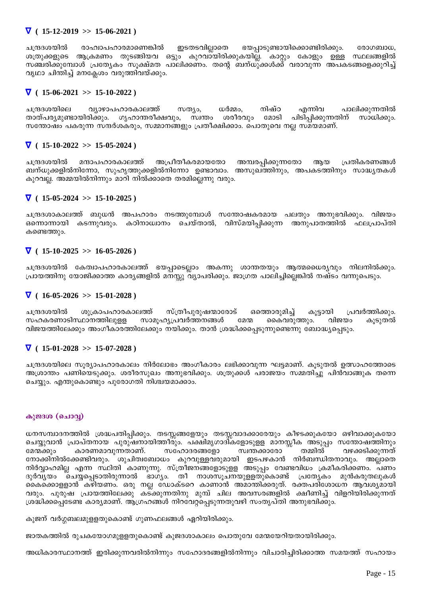## $\nabla$  ( 15-12-2019 >> 15-06-2021)

ചന്ദ്രദശയിൽ രാഹ്വാപഹാരമാണെങ്കിൽ ഇടതടവില്ലാതെ ഭയപ്പാടുണ്ടായിക്കൊണ്ടിരിക്കും. രോഗബാധ, ശത്രുക്കളുടെ ആക്രമണം തുടങ്ങിയവ ഒട്ടും കുറവാ്യിരിക്കുകയില്ല. കാറ്റും കോളും ഉള്ള സ്ഥലങ്ങളിൽ ിസഞ്ചരിക്കുമ്പോൾ പ്രത്യേകം സൂക്ഷ്മത പാലിക്കണം. തന്റെ ബന്ധുക്കൾക്ക് വരാവുന്ന അപകടങ്ങളെക്കുറിച്ച് ിപ്പ്രാ ചിന്തിച്ച് മനക്ലേശം വരുത്തിവയ്ക്കും.

## ∇ **( 15-06-2021 >> 15-10-2022 )**

ചന്ദ്രദശയിലെ വ്യാഴാപഹാരകാലത്ത് സത്യം, ധർമ്മം, നിഷ്ഠ എന്നിവ പാലിക്കുന്നതിൽ<br>താത്പര്യമുണ്ടായിരിക്കും. ഗൃഹാന്തരീക്ഷവും, സ്വന്തം ശരീരവും മോടി പിടിപ്പിക്കുന്നതിന് സാധിക്കും. താത്പര്യമുണ്ടായിരിക്കും. ഗൃഹാന്തരീക്ഷവും, സ്വന്തം ശരീരവും മോടി പിടിപ്പിക്കുന്നതിന് സാധിക്കും. സന്തോഷം പകരുന്ന സന്ദർശകരും, സമ്മാനങ്ങളും പ്രതീക്ഷിക്കാം. പൊതുവെ നല്ല സമയമാണ്.

## $\nabla$  ( 15-10-2022 >> 15-05-2024)

ചന്ദ്രദശയിൽ മന്ദാപഹാരകാലത്ത് അപ്രീതീകരമായതോ അമ്പരപ്പിക്കുന്നതോ ആയ പ്രതികരണങ്ങൾ -ബന്ധുക്കളിൽനിന്നോ, സുഹൃത്തുക്കളിൽനിന്നോ ഉണ്ടാവാം. അസുഖത്തിനും, അപകടത്തിനും സാദ്ധ്യതകൾ കുറവല്ല. അമ്മയിൽനിന്നും മാറി നിൽക്കാതെ തരമില്ലെന്നു വരും.

## ∇ **( 15-05-2024 >> 15-10-2025 )**

ചന്ദ്രദശാകാലത്ത് ബുധൻ അപഹാരം നടത്തുമ്പോൾ സന്തോഷകരമായ പലതും അനുഭവിക്കും. വിജയം ഒന്നൊന്നായി കടന്നുവരും. കഠിനാധ്വാനം ചെയ്താൽ, വിസ്മയിപിക്കുന്ന അനുപാതത്തിൽ ഫലപ്രാപ്തി കണ്ടെത്തും.

## $\nabla$  ( 15-10-2025 >> 16-05-2026)

ചന്ദ്രദശയിൽ കേത്വാപഹാരകാലത്ത് ഭയപാടെലാം അകന്നു ശാന്തതയും ആത്മധൈര്യവും നിലനിൽക്കും.  $\{$ പായത്തിനു യോജിക്കാത്ത കാര്യങ്ങളിൽ മനസ്സു വ്യാപരിക്കും. ജാഗ്രത പാലിച്ചില്ലെങ്കിൽ നഷ്ടം വന്നുപെടും.

## ∇ **( 16-05-2026 >> 15-01-2028 )**

ചന്ദ്രദശയിൽ ശുക്രാപഹാരകാലത്ത് സ്ത്രീപുരുഷന്മാരോട് ഒത്തൊരുമിച്ച് കൂട്ടായി പ്രവർത്തിക്കും.<br>സഹകരണാടിസ്ഥാനത്തിലുളള സാമൂഹ്യപ്രവർത്തനങ്ങൾ മേന്മ കൈവരുത്തും. വിജയം കൂടുതൽ സാമൂഹ്യപ്രവർത്തനങ്ങൾ മേന്മ കൈവരുത്തും. വിജയം വിജയത്തിലേക്കും അംഗീകാരത്തിലേക്കും നയിക്കും. താൻ ശ്രദ്ധിക്കപ്പെടുന്നുണ്ടെന്നു ബോദ്ധ്യപ്പെടും.

## $\nabla$  ( 15-01-2028 >> 15-07-2028 )

ചന്ദ്രദശയിലെ സൂര്യാപഹാരകാലം നിർലോഭം അംഗീകാരം ലഭിക്കാവുന്ന ഘട്ടമാണ്. കൂടുതൽ ഉത്സാഹത്തോടെ അശ്രാന്തം പണിയെടുക്കും. ശരീരസുഖം അനുഭവിക്കും. ശത്രുക്കൾ പരാജയം സമ്മതിച്ചു പിൻവാങ്ങുക തന്നെ ചെയ്യും. എന്തുകൊണ്ടും പുരോഗതി നിശ്ചയമാക്കാം.

## കുജ**ദശ** (ചൊവ്വ)

്ധനസമ്പാദനത്തിൽ ശ്രദ്ധപതിപ്പിക്കും. തടസ്സങ്ങളേയും തടസ്സവാദക്കാരേയും കീഴടക്കുകയോ ഒഴിവാക്കുകയോ .ചെയ്യുവാൻ പ്രാപ്തനായ പുരുഷനായിത്തീരും. പക്ഷിമൃഗാദികളോടുളള മാനസ്സീക അടുപ്പം സന്തോഷത്തിനും<br>മേന്മക്കും കാരണമാവുന്നതാണ്. സഹോദരങ്ങളോ സ്വന്തക്കാരോ തമ്മിൽ വഴക്കടിക്കുന്നത് കാരണമാവുന്നതാണ്. സഹോദരങ്ങളോ സ്വന്തക്കാരോ തമ്മിൽ വഴക്കടിക്കുന്നത് ്നോക്കിനിൽക്കേണ്ടിവരും. ശുചിത്വബോധം കുറവുള്ളവരുമായി ഇടപഴകാൻ നിർബന്ധിതനാവും. അല്ലാതെ ്നിർവ്വാഹമില്ല എന്ന സ്ഥിതി കാണുന്നു. സ്ത്രീജനങ്ങളോടുളള അടുപ്പം വേണ്ടവിധം ക്രമീകരിക്കണം. പണം<br>ദുർവ്യയം ചെയ്യപ്പെടാതിരുന്നാൽ ഭാഗ്യം. തീ നാശസൂചനയുള്ളതുകൊണ്ട് പ്രത്യേകം മുൻകരുതലുകൾ ദുർവൃയം ചെയ്യപ്പെടാതിരുന്നാൽ ഭാഗ്യം. തീ നാശസൂചനയുള്ളതുകൊണ്ട് പ്രത്യേകം .കൈക്കൊളളാൻ കഴിയണം. ഒരു നല്ല ഡോക്ടറെ കാണാൻ അമാന്തിക്കരുത്. രക്തപരിശോധന ആവശ്യമായി വരും. പുരുഷ പ്രായത്തിലേക്കു കട്ക്കുന്നതിനു മുമ്പ് ചില അവസരങ്ങളിൽ ക്ഷീണിച്ച് വിളറിയിരിക്കുന്നത് ്രശദ്ധിക്കപ്പെടേണ്ട കാര്യമാണ്. ആഗ്രഹങ്ങൾ നിറവേറ്റപ്പെടുന്നതുവഴി സംതൃപ്തി അനുഭവിക്കും.

<sup>.</sup>കുജന് വർഗ്ഗബലമുളളതുകൊണ്ട് ഗുണഫലങ്ങൾ ഏറിയിരിക്കും.

ജാതകത്തിൽ രുചകയോഗമുള്ളതുകൊണ്ട് കുജദശാകാലം പൊതുവേ മേന്മയേറിയതായിരിക്കും.

അധികാരസ്ഥാനത്ത് ഇരിക്കുന്നവരിൽനിന്നും സഹോദരങ്ങളിൽനിന്നും വിചാരിച്ചിരിക്കാത്ത സമയത്ത് സഹായം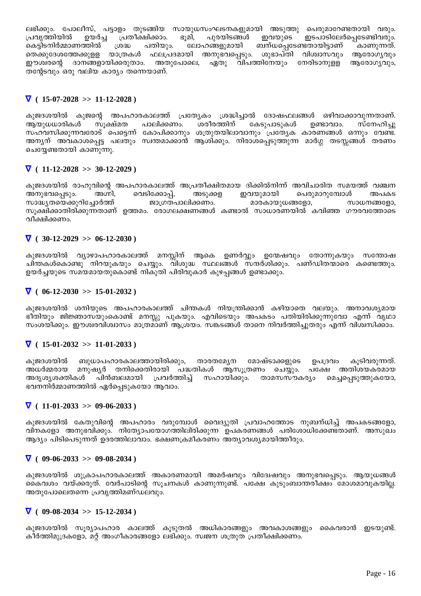ലഭിക്കും. പോലീസ്, പട്ടാളം തുടങ്ങിയ സായുധസംഘടനകളുമായി അടുത്തു പെരുമാറേണ്ടതായി വരും. പ്രവ്യത്തിയിൽ പ്രതീക്ഷിക്കാം. ഭൂമി, പുരയിടങ്ങൾ ഇവയുടെ ഇടപാടിലേർപ്പെടേണ്ടിവരും. ഉയർച്ച കെട്ടിടനിർമ്മാണത്തിൽ ശ്രദ്ധ പതിയും. ലോഹങ്ങളുമായി ബന്ധപ്പെടേണ്ടതായിട്ടാണ് കാണുന്നത്. തെക്കുദേശത്തേക്കുളള യാത്രകൾ ഫലപ്രദമായി അനുഭവപ്പെടും. ശുഭാപ്തി വിശ്വാസവും ആരോഗൃവും ഈശ്വരന്റെ ദാനങ്ങളായിക്കരുതാം. അതുപോലെ, ഏതു വിപത്തിനേയും നേരിടാനുള്ള ആരോഗൃവും, തന്റേടവും ഒരു വലിയ കാര്യം തന്നെയാണ്.

## $\nabla$  (15-07-2028 >> 11-12-2028)

കുജദശയിൽ കുജന്റെ അപഹാരകാലത്ത് പ്രത്യേകം ശ്രദ്ധിച്ചാൽ ദോഷഫലങ്ങൾ ഒഴിവാക്കാവുന്നതാണ്. ആയുധധാരികൾ സുക്ഷ്മത പാലിക്കണം. ശരീരത്തിന് കേടുപാടുകൾ ഉണ്ടാവാം. സ്നേഹിച്ചു സഹവസിക്കുന്നവരോട് പെട്ടെന്ന് കോപിക്കാനും ശത്രുതയിലാവാനും പ്രത്യേക കാരണങ്ങൾ ഒന്നും വേണ്ട. ചെയ്യേണ്ടതായി കാണുന്നു.

## $\nabla$  ( 11-12-2028 >> 30-12-2029)

കുജദശയിൽ രാഹുവിന്റെ അപഹാരകാലത്ത് അപ്രതീക്ഷിതമായ ദിക്കിൽനിന്ന് അവിചാരിത സമയത്ത് വഞ്ചന അനുഭവപ്പെടും. അഗ്നി, വെടിക്കോപ്പ്, അടുക്കള ഇവയുമായി പെരുമാറുമ്പോൾ അപകട ജാഗ്രതപാലിക്കണം. മാരകായുധങ്ങളോ, സാദ്ധ്യതയെക്കുറിച്ചോർത്ത് സാധനങ്ങളോ, സൂക്ഷിക്കാതിരിക്കുന്നതാണ് ഉത്തമം. രോഗലക്ഷണങ്ങൾ കണ്ടാൽ സാധാരണയിൽ കവിഞ്ഞ ഗൗരവത്തോടെ വീക്ഷിക്കണം.

## $\nabla$  (30-12-2029 >> 06-12-2030)

കുജദശയിൽ വ്യാഴാപഹാരകാലത്ത് മനസ്സിന് ആകെ ഉണർവ്വാം ഉന്മേഷവും തോന്നുകയും സന്തോഷ ചിന്തകൾകൊണ്ടു നിറയുകയും ചെയ്യും. വിശുദ്ധ സ്ഥലങ്ങൾ സന്ദർശിക്കും. പണ്ഡിതന്മാരെ കണ്ടെത്തും. ഉയർച്ചയുടെ സമയമായതുകൊണ്ട് നികുതി പിരിവുകാർ കുഴപങ്ങൾ ഉണ്ടാക്കും.

## $\nabla (06-12-2030 >> 15-01-2032)$

കുജദശയിൽ ശനിയുടെ അപഹാരകാലത്ത് ചിന്തകൾ നിയന്ത്രിക്കാൻ കഴിയാതെ വലയും. അനാവശ്യമായ ഭീതിയും ജിജ്ഞാസയുംകൊണ്ട് മനസ്സു പുകയും. എവിടെയും അപകടം പതിയിരിക്കുന്നുവോ എന്ന് വൃഥാ സംശയിക്കും. ഈശ്വരവിശ്വാസം മാത്രമാണ് ആശ്രയം. സങ്കടങ്ങൾ താനെ നിവർത്തിച്ചുതരും എന്ന് വിശ്വസിക്കാം.

## $\nabla$  (15-01-2032 >> 11-01-2033)

കുജദശയിൽ ബുധാപഹാരകാലത്തായിരിക്കും, താരതമ്യേന മോഷ്ടാക്കളുടെ ഉപദ്രവം കുടിവരുന്നത്. അധർമ്മരായ മനുഷ്യർ തനിക്കെതിരായി പദ്ധതികൾ ആസുത്രണം ചെയ്യം. പക്ഷേ അതിശയകരമായ അദൃശൃശക്തികൾ പിൻബലമായി പ്രവർത്തിച് സഹായിക്കും. താമസസൗകര്യം മെച്ചപെടുത്തുകയോ, ഭവനനിർമ്മാണത്തിൽ ഏർപ്പെടുകയോ ആവാം.

## $\nabla$  (11-01-2033 >> 09-06-2033)

കുജദശയിൽ കേതുവിന്റെ അപഹാരം വരുമ്പോൾ വൈദ്യുതി പ്രവാഹത്തോട നുബന്ധിച്ച് അപകടങ്ങളോ, വിനകളോ അനുഭവിക്കും. നിതേ\ാപയോഗത്തിലിരിക്കുന്ന ഉപകരണങ്ങൾ പരിശോധിക്കേണ്ടതാണ്. അസുഖം ആദ്യം പിടിപെടുന്നത് ഉദരത്തിലാവാം. ഭക്ഷണക്രമീകരണം അത്യാവശ്യമായിത്തീരും.

### $\nabla$  ( 09-06-2033 >> 09-08-2034)

കുജദശയിൽ ശുക്രാപഹാരകാലത്ത് അകാരണമായി അമർഷവും വിദേഷവും അനുഭവപ്പെടും. ആയുധങ്ങൾ . കൈവശം വയ്ക്കരുത്. വേർപാടിന്റെ സൂചനകൾ കാണുന്നുണ്ട്. പക്ഷേ കുടുംബാന്തരീക്ഷം മോശമാവുകയില്ല. അതുപോലെതന്നെ പ്രവൃത്തിമണ്ഡലവും.

## $\nabla$  ( 09-08-2034 >> 15-12-2034 )

കുജദശയിൽ സൂര്യാപഹാര കാലത്ത് കൂടുതൽ അധികാരങ്ങളും അവകാശങ്ങളും കൈവരാൻ ഇടയുണ്ട്. കീർത്തിമുദ്രകളോ, മറ്റ് അംഗീകാരങ്ങളോ ലഭിക്കും. സ്വജന ശത്രുത പ്രതീക്ഷിക്കണം.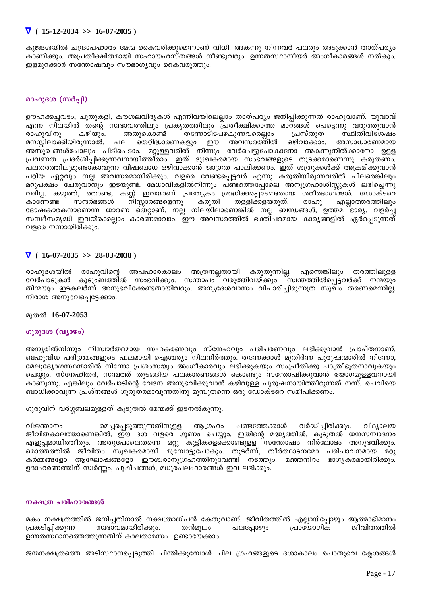## $\nabla$  (15-12-2034 >> 16-07-2035)

കുജദശയിൽ ചന്ദ്രാപഹാരം മേന്മ കൈവരിക്കുമെന്നാണ് വിധി. അകന്നു നിന്നവർ പലരും അടുക്കാൻ താത്പര്യം കാണിക്കും. അപ്രതീക്ഷിതമായി സഹായഹസ്തങ്ങൾ നീണ്ടുവരും. ഉന്നതസ്ഥാനീയർ അംഗീകാരങ്ങൾ നൽകും. ഇളമുറക്കാർ സന്തോഷവും സൗഭാഗൃവും കൈവരുത്തും.

## രാഹുദശ (സർപ്പി)

. ഊഹക്കച്ചവടം, ചൂതുകളി, കൗശലവിദ്യകൾ എന്നിവയിലെല്ലാം താത്പര്യം ജനിപ്പിക്കുന്നത് രാഹുവാണ്. യുവാവ് എന്ന നിലയിൽ തന്റെ സ്വഭാവത്തിലും പ്രകൃതത്തിലും പ്രതീക്ഷിക്കാത്ത മാറ്റങ്ങൾ പെട്ടെന്നു വരുത്തുവാൻ കഴിയും. അതുകൊണ്ട് തന്നോടിടപഴകുന്നവരെല്ലാം സ്ഥിതിവിശേഷം രാഹുവിനു പ്രസ്തുത മനസ്സിലാക്കിയിരുന്നാൽ, പല തെറ്റിദ്ധാരണകളും ഈ അവസരത്തിൽ ഒഴിവാക്കാം. അസാധാരണമായ അസുഖങ്ങൾപോലും പിടിപെടാം. മറ്റുള്ളവരിൽ നിന്നും വേർപെട്ടുപോകാനോ അകന്നുനിൽക്കാനോ ഉളള പ്രവണത പ്രദർശിപ്പിക്കുന്നവനായിത്തീരാം. ഇത് ദുഃഖകരമായ സംഭവങ്ങളുടെ തുടക്കമാണെന്നു കരുതണം. പലതരത്തിലുമുണ്ടാകാവുന്ന വിഷബാധ ഒഴിവാക്കാൻ ജാഗ്രത പാലിക്കണം. ഇത് ശത്രുക്കൾക്ക് അക്രമിക്കുവാൻ പറ്റിയ ഏറ്റവും നല്ല അവസരമായിരിക്കും. വളരെ വേണ്ടപ്പെട്ടവർ എന്നു കരുതിയിരുന്നവരിൽ ചിലരെങ്കിലും മറുപക്ഷം ചേരുവാനും ഇടയുണ്ട്. മേധാവികളിൽനിന്നും പണ്ടത്തെപ്പോലെ അനുഗ്രഹാശിസ്സുകൾ ലഭിച്ചെന്നു വരില്ല. കഴുത്ത്, തൊണ്ട, കണ്ണ് ഇവയാണ് പ്രത്യേകം ശ്രദ്ധിക്കപ്പെട്ടണ്ടതായ ശരീരഭാഗങ്ങൾ. ഡോക്ടറെ നീസ്ലാരങ്ങളെന്നു കരുതി തള്ളിക്കളയരുത്. കാണേണ്ട സന്ദർഭങ്ങൾ രാഹു എല്ലാത്തരത്തിലും ദോഷകാരകനാണെന്ന ധാരണ തെറ്റാണ്. നല്ല നിലയിലാണെങ്കിൽ നല്ല ബന്ധങ്ങൾ, ഉത്തമ ഭാര്യ, വളർച്ച സമ്പദ്സമൃദ്ധി ഇവയ്ക്കെല്ലാം കാരണമാവാം. ഈ അവസരത്തിൽ ഭക്തിപരമായ കാര്യങ്ങളിൽ ഏർപ്പെടുന്നത് വളരെ നന്നായിരിക്കും.

## $\nabla$  ( 16-07-2035 >> 28-03-2038)

തരത്തിലുള്ള രാഹുദശയിൽ രാഹുവിന്റെ അപഹാരകാലം അത്രനല്ലതായി കരുതുന്നില്ല. എന്തെങ്കിലും വേർപാടുകൾ കുടുംബത്തിൽ സംഭവിക്കും. സന്താപം വരുത്തിവയ്ക്കും. സ്വന്തത്തിൽപ്പെട്ടവർക്ക് നന്മയും തിന്മയും ഇടകലർന്ന് അനുഭവിക്കേണ്ടതായിവരും. അന്യദേശവാസം വിചാരിച്ചിരുന്നത്ര സുഖം തരണമെന്നില്ല. നിരാശ അനുഭവപ്പെട്ടേക്കാം.

### മുതൽ 16-07-2053

### ഗുരുദശ (വ്യാഴം)

അന്യരിൽനിന്നും നിസ്വാർത്ഥമായ സഹകരണവും സ്നേഹവും പരിചരണവും ലഭിക്കുവാൻ പ്രാപ്തനാണ്. ബഹുവിധ പരിശ്രമങ്ങളുടെ ഫലമായി ഐശ്വര്യം നിലനിർത്തും. തന്നേക്കാൾ മുതിർന്ന പുരുഷന്മാരിൽ നിന്നോ, മേലുദ്യോഗസ്ഥന്മാരിൽ നിന്നോ പ്രശംസയും അംഗീകാരവും ലഭിക്കുകയും സംപ്രീതിക്കു പാത്രീഭൂതനാവുകയും ചെയ്യും. സ്നേഹിതർ, സമ്പത്ത് തുടങ്ങിയ പലകാരണങ്ങൾ കൊണ്ടും സന്തോഷിക്കുവാൻ യോഗമുള്ളവനായി കാണുന്നു. എങ്കിലും വേർപാടിന്റെ വേദന അനുഭവിക്കുവാൻ കഴിവുള്ള പുരുഷനായിത്തീരുന്നത് നന്ന്. ചെവിയെ ബാധിക്കാവുന്ന പ്രശ്നങ്ങൾ ഗുരുതരമാവുന്നതിനു മുമ്പുതന്നെ ഒരു ഡോക്ടറെ സമീപിക്കണം.

### ഗുരുവിന് വർഗ്ഗബലമുള്ളത് കൂടുതൽ മേന്മക്ക് ഇടനൽകുന്നു.

പണ്ടത്തേക്കാൾ മെച്ചപ്പെടുത്തുന്നതിനുളള വർദ്ധിച്ചിരിക്കും. വിജ്ഞാനം ആഗ്രഹം വിദ്യാലയ ജീവിതകാലത്താണെങ്കിൽ, ഈ ദശ വളരെ ഗുണം ചെയ്യും. ഇതിന്റെ മദ്ധ്യത്തിൽ, കൂടുതൽ ധനസമ്പാദനം എളുപ്പമായിത്തീരും. അതുപോലെതന്നെ മറ്റു കുട്ടികളെക്കൊണ്ടുളള സന്തോഷം നിർലോഭം അനുഭവിക്കും. മൊത്തത്തിൽ ജീവിതം സുഖകരമായി മുമ്പോട്ടുപോകും. തുടർന്ന്, തീർത്ഥാടനമോ പരിപാവനമായ  $\Omega Q$ കർമ്മങ്ങളോ ആഘോഷങ്ങളോ ഈശ്വരാനുഗ്രഹത്തിനുവേണ്ടി നടത്തും. മഞ്ഞനിറം ഭാഗൃകരമായിരിക്കും. ഉദാഹരണത്തിന് സ്വർണ്ണം, പുഷ്പങ്ങൾ, മധുരപലഹാരങ്ങൾ ഇവ ലഭിക്കും.

### നക്ഷത്ര പരിഹാരങ്ങൾ

മകം നക്ഷത്രത്തിൽ ജനിച്ചതിനാൽ നക്ഷത്രാധിപൻ കേതുവാണ്. ജീവിതത്തിൽ എല്ലായ്പ്പോഴും ആത്മാഭിമാനം ജീവിതത്തിൽ പ്രകടിപ്പിക്കുന്ന സ്വഭാവമായിരിക്കും. തൻമൂലം പലപ്പോഴും പ്രായോഗിക ഉന്നതസ്ഥാനത്തെത്തുന്നതിന് കാലതാമസം ഉണ്ടായേക്കാം.

ജന്മനക്ഷത്രത്തെ അടിസ്ഥാനപ്പെടുത്തി ചിന്തിക്കുമ്പോൾ ചില ഗ്രഹങ്ങളുടെ ദശാകാലം പൊതുവെ ക്ലേശങ്ങൾ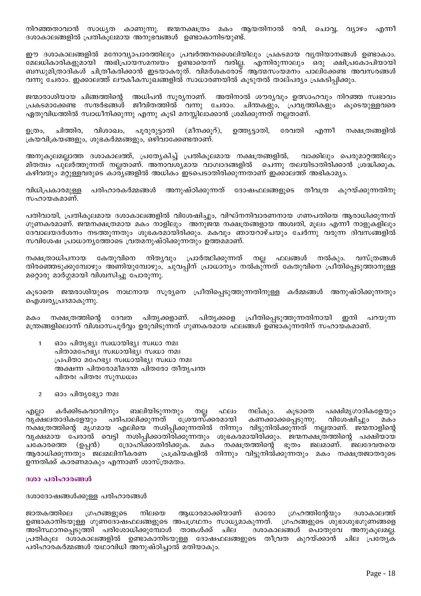നിറഞ്ഞതാവാൻ സാധ്യത കാണുന്നു. ജന്മനക്ഷത്രം മകം ആയതിനാൽ രവി, ചൊവ്വ, വ്യാഴം എന്നീ ദശാകാലങ്ങളിൽ പ്രതികൂലമായ അനുഭവങ്ങൾ ഉണ്ടാകാനിടയുണ്ട്.

ഈ ദശാകാലങ്ങളിൽ മനോവ്യാപാരത്തിലും പ്രവർത്തനശൈലിയിലും പ്രകടമായ വ്യതിയാനങ്ങൾ ഉണ്ടാകാം. മേലധികാരികളുമായി അഭിപ്രായസമന്വയം ഉണ്ടായെന്ന് വരില്ല. എന്നിരുന്നാലും ഒരു ക്ഷിപ്രകോപിയായി ബന്ധുമിത്രാദികൾ ചിത്രീകരിക്കാൻ ഇടയാകരുത്. വിമർശകരോട് ആത്മസംയമനം പാലിക്കേണ്ട അവസരങ്ങൾ വന്നു ചേരാം. ഇക്കാലത്ത് ലൗകീകസുഖങ്ങളിൽ സാധാരണയിൽ കൂടുതൽ താല്പര്യം പ്രകടിപ്പിക്കും.

ജന്മാരാശിയായ ചിങ്ങത്തിന്റെ അധിപൻ സൂര്യനാണ്. അതിനാൽ ശൗര്യവും ഉത്സാഹവും നിറഞ്ഞ സ്വഭാവം പ്രകടമാക്കേണ്ട സന്ദർഭങ്ങൾ ജീവിതത്തിൽ വന്നു ചേരാം. ചിന്തകളും, പ്രവൃത്തികളും കുടെയുള്ളവരെ ഏതുവിധത്തിൽ സ്വാധീനിക്കുന്നു എന്നു കൂടി മനസ്സിലാക്കാൻ ശ്രമിക്കുന്നത് നല്ലതാണ്.

നക്ഷത്രങ്ങളിൽ വിശാഖം, പൂരുരുട്ടാതി (മീനക്കൂറ്), ഉത്രം, ചിത്തിര, ഉത്ത്യട്ടാതി, രേവതി എന്നീ ക്രയവിക്രയങ്ങളും, ശുഭകർമ്മങ്ങളും, ഒഴിവാക്കേണ്ടതാണ്.

അനുകൂലമല്ലാത്ത ദശാകാലത്ത്, പ്രത്യേകിച്ച് പ്രതികൂലമായ നക്ഷത്രങ്ങളിൽ, വാക്കിലും പെരുമാറ്റത്തിലും മിതത്വം പുലർത്തുന്നത് നല്ലതാണ്. അനാവശ്യമായ വാഗ്വാദങ്ങളിൽ ചെന്നു തലയിടാതിരിക്കാൻ ശ്രദ്ധിക്കുക. കഴിവതും മറ്റുള്ളവരുടെ കാര്്യങ്ങളിൽ അധികം ഇടപെടാതിരിക്കുന്നതാണ് ഇക്കാലത്ത് അഭികാമ്യം.

വിധിപ്രകാരമുള്ള പരിഹാരകർമ്മങ്ങൾ അനുഷ്ഠിക്കുന്നത് ദോഷഫലങ്ങളുടെ തീവത്ര കുറയ്ക്കുന്നതിനു സഹായകമാണ്.

പതിവായി, പ്രതികൂലമായ ദശാകാലങ്ങളിൽ വിശേഷിച്ചും, വിഘ്നനിവാരണനായ ഗണപതിയെ ആരാധിക്കുന്നത് ഗുണകരമാണ്. ജന്മനക്ഷത്രമായ മകം നാളിലും അനുജന്മ നക്ഷത്രങ്ങളായ അശ്വതി, മൂലം എന്നീ നാളുകളിലും ദേവാലയദർശനം നടത്തുന്നതും ശുഭകരമായിരിക്കും. മകവും ഞായറാഴ്ചയും ചേർന്നു വരുന്ന ദിവസങ്ങളിൽ സവിശേഷ പ്രാധാനൃത്തോടെ വ്രതമനുഷ്ഠിക്കുന്നതും ഉത്തമമാണ്.

നക്ഷത്രാധിപനായ കേതുവിനെ നിതൃവും പ്രാർത്ഥിക്കുന്നത് നല്ല ഫലങ്ങൾ നൽകും. വസ്ത്രങ്ങൾ തിരഞ്ഞെടുക്കുമ്പോഴും അണിയുമ്പോഴും, ചുവപ്പിന് പ്രാധാന്യം നൽകു്ന്നത് കേതുവിനെ പ്രീതിപ്പെടുത്താനുള്ള മറ്റൊരു മാർഗ്ഗമായി വിശ്വസിച്ചു പോരുന്നു.

കൂടാതെ ജന്മരാശിയുടെ നാഥനായ സൂര്യനെ പ്രീതിപ്പെടുത്തുന്നതിനുള്ള കർമ്മങ്ങൾ അനുഷ്ഠിക്കുന്നതും ഐശ്വര്യപ്രദമാകുന്നു.

ഇനി നക്ഷത്രത്തിന്റെ ദേവത പിതൃക്കളാണ്. പിതൃക്കളെ പ്രീതിപ്പെടുത്തുന്നതിനായി പറയുന്ന മകം മന്ത്രങ്ങളിലൊന്ന് വിശ്വാസപൂർവ്വം ഉരുവിടുന്നത് ഗുണകരമായ ഫലങ്ങൾ ഉണ്ടാകുന്നതിന് സഹായകമാണ്.

- ഓം പിതൃഭ്യഃ സ്വധായിഭ്യഃ സ്വധാ നമഃ പിതാമഹേഭ്യഃ സ്വധായിഭ്യഃ സ്വധാ നമഃ പ്രപിതാ മഹേഭ്യഃ സ്വധായിഭ്യഃ സ്വധാ നമഃ അക്ഷന്ന പിതരോമീമദന്ത പിതരോ തീതൃപന്ത പിതരഃ പിതരഃ സുന്ധധ്വം
- $\overline{2}$ ഓം പിതൃഭ്യോ നമഃ

കർക്കിടകവാവിനും ബലിയിടുന്നതും നല്ല നല്കും. കൂടാതെ പക്ഷിമൃഗാദികളേയും എല്ലാ ഫലം കണക്കാക്കപ്പെടുന്നു. വൃക്ഷലതാദികളേയും പരിപാലിക്കുന്നത് ശ്രേയസ്ക്കരമായി വിശേഷിച്ചും മകം നക്ഷത്രത്തിന്റെ മൃഗമായ എലിയെ നശിപ്പിക്കുന്നതിൽ നിന്നും വിട്ടുനിൽക്കുന്നത് നല്ലതാണ്. ജന്മനാളിന്റെ വൃക്ഷമായ പേരാൽ വെട്ടി നശിപ്പിക്കാതിരിക്കുന്നതും ശുഭകരമായിരിക്കും. ജന്മനക്ഷത്രത്തിന്റെ പക്ഷിയായ നക്ഷത്രത്തിന്റെ ചകോരത്തെ (ഉപ്പൻ) ദ്രോഹിക്കാതിരിക്കുക. മകം ഭുതം ജലമാണ്. **ജലദേവതയെ** ആരാധിക്കുന്നതും മലമലിനീകരണ പ്രക്രിയകളിൽ നിന്നും വിട്ടുനിൽക്കുന്നതും മകം നക്ഷത്രജാതരുടെ ഉന്നതിക്ക് കാരണമാകും എന്നാണ് ശാസ്ത്രമതം.

### ദശാ പരിഹാരങ്ങൾ

### ദശാദോഷങ്ങൾക്കുള്ള പരിഹാരങ്ങൾ

ജാതകത്തിലെ ഗ്രഹങ്ങളുടെ നിലയെ ആധാരമാക്കിയാണ് ഓരോ ഗ്രഹത്തിന്റേയും ദശാകാലത്ത് ഉണ്ടാകാനിടയുള്ള ഗുണദോഷഫലങ്ങളുടെ അപഗ്രഥനം സാധ്യമാകുന്നത്. ഗ്രഹങ്ങളുടെ ശുഭാശുഭഗുണങ്ങളെ അടിസ്ഥാനപ്പെടുത്തി പരിശോധിക്കുമ്പോൾ താങ്കൾക്ക് ചില ദശാകാലങ്ങൾ പൊതുവേ അനുകൂലമല്ല. പ്രതികൂല ദശാകാലങ്ങളിൽ ഉണ്ടാകാനിടയുള്ള ദോഷഫലങ്ങളുടെ തീവ്രത കുറയ്ക്കാൻ ചില പ്രത്യേക പരിഹാരകർമ്മങ്ങൾ യഥാവിധി അനുഷ്ഠിച്ചാൽ മതിയാകും.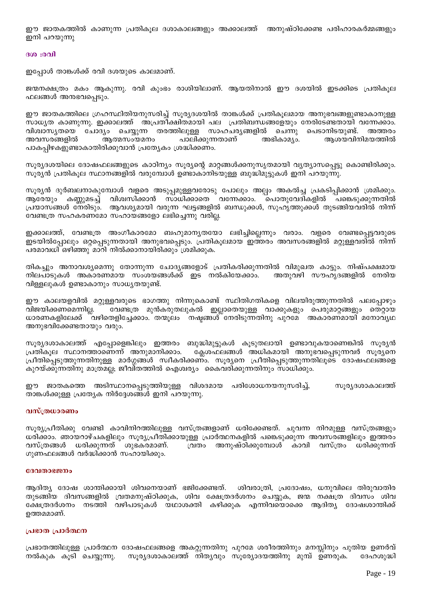. ഈ ജാതകത്തിൽ കാണുന്ന പ്രതികൂല ദശാകാലങ്ങളും അക്കാലത്ത് അനുഷ്ഠിക്കേണ്ട പരിഹാരകർമ്മങ്ങളും ഇനി പറയുന്നു

#### **300:001**

ഇപ്പോൾ താങ്കൾക്ക് രവി ദശയുടെ കാലമാണ്.

ജന്മനക്ഷത്രം മകം ആകുന്നു. രവി കുംഭം രാശിയിലാണ്. ആയതിനാൽ ഈ ദശയിൽ ഇടക്കിടെ പ്രതികൂല ഫലങ്ങൾ അനഭവപ്പെടും.

ഈ ജാതകത്തിലെ ഗ്രഹസ്ഥിതിയനുസരിച്ച് സൂര്യദശയിൽ താങ്കൾക്ക് പ്രതികൂലമായ അനുഭവങ്ങളുണ്ടാകാനുള്ള സാധ്യത കാണുന്നു. ഇക്കാലത്ത് അപ്രതിക്ഷിതമായി പല പ്രതിബന്ധങ്ങളേയും നേരിടേണ്ടതായി വന്നേക്കാം. വിശ്വാസൃതയെ ചോദ്യം ചെയ്യുന്ന തരത്തിലുള്ള സാഹചരൃങ്ങളിൽ ചെന്നു പെടാനിടയുണ്ട്. അത്തരം അവസരങ്ങളിൽ ആത്മസംയമനം പാലിക്കുന്നതാണ് അഭികാമ്യം. ആശയവിനിമയത്തിൽ പാകപ്പിഴകളുണ്ടാകാതിരിക്കുവാൻ പ്രത്യേകം ശ്രദ്ധിക്കണം.

സൂര്യദശയിലെ ദോഷഫലങ്ങളുടെ കാഠിന്യം സൂര്യന്റെ മാറ്റങ്ങൾക്കനുസൃതമായി വ്യത്യാസപ്പെട്ടു കൊണ്ടിരിക്കും. സൂര്യൻ പ്രതികൂല സ്ഥാനങ്ങളിൽ വരുമ്പോൾ ഉണ്ടാകാനിടയുള്ള ബുദ്ധിമുട്ടുകൾ ഇനി പറയുന്നു.

സൂര്യൻ ദുർബലനാകുമ്പോൾ വളരെ അടുപ്പമുള്ളവരോടു പോലും അല്പം അകൽച്ച പ്രകടിപ്പിക്കാൻ ശ്രമിക്കും. ആരേയും കണ്ണുമടച്ച് വിശ്വസിക്കാൻ സാധിക്കാതെ വന്നേക്കാം. പൊതുവേദികളിൽ പങ്കെടുക്കുന്നതിൽ പ്രയാസങ്ങൾ നേരിടും. ആവശ്യമായി വരുന്ന ഘട്ടങ്ങളിൽ ബന്ധുക്കൾ, സുഹൃത്തുക്കൾ തുടങ്ങിയവരിൽ നിന്ന് വേണ്ടത്ര സഹകരണമോ സഹായങ്ങളോ ലഭിച്ചെന്നു വരില്ല.

ഇക്കാലത്ത്, വേണ്ടത്ര അംഗീകാരമോ ബഹുമാനൃതയോ ലഭിച്ചില്ലെന്നും വരാം. വളരെ വേണ്ടപ്പെട്ടവരുടെ ഇടയിൽപ്പോലും ഒറ്റപ്പെടുന്നതായി അനുഭവപ്പെടും. പ്രതികൂലമായ ഇത്തരം അവസരങ്ങളിൽ മറ്റുള്ളവരിൽ നിന്ന് പരമാവധി ഒഴിഞ്ഞു മാറി നിൽക്കാനായിരിക്കും ശ്രമിക്കുക.

തികച്ചും അനാവശ്യമെന്നു തോന്നുന്ന ചോദ്യങ്ങളോട് പ്രതികരിക്കുന്നതിൽ വിമുഖത കാട്ടും. നിഷ്പക്ഷമായ നിലപാടുകൾ അകാരണമായ സംശയങ്ങൾക്ക് ഇട നൽകിയേക്കാം. അതുവഴി സൗഹൃദങ്ങളിൽ നേരിയ വിള്ളലുകൾ ഉണ്ടാകാനും സാധ്യതയുണ്ട്.

ഈ കാലയളവിൽ മറ്റുള്ളവരുടെ ഭാഗത്തു നിന്നുകൊണ്ട് സ്ഥിതിഗതികളെ വിലയിരുത്തുന്നതിൽ പലപ്പോഴും വേണ്ടത്ര മുൻകരുതലുകൽ ഇല്ലാതെയുള്ള വാക്കുകളും പെരുമാറ്റങ്ങളും തെറ്റായ വിജയിക്കണമെന്നില്ല. ധാരണകളിലേക്ക് `വഴിതെളിച്ചേക്കാം. തന്മൂലം നഷ്ടങ്ങൾ നേരിടുന്നതിനു പുറമേ അകാരണമായി മനോവ്യഥ അനുഭവിക്കേണ്ടതായും വരും.

സൂര്യദശാകാലത്ത് എപ്പോളെങ്കിലും ഇത്തരം ബുദ്ധിമുട്ടുകൾ കൂടുതലായി ഉണ്ടാവുകയാണെങ്കിൽ സൂര്യൻ ക്ലേശഫലങ്ങൾ അധികമായി അനുഭവപ്പെടുന്നവർ സൂര്യനെ പ്രതികൂല സ്ഥാനത്താണെന്ന് അനുമാനിക്കാം. ്പ്രീതിപ്പെടുത്തുന്നതിനുള്ള മാർഗ്ഗങ്ങൾ സ്വീകരിക്കണ്ം. സൂര്യനെ പ്രീതിപ്പെടുത്തുന്നതിലൂടെ ദോഷഫലങ്ങളെ കുറയ്ക്കുന്നതിനു മാത്രമല്ല; ജീവിതത്തിൽ ഐശ്വര്യം കൈവരിക്കുന്നതിനും സാധിക്കും.

ഈ ജാതകത്തെ അടിസ്ഥാനപ്പെടുത്തിയുള്ള വിശദമായ പരിശോധനയനുസരിച്ച്, സൂര്യദശാകാലത്ത് താങ്കൾക്കുള്ള പ്രത്യേക നിർദ്ദേശങ്ങൾ ഇനി പറയുന്നു.

#### വസ്ത്രധാരണം

സൂര്യപ്രീതിക്കു വേണ്ടി കാവിനിറത്തിലുള്ള വസ്ത്രങ്ങളാണ് ധരിക്കേണ്ടത്. ചുവന്ന നിറമുള്ള വസ്ത്രങ്ങളും ധരിക്കാം. ഞായറാഴ്ചകളിലും സൂര്യപ്രീതിക്കായുള്ള പ്രാർത്ഥനകളിൽ പങ്കെടുക്കുന്ന അവസരങ്ങളിലും ഇത്തരം വസ്ത്രങ്ങൾ ധരിക്കുന്നത് ശുഭകരമാണ്. ്വതം അനുഷ്ഠിക്കുമ്പോൾ കാവി വസ്ത്രം ധരിക്കുന്നത് ഗുണഫലങ്ങൾ വർദ്ധിക്കാൻ സഹായിക്കും.

#### ദേവതാഭജനം

ആദിത്യ ദോഷ ശാന്തിക്കായി ശിവനെയാണ് ഭജിക്കേണ്ടത്. ശിവരാത്രി, പ്രദോഷം, ധനുവിലെ തിരുവാതിര തുടങ്ങിയ ദിവസങ്ങളിൽ വ്രതമനുഷ്ഠിക്കുക, ശിവ ക്ഷേത്രദർശനം ചെയ്യുക, ജന്മ നക്ഷത്ര ദിവസം ശിവ ക്ഷേത്രദർശനം നടത്തി വഴിപാടുകൾ യഥാശക്തി കഴിക്കുക എന്നിവയൊക്കെ ആദിത്യ ദോഷശാന്തിക്ക് ഉത്തമമാണ്.

#### പ്രഭാത പ്രാർത്ഥന

പ്രഭാതത്തിലുള്ള പ്രാർത്ഥന ദോഷഫലങ്ങളെ അകറ്റുന്നതിനു പുറമേ ശരീരത്തിനും മനസ്സിനും പുതിയ ഉണർവ് നൽകുക കൂടി ചെയ്യുന്നു. സൂര്യദശാകാലത്ത് നിത്യവും സൂര്യോദയത്തിനു മുമ്പ് ഉണരുക. ദേഹശുദ്ധി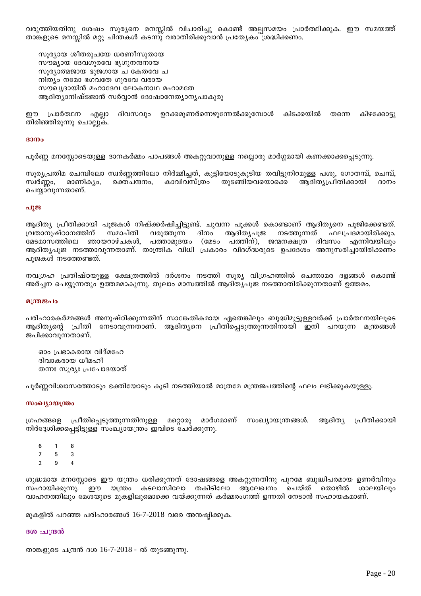വരുത്തിയതിനു ശേഷം സൂര്യനെ മനസ്സിൽ വിചാരിച്ചു കൊണ്ട് അല്പസമയം പ്രാർത്ഥിക്കുക. ഈ സമയത്ത് താങ്കളുടെ മനസ്സിൽ മറ്റു ചിന്തകൾ കടന്നു വരാതിരിക്കുവാൻ പ്രത്യേകം ശ്രദ്ധിക്കണം.

സൂര്യായ ശീതരുചയേ ധരണീസുതായ സൗമ്യായ ദേവഗുരവേ ഭൃഗുനന്ദനായ സൂര്യാത്മജായ ഭുജഗായ ച കേതവേ ച നിത്യം നമോ ഭഗവതേ ഗുരവേ വരായ സൗഖ്യദായിൻ മഹാദേവ ലോകനാഥ മഹാമതേ ആദിത്യാനിഷ്ടജാൻ സർവ്വാൻ ദോഷാനേത്യാന്യപാകുരു

ദിവസവും ഉറക്കമുണർന്നെഴുന്നേൽക്കുമ്പോൾ കിടക്കയിൽ ഈ പ്രാർത്ഥന എല്ലാ തന്നെ കിഴക്കോട്ടു തിരിഞ്ഞിരുന്നു ചൊല്ലുക.

#### $30<sub>0</sub>$

പൂർണ്ണ മനസ്സോടെയുള്ള ദാനകർമ്മം പാപങ്ങൾ അകറ്റുവാനുള്ള നല്ലൊരു മാർഗ്ഗമായി കണക്കാക്കപ്പെടുന്നു.

സൂര്യപ്രതിമ ചെമ്പിലോ സ്വർണ്ണത്തിലോ നിർമ്മിച്ചത്, കുട്ടിയോടുകൂടിയ തവിട്ടുനിറമുള്ള പശു, ഗോതമ്പ്, ചെമ്പ്, മാണിക്യം, രക്തചന്ദനം, കാവിവസ്ത്രം തുടങ്ങിയവയൊക്കെ ആദിത്യപ്രീതിക്കായി സ്വർണ്ണം, ദാനം ചെയ്യാവുന്നതാണ്.

#### പൂജ

ആദിത്യ പ്രീതിക്കായി പുജകൾ നിഷ്ക്കർഷിച്ചിട്ടുണ്ട്. ചുവന്ന പൂക്കൾ കൊണ്ടാണ് ആദിത്യനെ പൂജിക്കേണ്ടത്. വ്രതാനുഷ്ഠാനത്തിന് സമാപ്തി വരുത്തുന്ന ദിനം ആദിത്യപൂജ നടത്തുന്നത് ഫലപ്രദമായിരിക്കും. മേടമാസത്തിലെ ഞായറാഴ്ചകൾ, പത്താമുദയം (മേടം പത്തിന്), ജന്മനക്ഷത്ര ദിവസം എന്നിവയിലും ആദിത്യപുജ നടത്താവുന്നതാണ്. താന്ത്രിക വിധി പ്രകാരം വിദഗ്ദ്ധരുടെ ഉപദേശം അനുസരിച്ചായിരിക്കണം പൂജകൾ നടത്തേണ്ടത്.

നവഗ്രഹ പ്രതിഷ്ഠയുള്ള ക്ഷേത്രത്തിൽ ദർശനം നടത്തി സുര്യ വിഗ്രഹത്തിൽ ചെന്താമര ദളങ്ങൾ കൊണ്ട് അർച്ചന ചെയ്യുന്നതും ഉത്തമമാകുന്നു. തുലാം മാസത്തിൽ ആദിത്യപുജ നടത്താതിരിക്കുന്നതാണ് ഉത്തമം.

#### മന്ത്രജപം

്പരിഹാരകർമ്മങ്ങൾ അനുഷ്ഠിക്കുന്നതിന് സാങ്കേതികമായ ഏതെങ്കിലും ബുദ്ധിമുട്ടുള്ളവർക്ക് പ്രാർത്ഥനയിലൂടെ ആദിത്യന്റെ പ്രീതി നേടാവുന്നതാണ്. ആദിത്യനെ പ്രീതിപ്പെടുത്തുന്നതിനായി ഇനി പറയുന്ന മന്ത്രങ്ങൾ ജപിക്കാവുന്നതാണ്.

ഓം പ്രഭാകരായ വിദ്മഹേ ദിവാകരായ ധീമഹീ തന്നഃ സൂര്യഃ പ്രചോദയാത്

പൂർണ്ണവിശ്വാസത്തോടും ഭക്തിയോടും കൂടി നടത്തിയാൽ മാത്രമേ മന്ത്രജപത്തിന്റെ ഫലം ലഭിക്കുകയുള്ളൂ.

#### സംഖ്യായന്ത്രം

ഗ്രഹങ്ങളെ പ്രീതിപ്പെടുത്തുന്നതിനുള്ള മറ്റൊരു മാർഗമാണ് സംഖ്യായന്ത്രങ്ങൾ. ആദിത്യ പ്രീതിക്കായി നിർദ്ദേശിക്കപ്പെട്ടിട്ടുള്ള സംഖ്യായന്ത്രം ഇവിടെ ചേർക്കുന്നു.

- 6  $\mathbf{1}$  $\mathbf{a}$
- $\overline{7}$  $\overline{5}$ 3
- $\overline{2}$  $\mathbf{Q}$  $\overline{\mathbf{A}}$

ശുദ്ധമായ മനസ്സോടെ ഈ യന്ത്രം ധരിക്കുന്നത് ദോഷങ്ങളെ അകറ്റുന്നതിനു പുറമേ ബുദ്ധിപരമായ ഉണർവിനും <sup>്</sup> ഈ യന്ത്രം കടലാസിലോ തകിടിലോ ആലേഖനം ചെയ്ത് തൊഴിൽ സഹായിക്കുന്നു. ശാലയിലും വാഹനത്തിലും മേശയുടെ മുകളിലുമൊക്കെ വയ്ക്കുന്നത് കർമ്മരംഗത്ത് ഉന്നതി നേടാൻ സഹായകമാണ്.

മുകളിൽ പറഞ്ഞ പരിഹാരങ്ങൾ 16-7-2018 വരെ അന്മഷ്ഠിക്കുക.

#### ദശ :ചന്ദ്രൻ

താങ്കളുടെ ചന്ദ്രൻ ദശ 16-7-2018 - ൽ തുടങ്ങുന്നു.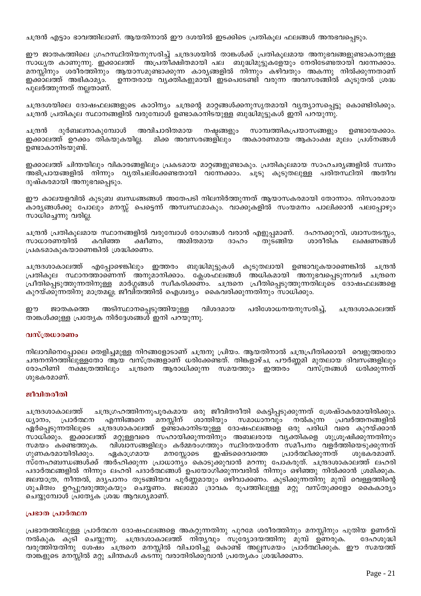ചന്ദ്രൻ എട്ടാം ഭാവത്തിലാണ്. ആയതിനാൽ ഈ ദശയിൽ ഇടക്കിടെ പ്രതികൂല ഫലങ്ങൾ അനഭവപ്പെടും.

ഈ ജാതകത്തിലെ ഗ്രഹസ്ഥിതിയനുസരിച്ച് ചന്ദ്രദശയിൽ താങ്കൾക്ക് പ്രതികൂലമായ അനുഭവങ്ങളുണ്ടാകാനുള്ള സാധ്യത കാണുന്നു. ഇക്കാലത്ത് അപ്രതീക്ഷിതമായി പല ബുദ്ധിമുട്ടുകളേയും നേരിടേണ്ടതായി വന്നേക്കാം. മനസ്സിനും ശരീരത്തിനും ആയാസമുണ്ടാക്കുന്ന കാര്യങ്ങളിൽ നിന്നും കഴിവതും അകന്നു നിൽക്കുന്നതാണ് ഇക്കാലത്ത് അഭികാമൃം. ഉന്നതരായ വ്യക്തികളുമായി ഇടപെടേണ്ടി വരുന്ന അവസരങ്ങിൽ കൂടുതൽ ശ്രദ്ധ പുലർത്തുന്നത് നല്ലതാണ്.

ചന്ദ്രദശയിലെ ദോഷഫലങ്ങളുടെ കാഠിന്യം ചന്ദ്രന്റെ മാറ്റങ്ങൾക്കനുസൃതമായി വ്യത്യാസപ്പെട്ടു കൊണ്ടിരിക്കും. ചന്ദ്രൻ പ്രതികൂല സ്ഥാനങ്ങളിൽ വരുമ്പോൾ ഉണ്ടാകാനിടയുള്ള ബുദ്ധിമുട്ടുകൾ ഇനി പറയുന്നു.

അവിചാരിതമായ നഷ്ടങ്ങളും ദുർബലനാകുമ്പോൾ സാമ്പത്തികപ്രയാസങ്ങളും ഉണ്ടായേക്കാം. ചന്ദ്രൻ ഇക്കാലത്ത് ഉറക്കം തികയുകയില്ല. മിക്ക അവസരങ്ങളിലും അകാരണമായ ആകാംക്ഷ മൂലം പ്രശ്നങ്ങൾ ഉണ്ടാകാനിടയുണ്ട്.

ഇക്കാലത്ത് ചിന്തയിലും വികാരങ്ങളിലും പ്രകടമായ മാറ്റങ്ങളുണ്ടാകും. പ്രതികൂലമായ സാഹചര്യങ്ങളിൽ സ്വന്തം അഭിപ്രായങ്ങളിൽ നിന്നും വ്യതിചലിക്കേണ്ടതായി വന്നേക്കാം. ചൂടു കൂടുതലുള്ള പരിതസ്ഥിതി അതീവ ദുഷ്കരമായി അനുഭവപ്പെടും.

ഈ കാലയളവിൽ കുടുബ ബന്ധങ്ങങ്ങൾ അതേപടി നിലനിർത്തുന്നത് ആയാസകരമായി തോന്നാം. നിസാരമായ കാരൃങ്ങൾക്കു പോലും മനസ്സ് പെട്ടെന്ന് അസ്വസ്ഥമാകും. വാക്കുകളിൽ സംയമനം പാലിക്കാൻ പലപ്പോഴും സാധിച്ചെന്നു വരില്ല.

ചന്ദ്രൻ പ്രതികൂലമായ സ്ഥാനങ്ങളിൽ വരുമ്പോൾ രോഗങ്ങൾ വരാൻ എളുപ്പമാണ്. ദഹനക്കുറവ്, ശ്വാസതടസ്സം, കവിഞ്ഞ അമിതമായ ശാരീരിക സാധാരണയിൽ ക്ഷീണം, ദാഹം തുടങ്ങിയ ലക്ഷണങ്ങൾ പ്രകടമാകുകയാണെങ്കിൽ ശ്രദ്ധിക്കണം.

ചന്ദ്രദശാകാലത്ത് എപ്പോഴെങ്കിലും ഇത്തരം ബുദ്ധിമുട്ടുകൾ കൂടുതലായി ഉണ്ടാവുകയാണെങ്കിൽ ചന്ദ്രൻ പ്രതികൂല സ്ഥാനത്താണെന്ന് അനുമാനിക്കാം. ക്ലേശഫലങ്ങൾ അധികമായി അനുഭവപ്പെടുന്നവർ ചന്ദ്രനെ പ്രീതിപ്പെടുത്തുന്നതിനുള്ള മാർഗ്ഗങ്ങൾ സ്വീകരിക്കണം. ചന്ദ്രനെ പ്രീതിപ്പെടുത്തുന്നതിലൂടെ ദോഷഫലങ്ങളെ കുറയ്ക്കുന്നതിനു മാത്രമല്ല; ജീവിതത്തിൽ ഐശ്വര്യം കൈവരിക്കുന്നതിനും സാധിക്കും.

ഈ ജാതകത്തെ അടിസ്ഥാനപ്പെടുത്തിയുള്ള വിശദമായ പരിശോധനയനുസരിച്ച്, ചന്ദ്രദശാകാലത്ത് താങ്കൾക്കുള്ള പ്രത്യേക നിർദ്ദേശങ്ങൾ ഇനി പറയുന്നു.

### വസ്ത്രധാരണം

നിലാവിനെപ്പോലെ തെളിച്ചമുള്ള നിറങ്ങളോടാണ് ചന്ദ്രനു പ്രിയം. ആയതിനാൽ ചന്ദ്രപ്രീതിക്കായി വെളുത്തതോ ചന്ദനനിറത്തിലുള്ളതോ ആയ വസ്ത്രങ്ങളാണ് ധരിക്കേണ്ടത്. തിങ്കളാഴ്ച, പൗർണ്ണമി മുതലായ ദിവസങ്ങളിലും രോഹിണി നക്ഷത്രത്തിലും ചന്ദ്രനെ ആരാധിക്കുന്ന സമയത്തും ഇത്തരം വസ്ത്രങ്ങൾ ധരിക്കുന്നത് ശുഭകരമാണ്.

### ജീവിതരീതി

ചന്ദ്രഗ്രഹത്തിനനുപൂരകമായ ഒരു ജീവിതരീതി കെട്ടിപ്പടുക്കുന്നത് ശ്രേഷ്ഠകരമായിരിക്കും. ചന്ദ്രദശാകാലത്ത് ശാന്തിയും സമാധാനവും നൽകുന്ന പ്രവർത്തനങ്ങളിൽ ധ്യാനം, പ്രാർത്ഥന എന്നിങ്ങനെ മനസ്സിന് ഏർപ്പെടുന്നതിലൂടെ ചന്ദ്രദശാകാലത്ത് ഉണ്ടാകാനിടയുള്ള ദോഷഫലങ്ങളെ ഒരു പരിധി വരെ കുറയ്ക്കാൻ സാധിക്കും. ഇക്കാലത്ത് മറ്റുള്ളവരെ സഹായിക്കുന്നതിനും അബലരായ വൃക്തികളെ ശുശ്രൂഷിക്കുന്നതിനും സമയം കണ്ടെത്തുക. വിശ്വാസങ്ങളിലും കർമ്മരംഗത്തും സ്ഥിരതയാർന്ന സമീപനം വളർത്തിയെടുക്കുന്നത് ഇഷ്ടദൈവത്തെ ഗുണകരമായിരിക്കും. ഏകാഗ്രമായ മനസ്സോടെ പ്രാർത്ഥിക്കുന്നത് ശുഭകരമാണ്. സ്നേഹബന്ധങ്ങൾക്ക് അർഹിക്കുന്ന പ്രാധാന്യം കൊടുക്കുവാൻ മറന്നു പോകരുത്. ചന്ദ്രദശാകാലത്ത് ലഹരി പദാർത്ഥങ്ങളിൽ നിന്നും ലഹരി പദാർത്ഥങ്ങൾ ഉപയോഗിക്കുന്നവരിൽ നിന്നും ഒഴിഞ്ഞു നിൽക്കാൻ ശ്രമിക്കുക. ജലയാത്ര, നീന്തൽ, മദൃപാനം തുടങ്ങിയവ പൂർണ്ണമായും ഒഴിവാക്കണം. കുടിക്കുന്നതിനു മുമ്പ് വെള്ളത്തിന്റെ ്ക്ക്ക്ക്<br>ശുചിത്വം ഉറപ്പുവരുത്തു്കയും ചെയ്യണം. ജലമോ ദ്രാവക രൂപത്തിലുള്ള് മറ്റു് വസ്തുക്ക്ളോ കൈകാര്യം ചെയ്യുമ്പോൾ പ്രത്യേക ശ്രദ്ധ ആവശ്യമാണ്.

#### പ്രഭാത പ്രാർത്ഥന

പ്രഭാതത്തിലുള്ള പ്രാർത്ഥന ദോഷഫലങ്ങളെ അകറ്റുന്നതിനു പുറമേ ശരീരത്തിനും മനസ്സിനും പുതിയ ഉണർവ് <u>.</u><br>നൽകുക കൂടി ചെയ്യുന്നു. ചന്ദ്രദശാകാലത്ത് നിതൃവും സൂര്യോദയത്തിനു മുമ്പ് ഉണരുക. ദേഹശുദ്ധി വരുത്തിയതിനു ശേഷം ചന്ദ്രനെ മനസ്സിൽ വിചാരിച്ചു കൊണ്ട് അല്പസമയം പ്രാർത്ഥിക്കുക. ഈ സമയത്ത് താങ്കളുടെ മനസ്സിൽ മറ്റു ചിന്തകൾ കടന്നു വരാതിരിക്കുവാൻ പ്രത്യേകം ശ്രദ്ധിക്കണം.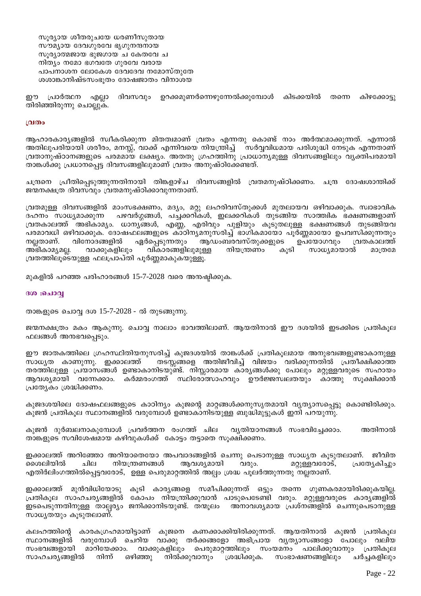സൂര്യായ ശീതരുചയേ ധരണീസുതായ സൗമൃായ ദേവഗുരവേ ഭൃഗുനന്ദനായ സൂര്യാത്മജായ ഭുജഗായ ച കേതവേ ച നിത്യം നമോ ഭഗവതേ ഗുരവേ വരായ പാപനാശന ലോകേശ ദേവദേവ നമോസ്തുതേ ശശാങ്കാനിഷ്ടസംഭൂതം ദോഷജാതം വിനാശയ

ദിവസവും ഉറക്കമുണർന്നെഴുന്നേൽക്കുമ്പോൾ കിടക്കയിൽ ഈ പ്രാർത്ഥന എല്ലാ തന്നെ കിഴക്കോട്ടു തിരിഞ്ഞിരുന്നു ചൊല്ലുക.

#### വ്രതം

ആഹാരകാര്യങ്ങളിൽ സ്വീകരിക്കുന്ന മിതത്വമാണ് വ്രതം എന്നതു കൊണ്ട് നാം അർത്ഥമാക്കുന്നത്. എന്നാൽ അതിലുപരിയായി ശരീരം, മനസ്സ്, വാക്ക് എന്നിവയെ നിയന്ത്രിച്ച് സർവ്വവിധമായ പരിശുദ്ധി നേടുക എന്നതാണ് വ്രതാനുഷ്ഠാനങ്ങളുടെ പരമമായ ലക്ഷ്യം. അതതു ഗ്രഹത്തിനു പ്രാധാന്യമുള്ള ദിവസങ്ങളിലും വൃക്തിപരമായി താങ്കൾക്കു പ്രധാനപ്പെട്ട ദിവസങ്ങളിലുമാണ് വ്രതം അനുഷ്ഠിക്കേണ്ടത്.

ചന്ദ്രനെ പ്രീതിപ്പെടുത്തുന്നതിനായി തിങ്കളാഴ്ച ദിവസങ്ങളിൽ വ്രതമനുഷ്ഠിക്കണം. ചന്ദ്ര ദോഷശാന്തിക്ക് ജന്മനക്ഷത്ര ദിവസവും വ്രതമനുഷ്ഠിക്കാവുന്നതാണ്.

വ്രതമുള്ള ദിവസങ്ങളിൽ മാംസഭക്ഷണം, മദൃം, മറ്റു ലഹരിവസ്തുക്കൾ മുതലായവ ഒഴിവാക്കുക. സ്വാഭാവിക പഴവർഗ്ഗങ്ങൾ, പച്ചക്കറികൾ, ഇലക്കറികൾ തുടങ്ങിയ സാത്ത്വിക ഭക്ഷണങ്ങളാണ് ദഹനം സാധ്യമാക്കുന്ന വ്രതകാലത്ത് അഭികാമ്യം. ധാന്യങ്ങൾ, എണ്ണ, എരിവും പുളിയും കൂടുതലുള്ള ഭക്ഷണങ്ങൾ തുടങ്ങിയവ പരമാവധി ഒഴിവാക്കുക. ദോഷഫലങ്ങളുടെ കാഠിനൃമനുസരിച്ച് ഭാഗികമായോ പൂർണ്ണമായോ ഉപവസിക്കുന്നതും വിനോദങ്ങളിൽ ഏർപ്പെടുന്നതും ആഡംബരവസ്തുക്കളുടെ വ്രതകാലത്ത് നല്ലതാണ്. ഉപയോഗവും വികാരങ്ങളിലുമുള്ള അഭികാമ്യമല്ല. വാക്കുകളിലും നിയന്ത്രണം കൂടി സാധ്യമായാൽ മാത്രമേ വ്രതത്തിലൂടെയുള്ള ഫലപ്രാപ്തി പൂർണ്ണമാകുകയുള്ളൂ.

മുകളിൽ പറഞ്ഞ പരിഹാരങ്ങൾ 15-7-2028 വരെ അനഷ്ടിക്കുക.

### ദശ :ചൊവ്വ

താങ്കളുടെ ചൊവ്വ ദശ 15-7-2028 - ൽ തുടങ്ങുന്നു.

ജന്മനക്ഷത്രം മകം ആകുന്നു. ചൊവ്വ നാലാം ഭാവത്തിലാണ്. ആയതിനാൽ ഈ ദശയിൽ ഇടക്കിടെ പ്രതികൂല ഫലങ്ങൾ അനഭവപ്പെടും.

ഈ ജാതകത്തിലെ ഗ്രഹസ്ഥിതിയനുസരിച്ച് കുജദശയിൽ താങ്കൾക്ക് പ്രതികൂലമായ അനുഭവങ്ങളുണ്ടാകാനുള്ള സാധ്യത കാണുന്നു. ഇക്കാലത്ത് തടസ്സങ്ങളെ അതിജീവിച്ച് വിജയം വരിക്കുന്നതിൽ പ്രതീക്ഷിക്കാത്ത തരത്തിലുള്ള പ്രയാസങ്ങൾ ഉണ്ടാകാനിടയുണ്ട്. നിസ്സാരമായ കാര്യങ്ങൾക്കു പോലും മറ്റുള്ളവരുടെ സഹായം ആവശ്യമായി വന്നേക്കാം. കർമ്മരംഗത്ത് സ്ഥിരോത്സാഹവും ഊർജ്ജസ്വലതയും കാത്തു സൂക്ഷിക്കാൻ പ്രത്യേകം ശ്രദ്ധിക്കണം.

കുജദശയിലെ ദോഷഫലങ്ങളുടെ കാഠിന്യം കുജന്റെ മാറ്റങ്ങൾക്കനുസൃതമായി വ്യത്യാസപ്പെട്ടു കൊണ്ടിരിക്കും. കുജൻ പ്രതികൂല സ്ഥാനങ്ങളിൽ വരുമ്പോൾ ഉണ്ടാകാനിടയുള്ള ബുദ്ധിമുട്ടുകൾ ഇനി പറയുന്നു.

കുജൻ ദുർബലനാകുമ്പോൾ പ്രവർത്തന രംഗത്ത് ചില വ്യതിയാനങ്ങൾ സംഭവിച്ചേക്കാം. അതിനാൽ താങ്കളുടെ സവിശേഷമായ കഴിവുകൾക്ക് കോട്ടം തട്ടാതെ സൂക്ഷിക്കണം.

ഇക്കാലത്ത് അറിഞ്ഞോ അറിയാതെയോ അപവാദങ്ങളിൽ ചെന്നു പെടാനുള്ള സാധൃത കൂടുതലാണ്. ജീവിത മൈലിയിൽ ചില നിയന്ത്രണങ്ങൾ ആവശ്യമായി വരും. മറ്റുള്ളവരോട്, പ്രത്യേകിച്ചും എതിർലിംഗത്തിൽപ്പെട്ടവരോട്, ഉള്ള പെരുമാറ്റത്തിൽ അല്പം ശ്രദ്ധ പൂലർത്തുന്നതു നല്ലതാണ്.

ഇക്കാലത്ത് മുൻവിധിയോടു കൂടി കാര്യങ്ങളെ സമീപിക്കുന്നത് ഒട്ടും തന്നെ ഗുണകരമായിരിക്കുകയില്ല. പ്രതികൂല സാഹചര്യങ്ങളിൽ കോപം നിയന്ത്രിക്കുവാൻ പാടുപെടേണ്ടി വരും. മറ്റുള്ളവരുടെ കാര്യങ്ങളിൽ ഇടപെടുന്നതിനുള്ള താല്പര്യം ജനിക്കാനിടയുണ്ട്. തന്മൂലം അനാവശ്യമായ പ്രശ്നങ്ങളിൽ ചെന്നുപെടാനുള്ള സാധ്യതയും കൂടുതലാണ്.

കലഹത്തിന്റെ കാരകഗ്രഹമായിട്ടാണ് കുജനെ കണക്കാക്കിയിരിക്കുന്നത്. ആയതിനാൽ കുജൻ പ്രതികൂല സ്ഥാനങ്ങളിൽ വരുമ്പോൾ ചെറിയ വാക്കു തർക്കങ്ങളോ അഭിപ്രായ വൃത്യാസങ്ങളോ പോലും വലിയ സംഭവങ്ങളായി മാറിയേക്കാം. വാക്കുകളിലും പെരുമാറ്റത്തിലും സംയമനം പാലിക്കുവാനും പ്രതികൂല സാഹചര്യങ്ങളിൽ നിന്ന് ഒഴിഞ്ഞു നിൽക്കുവാനും ശ്രദ്ധിക്കുക. സംഭാഷണങ്ങളിലും ചർച്ചകളിലും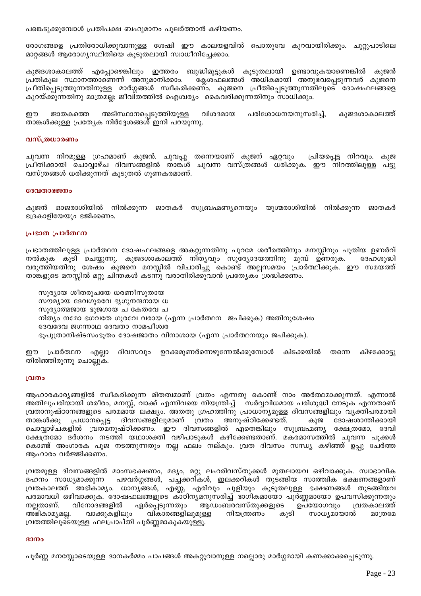പങ്കെടുക്കുമ്പോൾ പ്രതിപക്ഷ ബഹുമാനം പുലർത്താൻ കഴിയണം.

രോഗങ്ങളെ പ്രതിരോധിക്കുവാനുള്ള ശേഷി ഈ കാലയളവിൽ പൊതുവേ കുറവായിരിക്കും. ചുറ്റുപാടിലെ മാറ്റങ്ങൾ ആരോഗ്യസ്ഥിതിയെ കൂടുതലായി സ്വാധീനിച്ചേക്കാം.

കുജദശാകാലത്ത് എപ്പോഴെങ്കിലും ഇത്തരം ബുദ്ധിമുട്ടുകൾ കൂടുതലായി ഉണ്ടാവുകയാണെങ്കിൽ കുജൻ പ്രതികൂല സ്ഥാനത്താണെന്ന് അനുമാനിക്കാം. ക്ലേശഫലങ്ങൾ അധികമായി അനുഭവപ്പെടുന്നവർ കുജനെ പ്രീതിപ്പെടുത്തുന്നതിനുള്ള മാർഗ്ഗങ്ങൾ സ്വീകരിക്കണം. കുജനെ പ്രീതിപ്പെടുത്തുന്നതിലൂടെ ദോഷഫലങ്ങളെ കുറയ്ക്കുന്നതിനു മാത്രമല്ല; ജീവിതത്തിൽ ഐശ്വര്യം കൈവരിക്കുന്നതിനും സാധിക്കും.

അടിസ്ഥാനപ്പെടുത്തിയുള്ള വിശദമായ പരിശോധനയനുസരിച്ച്, കുജദശാകാലത്ത് ഈ ജാതകത്തെ താങ്കൾക്കുള്ള പ്രത്യേക നിർദ്ദേശങ്ങൾ ഇനി പറയുന്നു.

### വസ്ത്രധാരണം

ചുവന്ന നിറമുള്ള ഗ്രഹമാണ് കുജൻ. ചുവപ്പു തന്നെയാണ് കുജന് ഏറ്റവും പ്രിയപ്പെട്ട നിറവും. കുജ പ്രീതിക്കായി ചൊവ്വാഴ്ച ദിവസങ്ങളിൽ താങ്കൾ ചുവന്ന വസ്ത്രങ്ങൾ ധരിക്കുക. ഈ നിറത്തിലുള്ള പട്ടു വസ്ത്രങ്ങൾ ധരിക്കുന്നത് കൂടുതൽ ഗുണകരമാണ്.

#### ദേവതാഭജനം

കുജൻ ഓജരാശിയിൽ നിൽക്കുന്ന ജാതകർ സുബ്രഹ്മണ്യനെയും യുഗ്മരാശിയിൽ നിൽക്കുന്ന ജാതകർ ഭദ്രകാളിയേയും ഭജിക്കണം.

### പ്രഭാത പ്രാർത്ഥന

പ്രഭാതത്തിലുള്ള പ്രാർത്ഥന ദോഷഫലങ്ങളെ അകറ്റുന്നതിനു പുറമേ ശരീരത്തിനും മനസ്സിനും പുതിയ ഉണർവ് നൽകുക കൂടി ചെയ്യുന്നു. കുജദശാകാലത്ത് നി്തൃവും സൂര്യോദയത്തിനു മുമ്പ് ഉണരുക. ദേഹശുദ്ധി വരുത്തിയതിനു ശേഷം കുജനെ മനസ്സിൽ വിചാരിച്ചു കൊണ്ട് അല്പസമയം പ്രാർത്ഥിക്കുക. ഈ സമയത്ത് താങ്കളുടെ മനസ്സിൽ മറ്റു ചിന്തകൾ കടന്നു വരാതിരിക്കുവാൻ പ്രത്യേകം ശ്രദ്ധിക്കണം.

സൂര്യായ ശീതരുചയേ ധരണീസുതായ സൗമ്യായ ദേവഗുരവേ ഭൃഗുനന്ദനായ ധ സൂര്യാത്മജായ ഭുജഗായ ച കേതവേ ച നിത്യം നമോ ഭഗവതേ ഗുരവേ വരായ (എന്ന പ്രാർത്ഥന ജപിക്കുക) അതിനുശേഷം ദേവദേവ ജഗന്നാഥ ദേവതാ നാമപീശ്വര ഭൂപുത്രാനിഷ്ടസംഭൂതം ദോഷജാതം വിനാശായ (എന്ന പ്രാർത്ഥനയും ജപിക്കുക).

ഈ പ്രാർത്ഥന എല്ലാ ദിവസവും ഉറക്കമുണർന്നെഴുന്നേൽക്കുമ്പോൾ കിടക്കയിൽ കിഴക്കോട്ടു തന്നെ തിരിഞ്ഞിരുന്നു ചൊല്ലുക.

#### വ്രതം

ആഹാരകാരൃങ്ങളിൽ സ്വീകരിക്കുന്ന മിതത്വമാണ് വ്രതം എന്നതു കൊണ്ട് നാം അർത്ഥമാക്കുന്നത്. എന്നാൽ അതിലുപരിയായി ശരീരം, മനസ്സ്, വാക്ക് എന്നിവയെ നിയന്ത്രിച്ച് സർവ്വവിധമായ പരിശുദ്ധി നേടുക എന്നതാണ് വ്രതാനുഷ്ഠാനങ്ങളുടെ പരമമായ ലക്ഷ്യം. അതതു ഗ്രഹത്തിനു പ്രാധാന്യമുള്ള ദിവസങ്ങളിലും വ്യക്തിപരമായി യാകാശകു പ്രധാനപ്പെട്ട ദിവസങ്ങളിലുമാണ് വ്രതം അനുഷ്ഠിക്കേണ്ടത്. കുജ<sup>്</sup> ദോഷ്ശാന്തിക്കായി<br>ചൊവ്വാഴ്ചകളിൽ വ്രതമനുഷ്ഠിക്കണം. ഈ ദിവസങ്ങളിൽ എതെങ്കിലും സുബ്രഹ്മണ്യ ക്ഷേത്രമോ, ദേവി<br>ക്ഷേത്രമോ ദർശനം നടത്തി സ്ഥാശക്തി വരിക്കാകൾ കൊട്ടാക ക്ഷേത്രമോ ദർശനം നടത്തി യഥാശക്തി വഴിപാടുകൾ കഴിക്കേണ്ടതാണ്. മകരമാസത്തിൽ ചുവന്ന പൂക്കൾ കൊണ്ട് അംഗാരക പൂജ നടത്തുന്നതും നല്ല ഫലം നല്കും. വ്രത ദിവസം സന്ധ്യ കഴിഞ്ഞ് ഉപ്പു ചേർത്ത ആഹാരം വർജ്ജിക്കണം.

വ്രതമുള്ള ദിവസങ്ങളിൽ മാംസഭക്ഷണം, മദ്യം, മറ്റു ലഹരിവസ്തുക്കൾ മുതലായവ ഒഴിവാക്കുക. സ്വാഭാവിക പഴവർഗ്ഗങ്ങൾ, പച്ചക്കറികൾ, ഇലക്കറികൾ തുടങ്ങിയ സാത്ത്വിക ഭക്ഷണങ്ങളാണ് ദഹനം സാധ്യമാക്കുന്ന വ്രതകാലത്ത് അഭികാമ്യം. ധാന്യങ്ങൾ, എണ്ണ, എരിവും പുളിയും കൂടുതലുള്ള ഭക്ഷണങ്ങൾ തുടങ്ങിയവ പരമാവധി ഒഴിവാക്കുക. ദോഷഫലങ്ങളുടെ കാഠിന്യമനുസരിച്ച് ഭാഗികമായോ പൂർണ്ണമായോ ഉപവസിക്കുന്നതും നല്ലതാണ്. വിനോദങ്ങളിൽ ഏർപ്പെടുന്നതും ആഡംബരവസ്തുക്കളുടെ ഉപയോഗവും വ്രതകാലത്ത് വാക്കുകളിലും നിയന്ത്രണം കൂടി അഭികാമ്യമല്ല. വികാരങ്ങളിലുമുള്ള സാധ്യമായാൽ മാത്രമേ വ്രതത്തിലൂടെയുള്ള ഫലപ്രാപ്തി പൂർണ്ണമാകുകയുള്ളൂ.

#### ദാനം

പൂർണ്ണ മനസ്സോടെയുള്ള ദാനകർമ്മം പാപങ്ങൾ അകറ്റുവാനുള്ള നല്ലൊരു മാർഗ്ഗമായി കണക്കാക്കപ്പെടുന്നു.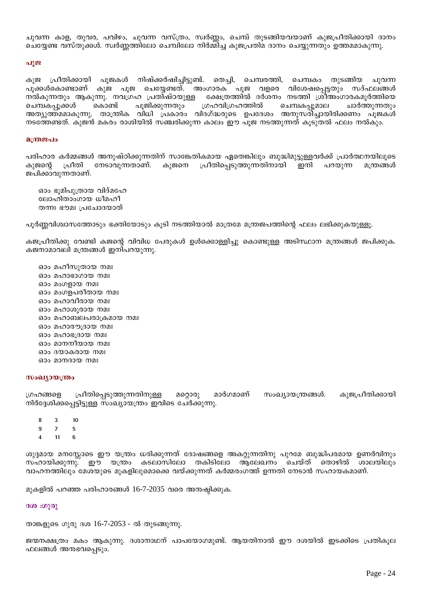ചുവന്ന കാള, തുവര, പവിഴം, ചുവന്ന വസ്ത്രം, സ്വർണ്ണം, ചെമ്പ് തുടങ്ങിയവയാണ് കുജപ്രീതിക്കായി ദാനം ചെയ്യേണ്ട വസ്തുക്കൾ. സ്വർണ്ണത്തിലോ ചെമ്പിലോ നിർമ്മിച്ച കുജപ്രതിമ ദാനം ചെയ്യുന്നതും ഉത്തമമാകുന്നു.

#### പുജ

കുജ പ്രീതിക്കായി പൂജകൾ നിഷ്ക്കർഷിച്ചിട്ടുണ്ട്. തെച്ചി, ചെമ്പരത്തി, ചെമ്പകം തുടങ്ങിയ ചുവന്ന പൂക്കൾകൊണ്ടാണ് കുജ പൂജ ചെയ്യേണ്ടത്. അംഗാരക പൂജ വളരെ വിശേഷപ്പെട്ടതും സദ്ഫലങ്ങൾ നൽകുന്നതും ആകുന്നു. നവഗ്രഹ പ്രതിഷ്ഠയുള്ള ക്ഷേത്രത്തിൽ ദർശനം നടത്തി ശ്രീഅംഗാരകമുർത്തിയെ ചെമ്പകപ്പൂമാല ചെമ്പകപ്പൂക്കൾ കൊണ്ട് പുജിക്കുന്നതും ഗ്രഹവിഗ്രഹത്തിൽ ചാർത്തുന്നതും അത്യുത്ത്മമാകുന്നു. താന്ത്രിക വിധി പ്രകാരം വിദഗ്ദ്ധരുടെ ഉപദേശം അനുസരിച്ചായിരിക്കണം പൂജകൾ നടത്തേണ്ടത്. കുജൻ മകരം രാശിയിൽ സഞ്ചരിക്കുന്ന കാലം ഈ പുജ നടത്തുന്നത് കുടുതൽ ഫലം നൽകും.

#### മന്ത്രജപം

പരിഹാര കർമ്മങ്ങൾ അനുഷ്ഠിക്കുന്നതിന് സാങ്കേതികമായ ഏതെങ്കിലും ബുദ്ധിമുട്ടുള്ളവർക്ക് പ്രാർത്ഥനയിലൂടെ പ്രീതിപ്പെടുത്തുന്നതിനായി ഇനി കുജന്റെ പ്രീതി നേടാവുന്നതാണ്. കുജനെ പറയുന്ന മന്ത്രങ്ങൾ ജപിക്കാവുന്നതാണ്.

ഓം ഭൂമിപുത്രായ വിദ്മഹേ ലോഹിതാംഗായ ധീമഹീ തന്നഃ ഭൗമഃ⊣പചോദയാത്

പൂർണ്ണവിശ്വാസത്തോടും ഭക്തിയോടും കൂടി നടത്തിയാൽ മാത്രമേ മന്ത്രജപത്തിന്റെ ഫലം ലഭിക്കുകയുള്ളൂ.

കജപ്രീതിക്കു വേണ്ടി കജന്റെ വിവിധ പേരുകൾ ഉൾക്കൊള്ളിച്ചു കൊണ്ടുള്ള അടിസ്ഥാന മന്ത്രങ്ങൾ ജപിക്കുക. കജനാമാവലി മന്ത്രങ്ങൾ ഇനിപറയുന്നു.

ഓം മഹീസുതായ നമഃ ഓം മഹാഭാഗായ നമഃ ഓം മംഗളായ നമഃ ഓം മംഗളപരീതായ നമഃ ഓം മഹാവീരായ നമഃ ഓം മഹാശുരായ നമഃ ഓം മഹാബലപരാക്രമായ നമഃ ഓം മഹാരൗദ്രായ നമഃ ഓം മഹാഭദ്രായ നമഃ ഓം മാനനീയായ നമഃ ഓം ദയാകരായ നമഃ ഓപ്പാനദായ നമഃ

# സംഖ്യായന്ത്രം

ഗ്രഹങ്ങളെ പ്രീതിപ്പെടുത്തുന്നതിനുള്ള മറ്റൊരു മാർഗമാണ് സംഖ്യായന്ത്രങ്ങൾ. കുജപ്രീതിക്കായി നിർദ്ദേശിക്കപ്പെട്ടിട്ടുള്ള സംഖ്യായന്ത്രം ഇവിടെ ചേർക്കുന്നു.

- 8  $\mathbf{3}$  $10$
- $\mathbf{Q}$  $\overline{7}$ 5
- $\overline{\mathbf{A}}$  $11$  $\mathbf{6}$

ശുദ്ദമായ മനസ്സോടെ ഈ യന്ത്രം ധരിക്കുന്നത് ദോഷങ്ങളെ അകറ്റുന്നതിനു പുറമേ ബുദ്ധിപരമായ ഉണർവിനും ഈ യന്ത്രം കടലാസിലോ തകിടിലോ ആലേഖനം ചെയ്ത് തൊഴിൽ സഹായിക്കുന്നു. ശാലയിലും വാഹനത്തിലും മേശയുടെ മുകളിലുമൊക്കെ വയ്ക്കുന്നത് കർമ്മരംഗത്ത് ഉന്നതി നേടാൻ സഹായകമാണ്.

മുകളിൽ പറഞ്ഞ പരിഹാരങ്ങൾ 16-7-2035 വരെ അന്ദഷ്ഠിക്കുക.

#### ദശ :ഗുരു

താങ്കളുടെ ഗുരു ദശ 16-7-2053 - ൽ തുടങ്ങുന്നു.

ജന്മനക്ഷത്രം മകം ആകുന്നു. ദശാനാഥന് പാപയോഗമുണ്ട്. ആയതിനാൽ ഈ ദശയിൽ ഇടക്കിടെ പ്രതികൂല ഫലങ്ങൾ അനഭവപ്പെടും.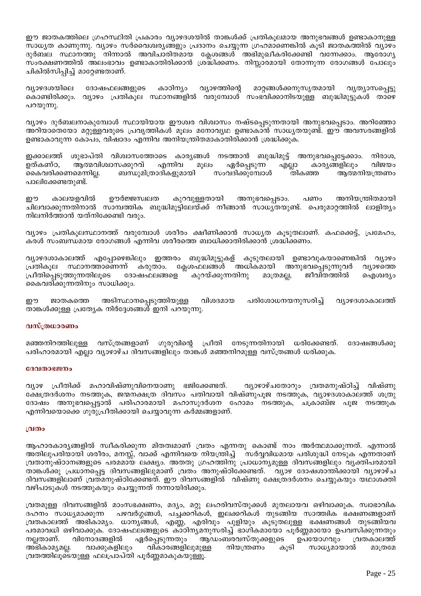ഈ ജാതകത്തിലെ ഗ്രഹസ്ഥിതി പ്രകാരം വ്യാഴദശയിൽ താങ്കൾക്ക് പ്രതികൂലമായ അനുഭവങ്ങൾ ഉണ്ടാകാനുള്ള സാധ്യത കാണുന്നു. വ്യാഴം സർവൈശ്വര്യങ്ങളും പ്രദാനം ചെയ്യുന്ന ഗ്രഹമാണെങ്കിൽ കൂടി ജാതകത്തിൽ വ്യാഴം ദുർബല സ്ഥാനത്തു നിന്നാൽ അവിചാരിതമായ ക്ലേശങ്ങൾ അഭിമുഖീകരിക്കേണ്ടി വന്നേക്കാം. ആരോഗ്യ സംരക്ഷണത്തിൽ അലംഭാവം ഉണ്ടാകാതിരിക്കാൻ ശ്രദ്ധിക്കണം. നിസ്സാരമായി തോന്നുന്ന രോഗങ്ങൾ പോലും ചികിൽസിപ്പിച്ച് മാറ്റേണ്ടതാണ്.

വ്യാഴദശയിലെ ദോഷഫലങ്ങളുടെ കാഠിന്യം വ്യാഴത്തിന്റെ മാറ്റങ്ങൾക്കനുസൃതമായി വ്യത്യാസപ്പെട്ടു കൊണ്ടിരിക്കും. വ്യാഴം പ്രതികൂല സ്ഥാനങ്ങളിൽ വരുമ്പോൾ സംഭവിക്കാനിടയുള്ള ബുദ്ധിമുട്ടുകൾ താഴെ പറയുന്നു.

വ്യാഴം ദുർബലനാകുമ്പോൾ സ്ഥായിയായ ഈശ്വര വിശ്വാസം നഷ്ടപ്പെടുന്നതായി അനുഭവപ്പെടാം. അറിഞ്ഞോ അറിയാതെയോ മറ്റുള്ളവരുടെ പ്രവൃത്തികൾ മൂലം മനോവ്യഥ ഉണ്ടാകാൻ സാധ്യതയുണ്ട്. ഈ അവസരങ്ങളിൽ ഉണ്ടാകാവുന്ന കോപം, വിഷാദം എന്നിവ അനിയന്ത്രിതമാകാതിരിക്കാൻ ശ്രദ്ധിക്കുക.

ഇക്കാലത്ത് ശുഭാപ്തി വിശ്വാസത്തോടെ കാര്യങ്ങൾ നടത്താൻ ബുദ്ധിമുട്ട് അനുഭവപ്പെട്ടേക്കാം. നിരാശ, മൂലം ഉത്കണ്ഠ, ആത്മവിശ്വാസക്കുറവ് എന്നിവ ഏർപ്പെടുന്ന എല്ലാ കാര്യങ്ങളിലും വിജയം കൈവരിക്കണമെന്നില്ല. ബന്ധുമിത്രാദികളുമായി സംവദിക്കുമ്പോൾ ആത്മനിയന്ത്രണം തികഞ്ഞ പാലിക്കേണ്ടതുണ്ട്.

കാലയളവിൽ ഊർജ്ജസ്വലത ഈ കുറവുള്ളതായി അനുഭവപ്പെടാം. അനിയന്ത്രിതമായി പണം ചിലവാക്കുന്നതിനാൽ സാമ്പത്തിക ബുദ്ധിമുട്ടിലേയ്ക്ക് നീങ്ങാൻ സാധ്യതയുണ്ട്. പെരുമാറ്റത്തിൽ ലാളിത്യം നിലനിർത്താൻ യത്നിക്കേണ്ടി വരും.

വ്യാഴം പ്രതികൂലസ്ഥാനത്ത് വരുമ്പോൾ ശരീരം ക്ഷീണിക്കാൻ സാധ്യത കൂടുതലാണ്. കഫക്കെട്ട്, പ്രമേഹം, കരൾ സംബന്ധമായ രോഗങ്ങൾ എന്നിവ ശരീരത്തെ ബാധിക്കാതിരിക്കാൻ ശ്രദ്ധിക്കണം.

വ്യാഴദശാകാലത്ത് എപ്പോഴെങ്കിലും ഇത്തരം ബുദ്ധിമുട്ടുകള് കൂടുതലായി ഉണ്ടാവുകയാണെങ്കിൽ വ്യാഴം സ്ഥാനത്താണെന്ന് ക്ലേശഫലങ്ങൾ അധികമായി അനുഭവപ്പെടുന്നുവർ പ്രതികൂല കരുതാം. വ്യാഴത്തെ പ്രീതിപ്പെടുത്തുന്നതിലൂടെ ദോഷഫലങ്ങളെ കുറയ്ക്കുന്നതിനു മാത്രമല്ല, ജീവിതത്തിൽ ഐശ്വര്യം കൈവരിക്കുന്നതിനും സാധിക്കും.

അടിസ്ഥാനപ്പെടുത്തിയുള്ള വിശദമായ പരിശോധനയനുസരിച്ച് വ്യാഴദശാകാലത്ത് ഈ ജാതകത്തെ താങ്കൾക്കുള്ള പ്രത്യേക നിർദ്ദേശങ്ങൾ ഇനി പറയുന്നു.

### വസ്ത്രധാരണം

വസ്ത്രങ്ങളാണ് ഗുരുവിന്റെ പ്രീതി നേടുന്നതിനായി ധരിക്കേണ്ടത്. മഞ്ഞനിറത്തിലുള്ള ദോഷങ്ങൾക്കു പരിഹാരമായി എല്ലാ വ്യാഴാഴ്ച ദിവസങ്ങളിലും താങ്കൾ മഞ്ഞനിറമുള്ള വസ്ത്രങ്ങൾ ധരിക്കുക.

#### ദേവതാഭജനം

വ്യാഴ പ്രീതിക്ക് മഹാവിഷ്ണുവിനെയാണു ഭജിക്കേണ്ടത്. വ്യാഴാഴ്ചതോറും വ്രതമനുഷ്ഠിച്ച് വിഷ്ണു ക്ഷേത്രദർശനം നടത്തുക, ജന്മനക്ഷത്ര ദിവസം പതിവായി വിഷ്ണുപൂജ നടത്തുക, വ്യാഴദശാകാലത്ത് ശത്രു ദോഷം അനുഭവപ്പെട്ടാൽ പരിഹാരമായി മഹാസുദർശന ഹോമം നടത്തുക, ചക്രാബ്ജ പൂജ നടത്തുക എന്നിവയൊക്കെ ഗുരുപ്രീതിക്കായി ചെയ്യാവുന്ന കർമ്മങ്ങളാണ്.

#### വ്രതം

ആഹാരകാര്യങ്ങളിൽ സ്വീകരിക്കുന്ന മിതത്വമാണ് വ്രതം എന്നതു കൊണ്ട് നാം അർത്ഥമാക്കുന്നത്. എന്നാൽ അതിലുപരിയായി ശരീരം, മനസ്സ്, വാക്ക് എന്നിവയെ നിയന്ത്രിച്ച് സർവ്വവിധമായ പരിശുദ്ധി നേടുക എന്നതാണ് വ്രതാനുഷ്ഠാനങ്ങളുടെ പരമമായ ലക്ഷ്യം. അതതു ഗ്രഹത്തിനു പ്രാധാന്യമുള്ള ദിവസങ്ങളിലും വ്യക്തിപരമായി താങ്കൾക്കു പ്രധാനപ്പെട്ട ദിവസങ്ങളിലുമാണ് വ്രതം അനുഷ്ഠിക്കേണ്ടത്. വ്യാഴ ദോഷശാന്തിക്കായി വ്യാഴാഴ്ച ദിവസങ്ങളിലാണ് വ്രതമനുഷ്ഠിക്കേണ്ടത്. ഈ ദിവസങ്ങളിൽ വിഷ്ണു ക്ഷേത്രദർശനം ചെയ്യുകയും യഥാശക്തി വഴിപാടുകൾ നടത്തുകയും ചെയ്യുന്നത് നന്നായിരിക്കും.

വ്രതമുള്ള ദിവസങ്ങളിൽ മാംസഭക്ഷണം, മദൃം, മറ്റു ലഹരിവസ്തുക്കൾ മുതലായവ ഒഴിവാക്കുക. സ്വാഭാവിക ദഹനം സാധ്യമാക്കുന്ന പഴവർഗ്ഗങ്ങൾ, പച്ചക്കറികൾ, ഇലക്കറികൾ തുടങ്ങിയ സാത്ത്വിക ഭക്ഷണങ്ങളാണ് വ്രതകാലത്ത് അഭികാമ്യം. ധാന്യങ്ങൾ, എണ്ണ, എരിവും പുളിയും കൂടുതലുള്ള ഭക്ഷണങ്ങൾ തുടങ്ങിയവ പരമാവധി ഒഴിവാക്കുക. ദോഷഫലങ്ങളുടെ കാഠിനൃമനുസരിച്ച് ഭാഗികമായോ പൂർണ്ണമായോ ഉപവസിക്കുന്നതും ഏർപ്പെടുന്നതും ആഡംബരവസ്തുക്കളുടെ നല്ലതാണ്. വിനോദങ്ങളിൽ ഉപയോഗവും വ്രതകാലത്ത് അഭികാമൃമല്ല. വാക്കുകളിലും വികാരങ്ങളിലുമുള്ള നിയന്ത്രണം കൂടി സാധ്യമായാൽ മാത്രമേ വ്രതത്തിലൂടെയുള്ള ഫലപ്രാപ്തി പൂർണ്ണമാകുകയുള്ളൂ.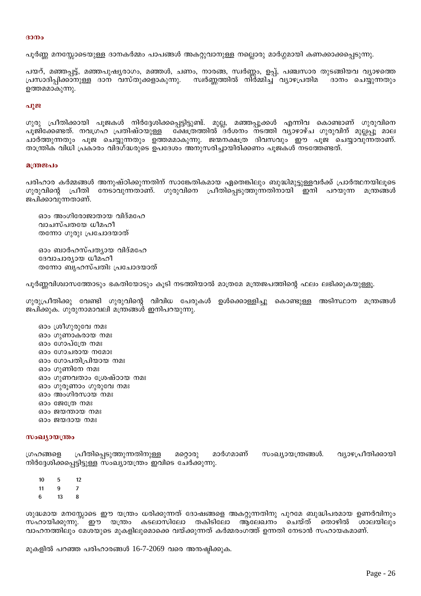#### $3000$

പൂർണ്ണ മനസ്സോടെയുള്ള ദാനകർമ്മം പാപങ്ങൾ അകറ്റുവാനുള്ള നല്ലൊരു മാർഗ്ഗമായി കണക്കാക്കപ്പെടുന്നു.

പയറ്, മഞ്ഞപ്പട്ട്, മഞ്ഞപുഷ്യരാഗം, മഞ്ഞൾ, ചണം, നാരങ്ങ, സ്വർണ്ണം, ഉപ്പ്, പഞ്ചസാര തുടങ്ങിയവ വ്യാഴത്തെ പ്രസാദിപ്പിക്കാനുള്ള ദാന വസ്തുക്കളാകുന്നു. സ്വർണ്ണത്തിൽ നിർമ്മിച്ച വ്യാഴപ്രതിമ ദാനം ചെയ്യുന്നതും ഉത്തമമാകുന്നു.

#### പൂജ

ഗുരു പ്രീതിക്കായി പൂജകൾ നിർദ്ദേശിക്കപ്പെട്ടിട്ടുണ്ട്. മുല്ല, മഞ്ഞപ്പൂക്കൾ എന്നിവ കൊണ്ടാണ് ഗുരുവിനെ പുജിക്കേണ്ടത്. നവഗ്രഹ പ്രതിഷ്ഠയുള്ള ക്ഷേത്രത്തിൽ ദർശനം നടത്തി വ്യാഴാഴ്ച ഗുരുവിന് മുല്ലപ്പു മാല ചാർത്തുന്നതും പൂജ ചെയ്യുന്നതും ഉത്തമമാകുന്നു. ജന്മനക്ഷത്ര ദിവസവും ഈ പൂജ ചെയ്യാവു്ന്നതാണ്. താന്ത്രിക വിധി പ്രകാരം വിദഗ്ദ്ധരുടെ ഉപദേശം അനുസരിച്ചായിരിക്കണം പൂജകൾ നടത്തേണ്ടത്.

#### മന്ത്രജപം

്പരിഹാര കർമ്മങ്ങൾ അനുഷ്ഠിക്കുന്നതിന് സാങ്കേതികമായ ഏതെങ്കിലും ബുദ്ധിമുട്ടുള്ളവർക്ക് പ്രാർത്ഥനയിലൂടെ ഗുരുവിന്റെ പ്രീതി നേടാവുന്നതാണ്. ഗുരുവിനെ പ്രീതിപ്പെടുത്തുന്നതിനായി ഇനി പറയുന്ന മന്ത്രങ്ങൾ ജപിക്കാവുന്നതാണ്.

ഓം അംഗിരോജാതായ വിദ്മഹേ വാചസ്പതയേ ധീമഹീ തന്നോ ഗുരുഃ പ്രചോദയാത്

ഓം ബാർഹസ്പത്യായ വിദ്മഹേ ദേവാചാര്യായ ധീമഹീ തന്നോ ബൃഹസ്പതിഃ പ്രചോദയാത്

പൂർണ്ണവിശ്വാസത്തോടും ഭകതിയോടും കൂടി നടത്തിയാൽ മാത്രമേ മന്ത്രജപത്തിന്റെ ഫലം ലഭിക്കുകയുള്ളൂ.

ഗുരുപ്രീതിക്കു വേണ്ടി ഗുരുവിന്റെ വിവിധ പേരുകൾ ഉൾക്കൊള്ളിച്ചു കൊണ്ടുള്ള അടിസ്ഥാന മന്ത്രങ്ങൾ ജപിക്കുക. ഗുരുനാമാവലി മന്ത്രങ്ങൾ ഇനിപറയുന്നു.

ഓം ശ്രീഗുരുവേ നമഃ ഓം ഗുണാകരായ നമഃ ഓം ഗോപ്ത്രേ നമഃ ഓം ഗോചരായ നമോഃ ഓം ഗോപതിപ്രിയായ നമഃ ഓം ഗുണിനേ നമഃ ഓം ഗുണവതാം ശ്രേഷ്ഠായ നമഃ ഓം ഗുരൂണാം ഗുരുവേ നമഃ ഓം അംഗിരസായ നമഃ ഓം ജേത്രേ നമഃ ഓം ജയന്തായ നമഃ ഓം ജയദായ നമഃ

#### സംഖ്യായന്ത്രം

ഗ്രഹങ്ങളെ പ്രീതിപ്പെടുത്തുന്നതിനുള്ള മറ്റൊരു മാർഗമാണ് സംഖ്യായന്ത്രങ്ങൾ. വ്യാഴപ്രീതിക്കായി നിർദ്ദേശിക്കപ്പെട്ടിട്ടുള്ള സംഖ്യായന്ത്രം ഇവിടെ ചേർക്കുന്നു.

 $10$ 5  $12$  $11$  $9$  $\overline{7}$ 6 13  $\mathbf{a}$ 

ശുദ്ധമായ മനസ്സോടെ ഈ യന്ത്രം ധരിക്കുന്നത് ദോഷങ്ങളെ അകറ്റുന്നതിനു പുറമേ ബുദ്ധിപരമായ ഉണർവിനും സഹായിക്കുന്നു. ഈ യന്ത്രം കടലാസിലോ തകിടിലോ ആലേഖനം ചെയ്ത് തൊഴിൽ ശാലയിലും വാഹനത്തിലും മേശയുടെ മുകളിലുമൊക്കെ വയ്ക്കുന്നത് കർമ്മരംഗത്ത് ഉന്നതി നേടാൻ സഹായകമാണ്.

മുകളിൽ പറഞ്ഞ പരിഹാരങ്ങൾ 16-7-2069 വരെ അനഷ്ടിക്കുക.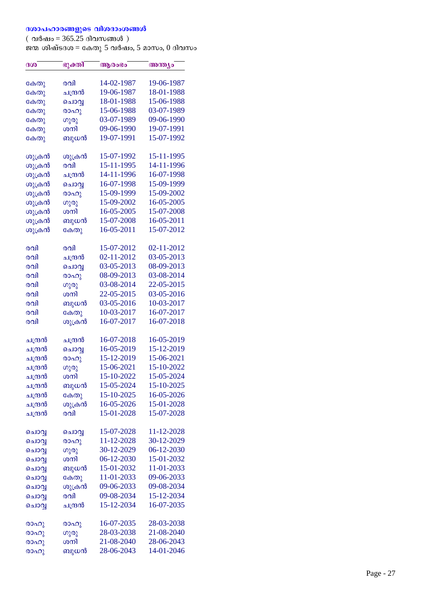## ദശാപഹാരങ്ങളുടെ വിശദാംശങ്ങൾ

( വർഷം = 365.25 ദിവസങ്ങൾ ) ജന്മ ശിഷ്ടദശ $\alpha = 5$ ഷ്കാരോം $\gamma$ ജന്മ ശിഷ്ടദശ $\alpha = 6$ കതു 5 വർഷം, 5 മാസം, 0 ദിവസം

| 19-06-1987<br>14-02-1987<br>രവി<br>കേതു<br>19-06-1987<br>18-01-1988<br>ചന്ദ്രൻ<br>കേതു<br>18-01-1988<br>15-06-1988<br>ചൊവ്വ<br>കേതു<br>15-06-1988<br>03-07-1989<br>രാഹു<br>കേതു<br>09-06-1990<br>03-07-1989<br>ഗുരു<br>കേതു<br>ശനി<br>09-06-1990<br>19-07-1991<br>കേതു<br>19-07-1991<br>15-07-1992<br>ബുധൻ<br>കേതു<br>15-07-1992<br>15-11-1995<br>ശുക്രൻ<br>ശുക്രൻ<br>ശുക്രൻ<br>രവി<br>15-11-1995<br>14-11-1996<br>ശുക്രൻ<br>16-07-1998<br>14-11-1996<br>ചന്ദ്രൻ<br>15-09-1999<br>ശുക്രൻ<br>16-07-1998<br>ചൊവ്വ<br>ശുക്രൻ<br>15-09-1999<br>15-09-2002<br>രാഹു<br>ശുക്രൻ<br>15-09-2002<br>16-05-2005<br>ഗുരു<br>ശുക്രൻ<br>ശനി<br>16-05-2005<br>15-07-2008<br>ശുക്രൻ<br>15-07-2008<br>16-05-2011<br>ബുധൻ<br>ശുക്രൻ<br>16-05-2011<br>15-07-2012<br>കേതു<br>15-07-2012<br>02-11-2012<br>രവി<br>രവി<br>02-11-2012<br>03-05-2013<br>രവി<br>ചന്ദ്രൻ<br>03-05-2013<br>08-09-2013<br>രവി<br>ചൊവ്വ<br>08-09-2013<br>03-08-2014<br>രവി<br>രാഹു<br>22-05-2015<br>രവി<br>03-08-2014<br>ഗുരു<br>03-05-2016<br>ശനി<br>22-05-2015<br>രവി<br>03-05-2016<br>10-03-2017<br>രവി<br>ബുധൻ<br>കേതു<br>10-03-2017<br>16-07-2017<br>രവി<br>ശുക്രൻ<br>16-07-2017<br>16-07-2018<br>രവി<br>16-05-2019<br>16-07-2018<br>ചന്ദ്രൻ<br>ചന്ദ്രൻ<br>16-05-2019<br>15-12-2019<br>ചന്ദ്രൻ<br>ചൊവ്വ<br>15-12-2019<br>15-06-2021<br>ചന്ദ്രൻ<br>രാഹു<br>15-10-2022<br>ചന്ദ്രൻ<br>15-06-2021<br>ഗുരു<br>15-10-2022<br>15-05-2024<br>ചന്ദ്രൻ<br>ശനി<br>15-05-2024<br>15-10-2025<br>ബുധൻ<br>ചന്ദ്രൻ<br>15-10-2025<br>16-05-2026<br>ചന്ദ്രൻ<br>കേതു<br>ശുക്രൻ<br>16-05-2026<br>15-01-2028<br>ചന്ദ്രൻ<br>ചന്ദ്രൻ<br>രവി<br>15-01-2028<br>15-07-2028<br>15-07-2028<br>11-12-2028<br>ചൊവ്വ<br>ചൊവ്വ<br>30-12-2029<br>11-12-2028<br>രാഹു<br>ചൊവ്വ<br>30-12-2029<br>06-12-2030<br>ചൊവ്വ<br>ഗുരു<br>15-01-2032<br>ശനി<br>06-12-2030<br>ചൊവ്വ<br>15-01-2032<br>11-01-2033<br>ബുധൻ<br>ചൊവ്വ<br>11-01-2033<br>09-06-2033<br>കേതു<br>ചൊവ്വ<br>ശുക്രൻ<br>09-06-2033<br>09-08-2034<br>ചൊവ്വ<br>15-12-2034<br>രവി<br>09-08-2034<br>ചൊവ്വ<br>15-12-2034<br>16-07-2035<br>ചന്ദ്രൻ<br>ചൊവ്വ<br>16-07-2035<br>28-03-2038<br>രാഹു<br>രാഹു<br>28-03-2038<br>21-08-2040<br>രാഹു<br>ഗുരു<br>21-08-2040<br>28-06-2043<br>ശനി<br>രാഹു<br>28-06-2043<br>14-01-2046 | ദശ   | ഭുക്തി | ആരംഭം | അന്ത്യം |
|------------------------------------------------------------------------------------------------------------------------------------------------------------------------------------------------------------------------------------------------------------------------------------------------------------------------------------------------------------------------------------------------------------------------------------------------------------------------------------------------------------------------------------------------------------------------------------------------------------------------------------------------------------------------------------------------------------------------------------------------------------------------------------------------------------------------------------------------------------------------------------------------------------------------------------------------------------------------------------------------------------------------------------------------------------------------------------------------------------------------------------------------------------------------------------------------------------------------------------------------------------------------------------------------------------------------------------------------------------------------------------------------------------------------------------------------------------------------------------------------------------------------------------------------------------------------------------------------------------------------------------------------------------------------------------------------------------------------------------------------------------------------------------------------------------------------------------------------------------------------------------------------------------------------------------------------------------------------------------------------------------------------------------------------------------------------------------------------------------------------------------------------------------------------------------------------|------|--------|-------|---------|
|                                                                                                                                                                                                                                                                                                                                                                                                                                                                                                                                                                                                                                                                                                                                                                                                                                                                                                                                                                                                                                                                                                                                                                                                                                                                                                                                                                                                                                                                                                                                                                                                                                                                                                                                                                                                                                                                                                                                                                                                                                                                                                                                                                                                |      |        |       |         |
|                                                                                                                                                                                                                                                                                                                                                                                                                                                                                                                                                                                                                                                                                                                                                                                                                                                                                                                                                                                                                                                                                                                                                                                                                                                                                                                                                                                                                                                                                                                                                                                                                                                                                                                                                                                                                                                                                                                                                                                                                                                                                                                                                                                                |      |        |       |         |
|                                                                                                                                                                                                                                                                                                                                                                                                                                                                                                                                                                                                                                                                                                                                                                                                                                                                                                                                                                                                                                                                                                                                                                                                                                                                                                                                                                                                                                                                                                                                                                                                                                                                                                                                                                                                                                                                                                                                                                                                                                                                                                                                                                                                |      |        |       |         |
|                                                                                                                                                                                                                                                                                                                                                                                                                                                                                                                                                                                                                                                                                                                                                                                                                                                                                                                                                                                                                                                                                                                                                                                                                                                                                                                                                                                                                                                                                                                                                                                                                                                                                                                                                                                                                                                                                                                                                                                                                                                                                                                                                                                                |      |        |       |         |
|                                                                                                                                                                                                                                                                                                                                                                                                                                                                                                                                                                                                                                                                                                                                                                                                                                                                                                                                                                                                                                                                                                                                                                                                                                                                                                                                                                                                                                                                                                                                                                                                                                                                                                                                                                                                                                                                                                                                                                                                                                                                                                                                                                                                |      |        |       |         |
|                                                                                                                                                                                                                                                                                                                                                                                                                                                                                                                                                                                                                                                                                                                                                                                                                                                                                                                                                                                                                                                                                                                                                                                                                                                                                                                                                                                                                                                                                                                                                                                                                                                                                                                                                                                                                                                                                                                                                                                                                                                                                                                                                                                                |      |        |       |         |
|                                                                                                                                                                                                                                                                                                                                                                                                                                                                                                                                                                                                                                                                                                                                                                                                                                                                                                                                                                                                                                                                                                                                                                                                                                                                                                                                                                                                                                                                                                                                                                                                                                                                                                                                                                                                                                                                                                                                                                                                                                                                                                                                                                                                |      |        |       |         |
|                                                                                                                                                                                                                                                                                                                                                                                                                                                                                                                                                                                                                                                                                                                                                                                                                                                                                                                                                                                                                                                                                                                                                                                                                                                                                                                                                                                                                                                                                                                                                                                                                                                                                                                                                                                                                                                                                                                                                                                                                                                                                                                                                                                                |      |        |       |         |
|                                                                                                                                                                                                                                                                                                                                                                                                                                                                                                                                                                                                                                                                                                                                                                                                                                                                                                                                                                                                                                                                                                                                                                                                                                                                                                                                                                                                                                                                                                                                                                                                                                                                                                                                                                                                                                                                                                                                                                                                                                                                                                                                                                                                |      |        |       |         |
|                                                                                                                                                                                                                                                                                                                                                                                                                                                                                                                                                                                                                                                                                                                                                                                                                                                                                                                                                                                                                                                                                                                                                                                                                                                                                                                                                                                                                                                                                                                                                                                                                                                                                                                                                                                                                                                                                                                                                                                                                                                                                                                                                                                                |      |        |       |         |
|                                                                                                                                                                                                                                                                                                                                                                                                                                                                                                                                                                                                                                                                                                                                                                                                                                                                                                                                                                                                                                                                                                                                                                                                                                                                                                                                                                                                                                                                                                                                                                                                                                                                                                                                                                                                                                                                                                                                                                                                                                                                                                                                                                                                |      |        |       |         |
|                                                                                                                                                                                                                                                                                                                                                                                                                                                                                                                                                                                                                                                                                                                                                                                                                                                                                                                                                                                                                                                                                                                                                                                                                                                                                                                                                                                                                                                                                                                                                                                                                                                                                                                                                                                                                                                                                                                                                                                                                                                                                                                                                                                                |      |        |       |         |
|                                                                                                                                                                                                                                                                                                                                                                                                                                                                                                                                                                                                                                                                                                                                                                                                                                                                                                                                                                                                                                                                                                                                                                                                                                                                                                                                                                                                                                                                                                                                                                                                                                                                                                                                                                                                                                                                                                                                                                                                                                                                                                                                                                                                |      |        |       |         |
|                                                                                                                                                                                                                                                                                                                                                                                                                                                                                                                                                                                                                                                                                                                                                                                                                                                                                                                                                                                                                                                                                                                                                                                                                                                                                                                                                                                                                                                                                                                                                                                                                                                                                                                                                                                                                                                                                                                                                                                                                                                                                                                                                                                                |      |        |       |         |
|                                                                                                                                                                                                                                                                                                                                                                                                                                                                                                                                                                                                                                                                                                                                                                                                                                                                                                                                                                                                                                                                                                                                                                                                                                                                                                                                                                                                                                                                                                                                                                                                                                                                                                                                                                                                                                                                                                                                                                                                                                                                                                                                                                                                |      |        |       |         |
|                                                                                                                                                                                                                                                                                                                                                                                                                                                                                                                                                                                                                                                                                                                                                                                                                                                                                                                                                                                                                                                                                                                                                                                                                                                                                                                                                                                                                                                                                                                                                                                                                                                                                                                                                                                                                                                                                                                                                                                                                                                                                                                                                                                                |      |        |       |         |
|                                                                                                                                                                                                                                                                                                                                                                                                                                                                                                                                                                                                                                                                                                                                                                                                                                                                                                                                                                                                                                                                                                                                                                                                                                                                                                                                                                                                                                                                                                                                                                                                                                                                                                                                                                                                                                                                                                                                                                                                                                                                                                                                                                                                |      |        |       |         |
|                                                                                                                                                                                                                                                                                                                                                                                                                                                                                                                                                                                                                                                                                                                                                                                                                                                                                                                                                                                                                                                                                                                                                                                                                                                                                                                                                                                                                                                                                                                                                                                                                                                                                                                                                                                                                                                                                                                                                                                                                                                                                                                                                                                                |      |        |       |         |
|                                                                                                                                                                                                                                                                                                                                                                                                                                                                                                                                                                                                                                                                                                                                                                                                                                                                                                                                                                                                                                                                                                                                                                                                                                                                                                                                                                                                                                                                                                                                                                                                                                                                                                                                                                                                                                                                                                                                                                                                                                                                                                                                                                                                |      |        |       |         |
|                                                                                                                                                                                                                                                                                                                                                                                                                                                                                                                                                                                                                                                                                                                                                                                                                                                                                                                                                                                                                                                                                                                                                                                                                                                                                                                                                                                                                                                                                                                                                                                                                                                                                                                                                                                                                                                                                                                                                                                                                                                                                                                                                                                                |      |        |       |         |
|                                                                                                                                                                                                                                                                                                                                                                                                                                                                                                                                                                                                                                                                                                                                                                                                                                                                                                                                                                                                                                                                                                                                                                                                                                                                                                                                                                                                                                                                                                                                                                                                                                                                                                                                                                                                                                                                                                                                                                                                                                                                                                                                                                                                |      |        |       |         |
|                                                                                                                                                                                                                                                                                                                                                                                                                                                                                                                                                                                                                                                                                                                                                                                                                                                                                                                                                                                                                                                                                                                                                                                                                                                                                                                                                                                                                                                                                                                                                                                                                                                                                                                                                                                                                                                                                                                                                                                                                                                                                                                                                                                                |      |        |       |         |
|                                                                                                                                                                                                                                                                                                                                                                                                                                                                                                                                                                                                                                                                                                                                                                                                                                                                                                                                                                                                                                                                                                                                                                                                                                                                                                                                                                                                                                                                                                                                                                                                                                                                                                                                                                                                                                                                                                                                                                                                                                                                                                                                                                                                |      |        |       |         |
|                                                                                                                                                                                                                                                                                                                                                                                                                                                                                                                                                                                                                                                                                                                                                                                                                                                                                                                                                                                                                                                                                                                                                                                                                                                                                                                                                                                                                                                                                                                                                                                                                                                                                                                                                                                                                                                                                                                                                                                                                                                                                                                                                                                                |      |        |       |         |
|                                                                                                                                                                                                                                                                                                                                                                                                                                                                                                                                                                                                                                                                                                                                                                                                                                                                                                                                                                                                                                                                                                                                                                                                                                                                                                                                                                                                                                                                                                                                                                                                                                                                                                                                                                                                                                                                                                                                                                                                                                                                                                                                                                                                |      |        |       |         |
|                                                                                                                                                                                                                                                                                                                                                                                                                                                                                                                                                                                                                                                                                                                                                                                                                                                                                                                                                                                                                                                                                                                                                                                                                                                                                                                                                                                                                                                                                                                                                                                                                                                                                                                                                                                                                                                                                                                                                                                                                                                                                                                                                                                                |      |        |       |         |
|                                                                                                                                                                                                                                                                                                                                                                                                                                                                                                                                                                                                                                                                                                                                                                                                                                                                                                                                                                                                                                                                                                                                                                                                                                                                                                                                                                                                                                                                                                                                                                                                                                                                                                                                                                                                                                                                                                                                                                                                                                                                                                                                                                                                |      |        |       |         |
|                                                                                                                                                                                                                                                                                                                                                                                                                                                                                                                                                                                                                                                                                                                                                                                                                                                                                                                                                                                                                                                                                                                                                                                                                                                                                                                                                                                                                                                                                                                                                                                                                                                                                                                                                                                                                                                                                                                                                                                                                                                                                                                                                                                                |      |        |       |         |
|                                                                                                                                                                                                                                                                                                                                                                                                                                                                                                                                                                                                                                                                                                                                                                                                                                                                                                                                                                                                                                                                                                                                                                                                                                                                                                                                                                                                                                                                                                                                                                                                                                                                                                                                                                                                                                                                                                                                                                                                                                                                                                                                                                                                |      |        |       |         |
|                                                                                                                                                                                                                                                                                                                                                                                                                                                                                                                                                                                                                                                                                                                                                                                                                                                                                                                                                                                                                                                                                                                                                                                                                                                                                                                                                                                                                                                                                                                                                                                                                                                                                                                                                                                                                                                                                                                                                                                                                                                                                                                                                                                                |      |        |       |         |
|                                                                                                                                                                                                                                                                                                                                                                                                                                                                                                                                                                                                                                                                                                                                                                                                                                                                                                                                                                                                                                                                                                                                                                                                                                                                                                                                                                                                                                                                                                                                                                                                                                                                                                                                                                                                                                                                                                                                                                                                                                                                                                                                                                                                |      |        |       |         |
|                                                                                                                                                                                                                                                                                                                                                                                                                                                                                                                                                                                                                                                                                                                                                                                                                                                                                                                                                                                                                                                                                                                                                                                                                                                                                                                                                                                                                                                                                                                                                                                                                                                                                                                                                                                                                                                                                                                                                                                                                                                                                                                                                                                                |      |        |       |         |
|                                                                                                                                                                                                                                                                                                                                                                                                                                                                                                                                                                                                                                                                                                                                                                                                                                                                                                                                                                                                                                                                                                                                                                                                                                                                                                                                                                                                                                                                                                                                                                                                                                                                                                                                                                                                                                                                                                                                                                                                                                                                                                                                                                                                |      |        |       |         |
|                                                                                                                                                                                                                                                                                                                                                                                                                                                                                                                                                                                                                                                                                                                                                                                                                                                                                                                                                                                                                                                                                                                                                                                                                                                                                                                                                                                                                                                                                                                                                                                                                                                                                                                                                                                                                                                                                                                                                                                                                                                                                                                                                                                                |      |        |       |         |
|                                                                                                                                                                                                                                                                                                                                                                                                                                                                                                                                                                                                                                                                                                                                                                                                                                                                                                                                                                                                                                                                                                                                                                                                                                                                                                                                                                                                                                                                                                                                                                                                                                                                                                                                                                                                                                                                                                                                                                                                                                                                                                                                                                                                |      |        |       |         |
|                                                                                                                                                                                                                                                                                                                                                                                                                                                                                                                                                                                                                                                                                                                                                                                                                                                                                                                                                                                                                                                                                                                                                                                                                                                                                                                                                                                                                                                                                                                                                                                                                                                                                                                                                                                                                                                                                                                                                                                                                                                                                                                                                                                                |      |        |       |         |
|                                                                                                                                                                                                                                                                                                                                                                                                                                                                                                                                                                                                                                                                                                                                                                                                                                                                                                                                                                                                                                                                                                                                                                                                                                                                                                                                                                                                                                                                                                                                                                                                                                                                                                                                                                                                                                                                                                                                                                                                                                                                                                                                                                                                |      |        |       |         |
|                                                                                                                                                                                                                                                                                                                                                                                                                                                                                                                                                                                                                                                                                                                                                                                                                                                                                                                                                                                                                                                                                                                                                                                                                                                                                                                                                                                                                                                                                                                                                                                                                                                                                                                                                                                                                                                                                                                                                                                                                                                                                                                                                                                                |      |        |       |         |
|                                                                                                                                                                                                                                                                                                                                                                                                                                                                                                                                                                                                                                                                                                                                                                                                                                                                                                                                                                                                                                                                                                                                                                                                                                                                                                                                                                                                                                                                                                                                                                                                                                                                                                                                                                                                                                                                                                                                                                                                                                                                                                                                                                                                |      |        |       |         |
|                                                                                                                                                                                                                                                                                                                                                                                                                                                                                                                                                                                                                                                                                                                                                                                                                                                                                                                                                                                                                                                                                                                                                                                                                                                                                                                                                                                                                                                                                                                                                                                                                                                                                                                                                                                                                                                                                                                                                                                                                                                                                                                                                                                                |      |        |       |         |
|                                                                                                                                                                                                                                                                                                                                                                                                                                                                                                                                                                                                                                                                                                                                                                                                                                                                                                                                                                                                                                                                                                                                                                                                                                                                                                                                                                                                                                                                                                                                                                                                                                                                                                                                                                                                                                                                                                                                                                                                                                                                                                                                                                                                |      |        |       |         |
|                                                                                                                                                                                                                                                                                                                                                                                                                                                                                                                                                                                                                                                                                                                                                                                                                                                                                                                                                                                                                                                                                                                                                                                                                                                                                                                                                                                                                                                                                                                                                                                                                                                                                                                                                                                                                                                                                                                                                                                                                                                                                                                                                                                                |      |        |       |         |
|                                                                                                                                                                                                                                                                                                                                                                                                                                                                                                                                                                                                                                                                                                                                                                                                                                                                                                                                                                                                                                                                                                                                                                                                                                                                                                                                                                                                                                                                                                                                                                                                                                                                                                                                                                                                                                                                                                                                                                                                                                                                                                                                                                                                |      |        |       |         |
|                                                                                                                                                                                                                                                                                                                                                                                                                                                                                                                                                                                                                                                                                                                                                                                                                                                                                                                                                                                                                                                                                                                                                                                                                                                                                                                                                                                                                                                                                                                                                                                                                                                                                                                                                                                                                                                                                                                                                                                                                                                                                                                                                                                                |      |        |       |         |
|                                                                                                                                                                                                                                                                                                                                                                                                                                                                                                                                                                                                                                                                                                                                                                                                                                                                                                                                                                                                                                                                                                                                                                                                                                                                                                                                                                                                                                                                                                                                                                                                                                                                                                                                                                                                                                                                                                                                                                                                                                                                                                                                                                                                |      |        |       |         |
|                                                                                                                                                                                                                                                                                                                                                                                                                                                                                                                                                                                                                                                                                                                                                                                                                                                                                                                                                                                                                                                                                                                                                                                                                                                                                                                                                                                                                                                                                                                                                                                                                                                                                                                                                                                                                                                                                                                                                                                                                                                                                                                                                                                                |      |        |       |         |
|                                                                                                                                                                                                                                                                                                                                                                                                                                                                                                                                                                                                                                                                                                                                                                                                                                                                                                                                                                                                                                                                                                                                                                                                                                                                                                                                                                                                                                                                                                                                                                                                                                                                                                                                                                                                                                                                                                                                                                                                                                                                                                                                                                                                |      |        |       |         |
|                                                                                                                                                                                                                                                                                                                                                                                                                                                                                                                                                                                                                                                                                                                                                                                                                                                                                                                                                                                                                                                                                                                                                                                                                                                                                                                                                                                                                                                                                                                                                                                                                                                                                                                                                                                                                                                                                                                                                                                                                                                                                                                                                                                                |      |        |       |         |
|                                                                                                                                                                                                                                                                                                                                                                                                                                                                                                                                                                                                                                                                                                                                                                                                                                                                                                                                                                                                                                                                                                                                                                                                                                                                                                                                                                                                                                                                                                                                                                                                                                                                                                                                                                                                                                                                                                                                                                                                                                                                                                                                                                                                | രാഹു | ബുധൻ   |       |         |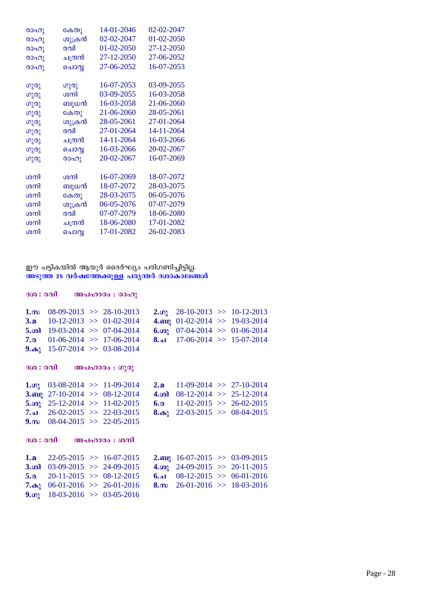| രാഹു | കേതു    | 14-01-2046 | 02-02-2047 |
|------|---------|------------|------------|
| രാഹു | ശുക്രൻ  | 02-02-2047 | 01-02-2050 |
| രാഹു | രവി     | 01-02-2050 | 27-12-2050 |
| രാഹു | ചന്ദ്രൻ | 27-12-2050 | 27-06-2052 |
| രാഹു | ചൊവ്വ   | 27-06-2052 | 16-07-2053 |
|      |         |            |            |
| ഗുരു | ഗുരു    | 16-07-2053 | 03-09-2055 |
| ഗുരു | ശനി     | 03-09-2055 | 16-03-2058 |
| ഗുരു | ബുധൻ    | 16-03-2058 | 21-06-2060 |
| ഗുരു | കേതു    | 21-06-2060 | 28-05-2061 |
| ഗുരു | ശുക്രൻ  | 28-05-2061 | 27-01-2064 |
| ഗുരു | രവി     | 27-01-2064 | 14-11-2064 |
| ഗുരു | ചന്ദ്രൻ | 14-11-2064 | 16-03-2066 |
| ഗുരു | ചൊവ്വ   | 16-03-2066 | 20-02-2067 |
| ഗുരു | രാഹു    | 20-02-2067 | 16-07-2069 |
|      | ശനി     |            |            |
| ശനി  |         | 16-07-2069 | 18-07-2072 |
| ശനി  | ബുധൻ    | 18-07-2072 | 28-03-2075 |
| ശനി  | കേതു    | 28-03-2075 | 06-05-2076 |
| ശനി  | ശുക്രൻ  | 06-05-2076 | 07-07-2079 |
| ശനി  | രവി     | 07-07-2079 | 18-06-2080 |
| ശനി  | ചന്ദ്രൻ | 18-06-2080 | 17-01-2082 |
| ശനി  | ചൊവൃ    | 17-01-2082 | 26-02-2083 |

## ഈ പട്ടികയിൽ ആയുർ ദൈർഘ്യം പരിഗണിച്ചിട്ടില്ല. <u>അടുത്ത 25 വർഷത്തേക്കുള്ള</u> പര്യന്തർ ദശാകാലങ്ങൾ

|                    | ദശ : രവി അപഹാരം : രാഹു                                                                                                                                                                                  |                         |                                                                                                                                                                    |  |
|--------------------|---------------------------------------------------------------------------------------------------------------------------------------------------------------------------------------------------------|-------------------------|--------------------------------------------------------------------------------------------------------------------------------------------------------------------|--|
| 7.0                | 1. $m$ 08-09-2013 >> 28-10-2013<br>3. $\Omega$ 10-12-2013 >> 01-02-2014<br>5. $\omega$ 19-03-2014 > 07-04-2014<br>$01-06-2014$ >> 17-06-2014<br>9. $\omega_2$ 15-07-2014 >> 03-08-2014                  |                         | 2. $\omega$ 28-10-2013 >> 10-12-2013<br>4. $m_1$ 01-02-2014 >> 19-03-2014<br>6. $\omega_2$ 07-04-2014 > 01-06-2014<br>$\lambda_{\bullet}$ 17-06-2014 >> 15-07-2014 |  |
|                    | ദശ : രവി അപഹാരം : ഗുരു                                                                                                                                                                                  |                         |                                                                                                                                                                    |  |
|                    | 1. $\omega$ 03-08-2014 >> 11-09-2014<br>3. $\omega$ 27-10-2014 > 08-12-2014<br>5. $\omega_2$ 25-12-2014 >> 11-02-2015<br>7.al $26-02-2015 \implies 22-03-2015$<br>9. m $08-04-2015 \implies 22-05-2015$ | 2.2 <sub>n</sub><br>6.0 | $11-09-2014$ >> 27-10-2014<br>4. $\omega$ 08-12-2014 > 25-12-2014<br>$11-02-2015 \Rightarrow 26-02-2015$<br>8. $\omega_2$ 22-03-2015 >> 08-04-2015                 |  |
|                    | ദശ : രവി അപഹാരം : ശനി                                                                                                                                                                                   |                         |                                                                                                                                                                    |  |
| 1.a<br>5.0<br>9.02 | $22-05-2015$ >> 16-07-2015<br>3. $\omega$ 03-09-2015 >> 24-09-2015<br>$20-11-2015$ >> 08-12-2015<br>7. $\omega$ 06-01-2016 >> 26-01-2016<br>$18-03-2016$ >> 03-05-2016                                  |                         | 2. $m_1$ 16-07-2015 >> 03-09-2015<br>4. $\omega_2$ 24-09-2015 >> 20-11-2015<br>$6.2$ 08-12-2015 >> 06-01-2016<br>8. m $26-01-2016 \gg 18-03-2016$                  |  |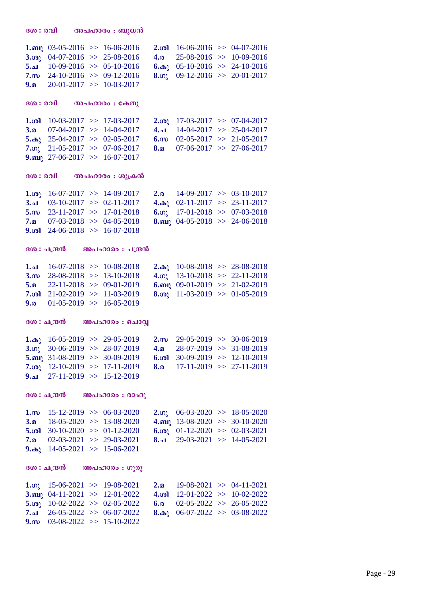| $1.$ ബു               | $03-05-2016$ >> 16-06-2016             |                              | $2.$ ശി               | $16-06-2016$ >> 04-07-2016           |  |
|-----------------------|----------------------------------------|------------------------------|-----------------------|--------------------------------------|--|
| 3.00 <sub>l</sub>     |                                        | $04-07-2016$ >> 25-08-2016   | 4.0                   | $25-08-2016$ >> 10-09-2016           |  |
| 5.21                  |                                        | $10-09-2016$ >> $05-10-2016$ | $6.\omega$            | $05-10-2016$ >> 24-10-2016           |  |
| $7.\omega$            |                                        | $24-10-2016$ >> 09-12-2016   | 8.02                  | $09-12-2016$ >> 20-01-2017           |  |
| 9.a                   |                                        | $20-01-2017$ >> 10-03-2017   |                       |                                      |  |
|                       |                                        |                              |                       |                                      |  |
| ദശ : രവി              |                                        | അപഹാരം : കേതു                |                       |                                      |  |
|                       |                                        |                              |                       |                                      |  |
| $1.$ ശി               | $10-03-2017$ >> 17-03-2017             |                              | 2. $\omega_{\lambda}$ | $17-03-2017$ >> 07-04-2017           |  |
| 3.0                   | $07-04-2017$ >> 14-04-2017             |                              | 4.21                  | $14-04-2017$ >> 25-04-2017           |  |
|                       | 5. $\omega_2$ 25-04-2017 > 02-05-2017  |                              | $6 \text{ m}$         | $02-05-2017$ >> 21-05-2017           |  |
| 7.02                  | $21-05-2017$ >> 07-06-2017             |                              | 8.a                   | $07-06-2017$ >> 27-06-2017           |  |
|                       | 9. $\omega$ 27-06-2017 >> 16-07-2017   |                              |                       |                                      |  |
|                       |                                        |                              |                       |                                      |  |
| ദശ : രവി              |                                        | അപഹാരം : ശുക്രൻ              |                       |                                      |  |
| 1. $\omega_{\lambda}$ |                                        | $16-07-2017$ >> 14-09-2017   | 2.0                   | $14-09-2017$ >> 03-10-2017           |  |
| 3.21                  |                                        | $03-10-2017$ >> $02-11-2017$ | $4.\omega_2$          | $02-11-2017$ >> 23-11-2017           |  |
| $5.\omega$            | $23-11-2017$ >> 17-01-2018             |                              |                       | 6.001 17-01-2018 >> 07-03-2018       |  |
| 7.മ                   |                                        | $07-03-2018$ >> 04-05-2018   |                       | 8. $\omega$ 04-05-2018 >> 24-06-2018 |  |
| 9.                    | $24-06-2018$ >> 16-07-2018             |                              |                       |                                      |  |
|                       |                                        |                              |                       |                                      |  |
|                       | ദശ : ചന്ദ്രൻ                           | അപഹാരം : ചന്ദ്രൻ             |                       |                                      |  |
|                       |                                        |                              |                       |                                      |  |
| 1.41                  |                                        | $16-07-2018$ >> 10-08-2018   | $2.\omega$            | $10-08-2018$ >> 28-08-2018           |  |
| $3 \dots$             |                                        | $28-08-2018$ >> 13-10-2018   | 4.02                  | $13-10-2018$ >> 22-11-2018           |  |
| 5.a                   |                                        | $22-11-2018$ >> 09-01-2019   | $6.$ ബു               | $09-01-2019$ >> 21-02-2019           |  |
| 7.ശി                  |                                        | $21-02-2019$ >> 11-03-2019   | 8.00 <sub>λ</sub>     | $11-03-2019$ >> 01-05-2019           |  |
| 9.0                   | $01-05-2019$ >> 16-05-2019             |                              |                       |                                      |  |
|                       |                                        |                              |                       |                                      |  |
| ദശ : ചന്ദ്രൻ          |                                        | അപഹാരം : ചൊവ്വ               |                       |                                      |  |
|                       | 1. $\omega$ 16-05-2019 >> 29-05-2019   |                              | $2\mathbf{m}$         | $29-05-2019$ >> 30-06-2019           |  |
| 3.02                  |                                        | $30-06-2019$ >> 28-07-2019   | 4.2 <sub>2</sub>      | $28-07-2019$ >> 31-08-2019           |  |
|                       | 5. $\omega$ 31-08-2019 > 30-09-2019    |                              | 6.ശി                  | $30-09-2019$ >> 12-10-2019           |  |
|                       | 7. $\omega$ 12-10-2019 >> 17-11-2019   |                              | 8.0                   | $17-11-2019$ >> $27-11-2019$         |  |
| 9.41                  | $27-11-2019$ >> 15-12-2019             |                              |                       |                                      |  |
|                       |                                        |                              |                       |                                      |  |
|                       | ദശ : ചന്ദ്രൻ                           | അപഹാരം : രാഹു                |                       |                                      |  |
| $1 \text{ m}$         | $15-12-2019$ >> 06-03-2020             |                              | $2.$ ທາ               | $06-03-2020 \Rightarrow 18-05-2020$  |  |
| 3.a                   | $18-05-2020 \Rightarrow 13-08-2020$    |                              |                       | 4. my 13-08-2020 >> 30-10-2020       |  |
|                       | 5. $\omega$ 30-10-2020 > 01-12-2020    |                              | 6.001                 | $01-12-2020 \implies 02-03-2021$     |  |
| 7.o                   | $02-03-2021$ >> 29-03-2021             |                              | 8.ച                   | $29-03-2021 \Rightarrow 14-05-2021$  |  |
|                       | 9. $\omega_1$ 14-05-2021 >> 15-06-2021 |                              |                       |                                      |  |
|                       |                                        |                              |                       |                                      |  |
|                       | ദശ : ചന്ദ്രൻ                           | അപഹാരം : ഗുരു                |                       |                                      |  |
| $1.\omega$            | $15-06-2021 \Rightarrow 19-08-2021$    |                              | 2.2 <sub>0</sub>      | $19-08-2021 \Rightarrow 04-11-2021$  |  |
|                       | 3. any 04-11-2021 >> 12-01-2022        |                              | 4.ശി                  | $12-01-2022 \Rightarrow 10-02-2022$  |  |
| 5.001                 | $10-02-2022 \Rightarrow 02-05-2022$    |                              | 6.0                   | $02-05-2022$ >> 26-05-2022           |  |
| ا له.7                | $26-05-2022$ >> 06-07-2022             |                              |                       | $06-07-2022 \implies 03-08-2022$     |  |
| $9 \text{ m}$         | $03-08-2022 \implies 15-10-2022$       |                              | $8.\n\omega$ ു        |                                      |  |
|                       |                                        |                              |                       |                                      |  |
|                       |                                        |                              |                       |                                      |  |

 $300:001$  **അപഹാരം** : ബുധൻ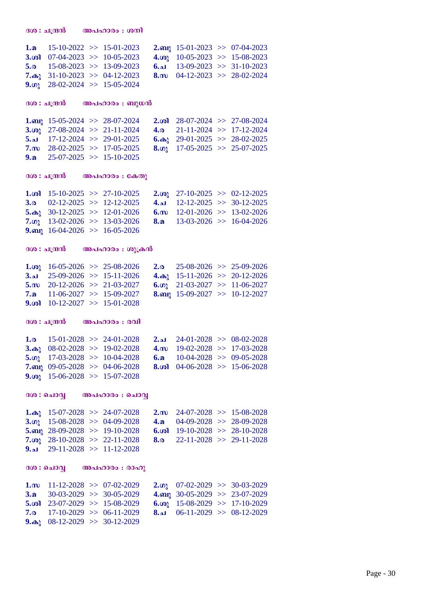**1.a** 15-10-2022 >> 15-01-2023 **2.a** 15-01-2023 >> 07-04-2023 **3.oi**  $07-04-2023$   $> 10-05-2023$  **4.o**<sub>0</sub>  $10-05-2023$   $> 15-08-2023$ <br>**5.a**  $15-08-2023$   $> 13-09-2023$  **6.a**  $13-09-2023$   $> 31-10-2023$ **5.a** 15-08-2023 >> 13-09-2023 **6.N** 13-09-2023 >> 31-10-2023<br> **7.a** 31-10-2023 >> 04-12-2023 **8.m** 04-12-2023 >> 28-02-2024  $7.$  **(a)**  $31-10-2023$   $> 04-12-2023$ **9.(a)** 28-02-2024  $\gg$  15-05-2024 **Zi : N{µ³ A] -lmcw : \_p[³ 1.a** 15-05-2024  $>$  28-07-2024 **2.***c***<b>d** 28-07-2024  $>$  27-08-2024 <br>**3.***c*<sub>2</sub> 27-08-2024  $>$  21-11-2024 **4.a** 21-11-2024  $>$  17-12-2024 **3.in** 27-08-2024  $>$  21-11-2024 **4.a 5.a** 17-12-2024  $>$  29-01-2025 **6.a**  $\textbf{6.} \textbf{a}$  **6.** $\textbf{a}$  **29-01-2025** >> 28-02-2025 **7.k** 28-02-2025 >> 17-05-2025 **8.Kp** 17-05-2025 >> 25-07-2025 **9.a** 25-07-2025  $\gg$  15-10-2025 **z** 300 : ചന്ദ്രൻ അപഹാരം : കേതു **1.in** 15-10-2025 >> 27-10-2025 **2.in** 27-10-2025 >> 02-12-2025 **3.a** 02-12-2025 >> 12-12-2025 **4.i** 12-12-2025 >> 30-12-2025 **3.a**  $02-12-2025$   $> 12-12-2025$  **4.N**  $12-12-2025$   $> 30-12-2025$ <br>**5.a**<sub>1</sub>  $30-12-2025$   $> 12-01-2026$  **6.m**  $12-01-2026$   $> 13-02-2026$ **5.a** 30-12-2025 >> 12-01-2026 **6.m** 12-01-2026 >> 13-02-2026 **7.n** 13-02-2026 >> 15-04-2026 **7.Kp** 13-02-2026 >> 13-03-2026 **8.a** 13-03-2026 >> 16-04-2026 **9.m** 16-04-2026  $\gg$  16-05-2026  $300:$ ചന്ദ്രൻ അപഹാരം : ശുക്രൻ **1.***i***<sub>9</sub>** 16-05-2026 >> 25-08-2026 **2.a** 25-08-2026 >> 25-09-2026 **3.a** 25-09-2026 >> 15-11-2026 >> 20-12-2026 **3.N** 25-09-2026 >> 15-11-2026 **4.a**, 15-11-2026 >> 20-12-2026 **5. 5. 10** 20-12-2026 >> 21-03-2027 **6. 0**, 21-03-2027 >> 11-06-2027 **5.k** 20-12-2026 >> 21-03-2027 **6.Kp** 21-03-2027 >> 11-06-2027 **7.a** 11-06-2027 >> 15-09-2027 **8.\_p** 15-09-2027 >> 10-12-2027 **9.in** 10-12-2027 >> 15-01-2028  $300:10300$  **അപഹാരം** : രവി **1.a** 15-01-2028 >> 24-01-2028 **2.N** 24-01-2028 >> 08-02-2028<br>**3.a**<sub>1</sub> 08-02-2028 >> 19-02-2028 **4.m** 19-02-2028 >> 17-03-2028 **3.a** 08-02-2028  $>$  19-02-2028 **5.o**<sub>1</sub> 17-03-2028 >> 10-04-2028 **6.a** 10-04-2028 >> 09-05-2028<br>**7.a** 10-05-2028 >> 04-06-2028 **8.a** 04-06-2028 >> 15-06-2028  $7.$ **m** 09-05-2028  $> 04$ -06-2028 **9. ip** 15-06-2028  $\gg$  15-07-2028 **Zi : sNmÆ A] -lmcw : sNmÆ 1.a**, 15-07-2028 >> 24-07-2028 **2.c** 24-07-2028 >> 15-08-2028<br>**3.***o*<sub>1</sub> 15-08-2028 >> 04-09-2028 **4.a** 04-09-2028 >> 28-09-2028 **3.o**<sub>1</sub> 15-08-2028 >> 04-09-2028 **4.a** 04-09-2028 >> 28-09-2028<br>**5.an**<sub>1</sub> 28-09-2028 >> 19-10-2028 **6.o1** 19-10-2028 >> 28-10-2028 **5.a** 28-09-2028  $>$  19-10-2028<br>**7.a** 28-10-2028  $>$  22-11-2028 **7.ip** 28-10-2028 >> 22-11-2028 **8.c** 22-11-2028 >> 29-11-2028 **9.N** 29-11-2028 >> 11-12-2028 **Zi : sNmÆ A] -lmcw : cmlp 1.k** 11-12-2028  $> 07-02-2029$  **2.c**, 07-02-2029  $> 30-03-2029$ **3.a** 30-03-2029 >> 30-05-2029 **4.\_p** 30-05-2029 >> 23-07-2029 **5.in** 23-07-2029 >> 15-08-2029 **6.in** 15-08-2029 >> 17-10-2029<br>**7.a** 17-10-2029 >> 06-11-2029 **8.i** 06-11-2029 >> 08-12-2029 **7.c** 17-10-2029 >> 06-11-2029 **8.N** 06-11-2029 >> 08-12-2029 9. $\omega_1$  08-12-2029 >> 30-12-2029

 $300$  : ചന്ദ്രൻ അപഹാരം : ശനി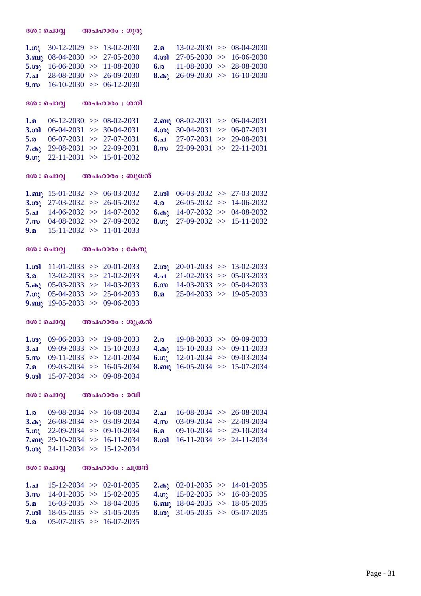|                   | 1. $\omega$ 30-12-2029 >> 13-02-2030   |                                     | 2.0          | $13-02-2030 \implies 08-04-2030$     |                                     |
|-------------------|----------------------------------------|-------------------------------------|--------------|--------------------------------------|-------------------------------------|
| 3.62              |                                        | $08-04-2030 \implies 27-05-2030$    | 4.ശി         | $27-05-2030 \implies 16-06-2030$     |                                     |
| 5.00 <sub>l</sub> |                                        | $16-06-2030 \gg 11-08-2030$         | 6.0          |                                      | $11-08-2030 \Rightarrow 28-08-2030$ |
| ا د.7             |                                        | $28-08-2030 \Rightarrow 26-09-2030$ | $8.\omega2$  |                                      | $26-09-2030 \gg 16-10-2030$         |
|                   | 9. m $16-10-2030 \gg 06-12-2030$       |                                     |              |                                      |                                     |
|                   |                                        |                                     |              |                                      |                                     |
|                   |                                        | ദശ : ചൊവ്വ അപഹാരം : ശനി             |              |                                      |                                     |
|                   |                                        |                                     |              |                                      |                                     |
|                   | 1. $\Omega$ 06-12-2030 >> 08-02-2031   |                                     | $2.$ ബു      | $08-02-2031 \implies 06-04-2031$     |                                     |
| 3. $\omega$       | $06-04-2031 \implies 30-04-2031$       |                                     | $4.\omega$ ു | $30-04-2031$ >> 06-07-2031           |                                     |
| 5.0               | $06-07-2031 \implies 27-07-2031$       |                                     |              | $6.4$ 27-07-2031 >> 29-08-2031       |                                     |
|                   | 7. $\omega$ 29-08-2031 >> 22-09-2031   |                                     |              | 8. $m$ 22-09-2031 >> 22-11-2031      |                                     |
|                   | 9. $\omega$ 22-11-2031 >> 15-01-2032   |                                     |              |                                      |                                     |
|                   |                                        |                                     |              |                                      |                                     |
|                   |                                        |                                     |              |                                      |                                     |
|                   |                                        |                                     |              |                                      |                                     |
|                   | 1. $m\lambda$ 15-01-2032 >> 06-03-2032 |                                     | $2 \dots 6$  |                                      | $06-03-2032 \implies 27-03-2032$    |
| 3.001             | $27-03-2032 \Rightarrow 26-05-2032$    |                                     | $4\alpha$    |                                      | $26-05-2032 \implies 14-06-2032$    |
| 5.21              |                                        | $14-06-2032 \implies 14-07-2032$    |              | 6. $\omega$ 14-07-2032 >> 04-08-2032 |                                     |
| $7\text{m}$       |                                        | $04-08-2032 \implies 27-09-2032$    | 8. $\omega$  |                                      | $27-09-2032 \implies 15-11-2032$    |
| 9a                |                                        | $15-11-2032 \implies 11-01-2033$    |              |                                      |                                     |
|                   |                                        |                                     |              |                                      |                                     |
|                   |                                        | ദശ : ചൊവ്വ അപഹാരം : കേതു            |              |                                      |                                     |
|                   |                                        |                                     |              |                                      |                                     |

**1.in** 11-01-2033 >> 20-01-2033 **2.in** 20-01-2033 >> 13-02-2033 **3.a** 13-02-2033 >> 21-02-2033 **4.N** 21-02-2033 >> 05-03-2033<br>**5.a**<sub>2</sub> 05-03-2033 >> 14-03-2033 **6.m** 14-03-2033 >> 05-04-2033 **6.m** 14-03-2033  $>$  05-04-2033<br>**8.a** 25-04-2033  $>$  19-05-2033 **7.co**<sub>3</sub> 05-04-2033  $>$  25-04-2033 **9.m** 19-05-2033  $\gg$  09-06-2033

### $300$  : ചൊവ്വ **അപഹാരം** : ശുക്രൻ

**Zi : sNmÆ A] -lmcw : Kpcp**

| 1. $\omega$ 09-06-2033 >> 19-08-2033 |  |  | <b>2.</b> $\omega$ 19-08-2033 >> 09-09-2033 |
|--------------------------------------|--|--|---------------------------------------------|
| $3.21$ 09-09-2033 >> 15-10-2033      |  |  | 4. $\omega$ 15-10-2033 >> 09-11-2033        |
| 5. $m$ 09-11-2033 >> 12-01-2034      |  |  | 6. $\omega$ 12-01-2034 > 09-03-2034         |
| 7. $\Omega$ 09-03-2034 >> 16-05-2034 |  |  | 8. and 16-05-2034 >> 15-07-2034             |
| 9. $\omega$ 15-07-2034 >> 09-08-2034 |  |  |                                             |

**Zi : sNmÆ A] -lmcw : chn**

| 1.0 $09-08-2034 \implies 16-08-2034$   |                                           | 2.al $16-08-2034 \gg 26-08-2034$     |  |
|----------------------------------------|-------------------------------------------|--------------------------------------|--|
| 3. $\omega$ 26-08-2034 >> 03-09-2034   |                                           | 4. $\omega$ 03-09-2034 >> 22-09-2034 |  |
| 5. $\omega$ 22-09-2034 > 09-10-2034    |                                           | 6. <b>a</b> 09-10-2034 >> 29-10-2034 |  |
|                                        | 7.m <sub>2</sub> 29-10-2034 >> 16-11-2034 | 8. $\omega$ 16-11-2034 > 24-11-2034  |  |
| 9. $\omega_2$ 24-11-2034 >> 15-12-2034 |                                           |                                      |  |

### **Zi : sNmÆ A] -lmcw : N{µ³**

|  | $1.21$ 15-12-2034 >> 02-01-2035<br>3.m $14-01-2035 \implies 15-02-2035$<br>5. $\Omega$ 16-03-2035 >> 18-04-2035<br>7. $\omega$ 18-05-2035 >> 31-05-2035<br>9. <sub>0</sub> 05-07-2035 >> 16-07-2035 |  | 2. $\omega_1$ 02-01-2035 >> 14-01-2035<br>4. $\omega$ 15-02-2035 >> 16-03-2035<br>6. and 18-04-2035 >> 18-05-2035<br>8.001 31-05-2035 >> 05-07-2035 |
|--|-----------------------------------------------------------------------------------------------------------------------------------------------------------------------------------------------------|--|-----------------------------------------------------------------------------------------------------------------------------------------------------|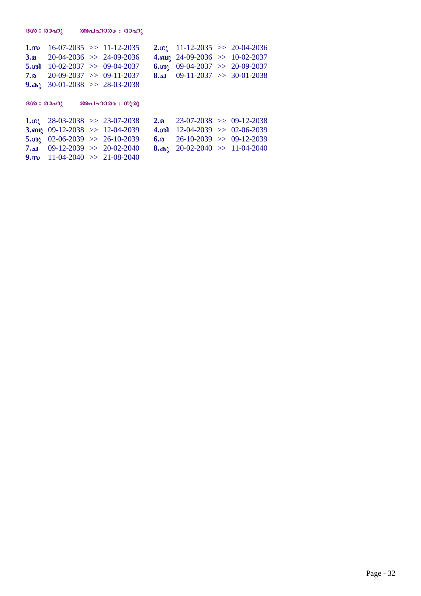| $1 \text{ m}$          | $16-07-2035 \implies 11-12-2035$      |               |               | 2. $\omega$ 11-12-2035 >> 20-04-2036 |                                     |
|------------------------|---------------------------------------|---------------|---------------|--------------------------------------|-------------------------------------|
|                        | 3. $\Omega$ 20-04-2036 >> 24-09-2036  |               |               | 4. and 24-09-2036 >> 10-02-2037      |                                     |
| $5.$ (o)               | $10-02-2037 \implies 09-04-2037$      |               | 6.001         | $09-04-2037$ >> 20-09-2037           |                                     |
| 7.0                    | $20-09-2037 \implies 09-11-2037$      |               |               | $8.21$ 09-11-2037 >> 30-01-2038      |                                     |
| $9.\n$                 | $30-01-2038$ >> 28-03-2038            |               |               |                                      |                                     |
|                        |                                       |               |               |                                      |                                     |
| (300:00 <sub>0</sub> ) |                                       | അപഹാരം : ഗുരു |               |                                      |                                     |
|                        | 1. $\omega$ 28-03-2038 >> 23-07-2038  |               | 2n            | $23-07-2038 \implies 09-12-2038$     |                                     |
|                        | 3. any 09-12-2038 >> 12-04-2039       |               |               | 4. $\omega$ 12-04-2039 > 02-06-2039  |                                     |
|                        | 5. $\omega$ 02-06-2039 >> 26-10-2039  |               | 6.0           | $26-10-2039$ >> 09-12-2039           |                                     |
|                        | 7.al $09-12-2039 \implies 20-02-2040$ |               | $8. \omega_1$ |                                      | $20-02-2040 \Rightarrow 11-04-2040$ |

 $\mathbf{B}(\mathbf{0}: \mathbf{A} \cup \mathbf{A})$  **അപഹാരം** : രാഹു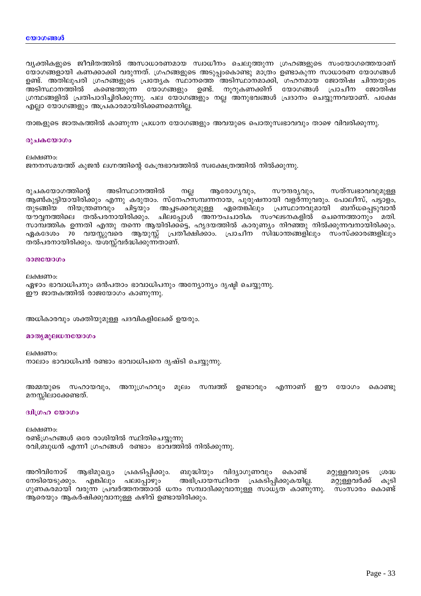വ്യക്തികളുടെ ജീവിതത്തിൽ അസാധാരണമായ സ്വാധീനം ചെലുത്തുന്ന ഗ്രഹങ്ങളുടെ സംയോഗത്തെയാണ് യോഗങ്ങളായി കണക്കാക്കി വരുന്നത്. ഗ്രഹങ്ങളുടെ അടുപ്പംകൊണ്ടു മാത്രം ഉണ്ടാകുന്ന സാധാരണ യോഗങ്ങൾ ഉണ്ട്. അതിലുപരി ഗ്രഹങ്ങളുടെ പ്രത്യേക സ്ഥാനത്തെ അടിസ്ഥാനമാക്കി, ഗഹനമായ ജോതിഷ ചിന്തയുടെ അടിസ്ഥാനത്തിൽ കണ്ടെത്തുന്ന യോഗങ്ങളും ഉണ്ട്. നൂറുകണക്കിന് യോഗങ്ങൾ പ്രാചീന ജോതിഷ ഗ്രന്ഥങ്ങളിൽ പ്രതിപാദിച്ചിരിക്കുന്നു. പല യോഗങ്ങളും നല്ല അനുഭവങ്ങൾ പ്രദാനം ചെയ്യുന്നവയാണ്. പക്ഷേ എല്ലാ യോഗങ്ങളും അപ്രകാരമായിരിക്കണമെന്നില്ല.

താങ്കളുടെ ജാതകത്തിൽ കാണുന്ന പ്രധാന യോഗങ്ങളും അവയുടെ പൊതുസ്വഭാവവും താഴെ വിവരിക്കുന്നു.

#### രുചകയോഗം

ലക്ഷണം: ജനനസമയത്ത് കുജൻ ലഗ്നത്തിന്റെ കേന്ദ്രഭാവത്തിൽ സ്വക്ഷേത്രത്തിൽ നിൽക്കുന്നു.

അടിസ്ഥാനത്തിൽ രുചകയോഗത്തിന്റെ ആരോഗൃവും, സൗന്ദര്യവും, സത്സ്വഭാവവുമുള്ള നല്ല ആൺകുട്ടിയായിരിക്കും എന്നു കരുതാം. സ്നേഹസമ്പന്നനായ, പുരുഷനായി വളർന്നുവരും. പോലീസ്, പട്ടാളം, നിയന്ത്രണവും ഏതെങ്കിലും ചിട്ടയും അച്ചടക്കവുമുള്ള പ്രസ്ഥാനവുമായി ബന്ധപ്പെടുവാൻ തുടങ്ങിയ യൗവ്വനത്തിലെ തൽപരനായിരിക്കും. ചിലപ്പോൾ അനൗപചാരിക സംഘടനകളിൽ ചെന്നെത്താനും മതി. സാമ്പത്തിക ഉന്നതി എന്തു തന്നെ ആയിരിക്കട്ടെ, ഹൃദയത്തിൽ കാരുണ്യം നിറഞ്ഞു നിൽക്കുന്നവനായിരിക്കും. ഏകദേശം 70 വയസ്സുവരെ ആയുസ്സ് പ്രതീക്ഷിക്കാം. പ്രാചീന സിദ്ധാന്തങ്ങളിലും സംസ്ക്കാരങ്ങളിലും തൽപരനായിരിക്കും. യശസ്സ്വർദ്ധിക്കുന്നതാണ്.

#### $0.0000000$

ലക്ഷണം: ഏഴാം ഭാവാധിപനും ഒൻപതാം ഭാവാധിപനും അന്യോന്യം ദൃഷ്ടി ചെയ്യുന്നു. ഈ ജാതകത്തിൽ രാജയോഗം കാണുന്നു.

അധികാരവും ശക്തിയുമുള്ള പദവികളിലേക്ക് ഉയരും.

#### മാതൃമൂലധനയോഗം

ലക്ഷണം: നാലാം ഭാവാധിപൻ രണ്ടാം ഭാവാധിപനെ ദൃഷ്ടി ചെയ്യുന്നു.

അമ്മയുടെ സഹായവും, അനുഗ്രഹവും സമ്പത്ത് ഉണ്ടാവും എന്നാണ് മൂലം றை തോഗപ കൊണ്ടു മനസ്സിലാക്കേണ്ടത്.

#### ദ്വിഗ്രഹ യോഗം

ലക്ഷണം: രണ്ട്ഗ്രഹങ്ങൾ ഒരേ രാശിയിൽ സ്ഥിതിചെയ്യുന്നു രവി,ബുധൻ എന്നീ ഗ്രഹങ്ങൾ രണ്ടാം ഭാവത്തിൽ നിൽക്കുന്നു.

അറിവിനോട് ആഭിമുഖ്യം പ്രകടിപ്പിക്കും. ബുദ്ധിയും വിദ്യാഗുണവും കൊണ്ട് മറ്റുള്ളവരുടെ ശ്രദ്ധ നേടിയെടുക്കും. അഭിപ്രായസ്ഥിരത പ്രകടിപ്പിക്കുകയില്ല. എങ്കിലും പലപ്പോഴും മറ്റുള്ളവർക്ക് കൂടി ഗുണകരമായി വരുന്ന പ്രവർത്തനത്താൽ ധനം സമ്പാദിക്കുവാനുള്ള സാധൃത കാണുന്നു. സംസാരം കൊണ്ട് ആരെയും ആകർഷിക്കുവാനുള്ള കഴിവ് ഉണ്ടായിരിക്കും.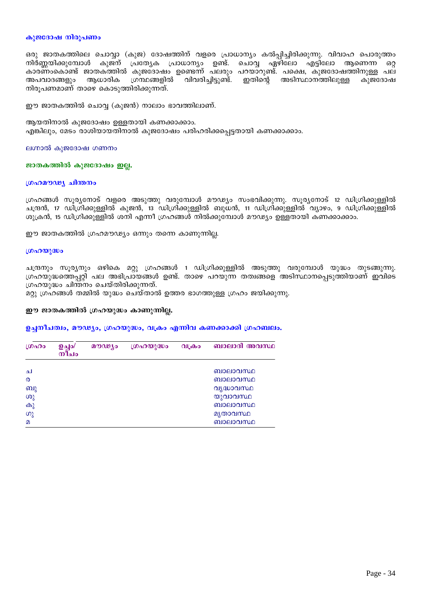#### കുജദോഷ നിരൂപണം

ഒരു ജാതകത്തിലെ ചൊവ്വാ (കുജ) ദോഷത്തിന് വളരെ പ്രാധാന്യം കൽപ്പിച്ചിരിക്കുന്നു. വിവാഹ പൊരുത്തം നിർണ്ണയിക്കുമ്പോൾ കുജന് പ്രത്യേക പ്രാധാന്യം ഉണ്ട്. ചൊവ്വ ഏഴിലോ എട്ടിലോ ആണെന്ന ഒറ്റ കാരണംകൊണ്ട് ജാതകത്തിൽ കുജദോഷം ഉണ്ടെന്ന് പലരും പറയാറുണ്ട്. പക്ഷെ, കുജദോഷത്തിനുള്ള പല അപവാദങ്ങളും ആധാരിക ഗ്രന്ഥങ്ങളിൽ വിവരിച്ചിട്ടുണ്ട്. ഇതിന്റെ അടിസ്ഥാനത്തിലുള്ള കുജദോഷ നിരൂപണമാണ് താഴെ കൊടുത്തിരിക്കുന്നത്.

ഈ ജാതകത്തിൽ ചൊവ്വ (കുജൻ) നാലാം ഭാവത്തിലാണ്.

ആയതിനാൽ കുജദോഷം ഉള്ളതായി കണക്കാക്കാം. എങ്കിലും, മേടം രാശിയായതിനാൽ കുജദോഷം പരിഹരിക്കപ്പെട്ടതായി കണക്കാക്കാം.

ലഗ്നാൽ കുജദോഷ ഗണനം

#### ജാതകത്തിൽ കുജദോഷം ഇല്ല.

#### ശ്രഹമൗഢ്യ ചിന്തനം

ശ്രഹങ്ങൾ സൂര്യനോട് വളരെ അടുത്തു വരുമ്പോൾ മൗഢ്യം സംഭവിക്കുന്നു. സൂര്യനോട് 12 ഡിഗ്രിക്കുള്ളിൽ ചന്ദ്രൻ, 17 ഡിഗ്രിക്കുള്ളിൽ കുജൻ, 13 ഡിഗ്രിക്കുള്ളിൽ ബുധൻ, 11 ഡിഗ്രിക്കുള്ളിൽ വ്യാഴം, 9 ഡിഗ്രിക്കുള്ളിൽ ശുക്രൻ, 15 ഡിഗ്രിക്കുള്ളിൽ ശനി എന്നീ ഗ്രഹങ്ങൾ നിൽക്കുമ്പോൾ മൗഢ്യം ഉള്ളതായി കണക്കാക്കാം.

ഈ ജാതകത്തിൽ ഗ്രഹമൗഢ്യം ഒന്നും തന്നെ കാണുന്നില്ല.

#### ഗ്രഹയുദ്ധം

ചന്ദ്രനും സൂര്യനും ഒഴികെ മറ്റു ഗ്രഹങ്ങൾ 1 ഡിഗ്രിക്കുള്ളിൽ അടുത്തു വരുമ്പോൾ യുദ്ധം തുടങ്ങുന്നു. ഗ്രഹയുദ്ധത്തെപ്പറ്റി പല അഭിപ്രായങ്ങൾ ഉണ്ട്. താഴെ പറയുന്ന തത്വങ്ങളെ അടിസ്ഥാനപ്പെടുത്തിയാണ് ഇവിടെ ഗ്രഹയുദ്ധം ചിന്തനം ചെയ്തിരിക്കുന്നത്.

മറ്റു ഗ്രഹങ്ങൾ തമ്മിൽ യുദ്ധം ചെയ്താൽ ഉത്തര ഭാഗത്തുള്ള ഗ്രഹം ജയിക്കുന്നു.

### ഈ ജാതകത്തിൽ ഗ്രഹയുദ്ധം കാണുന്നില്ല.

#### ഉച്ചനീചത്വം, മൗഢ്യം, ഗ്രഹയുദ്ധം, വക്രം എന്നിവ കണക്കാക്കി ഗ്രഹബലം.

| ഗ്രഹം                 | <b>ഉച്ചം/</b><br>$m$ ിച $\circ$ | മൗഢ്യം | ഗ്രഹയുദ്ധം | വക്രാ | ബാലാദി അവസ്ഥ |
|-----------------------|---------------------------------|--------|------------|-------|--------------|
|                       |                                 |        |            |       |              |
| ച                     |                                 |        |            |       | ബാലാവസ്ഥ     |
| $\boldsymbol{\Omega}$ |                                 |        |            |       | ബാലാവസ്ഥ     |
| ബു                    |                                 |        |            |       | വൃദ്ധാവസ്ഥ   |
| ശു                    |                                 |        |            |       | യുവാവസ്ഥ     |
| കു                    |                                 |        |            |       | ബാലാവസ്ഥ     |
| ഗു                    |                                 |        |            |       | മൃതാവസ്ഥ     |
| $\Omega$              |                                 |        |            |       | ബാലാവസ്ഥ     |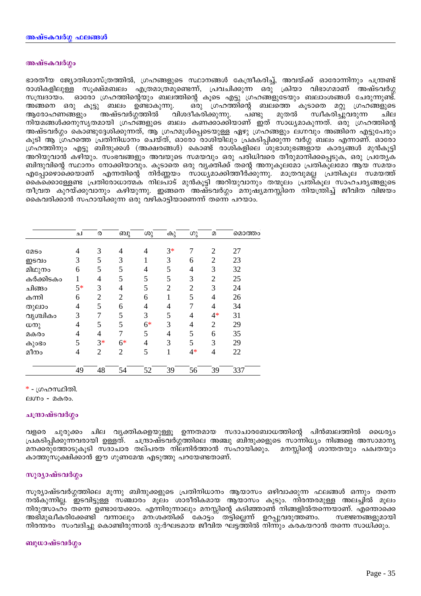### അഷ്ടകവർഗ്ഗം

ഭാരതീയ ജ്യോതിശാസ്ത്രത്തിൽ, ഗ്രഹങ്ങളുടെ സ്ഥാനങ്ങൾ കേന്ദ്രീകരിച്ച്, അവയ്ക്ക് ഓരോന്നിനും പന്ത്രണ്ട് രാശികളിലുള്ള സൂക്ഷ്മബലം എത്രമാത്രമുണ്ടെന്ന്, പ്രവചിക്കുന്ന ഒരു ക്രിയാ വിഭാഗമാണ് അഷ്ടവർഗ്ഗ സമ്പ്രദായം. ഓരോ ഗ്രഹത്തിന്റെയും ബലത്തിന്റെ കൂടെ എട്ടു ഗ്രഹങ്ങളുടേയും ബലാംശങ്ങൾ ചേരുന്നുണ്ട്. അങ്ങനെ ഒരു കൂട്ടു ബലം ഉണ്ടാകുന്നു. ഒരു ഗ്രഹത്തിന്റെ ബലത്തെ കൂടാതെ മറ്റു ഗ്രഹങ്ങളുടെ വിശദീകരിക്കുന്നു. ആരോഹണങ്ങളും അഷ്ടവർഗ്ഗത്തിൽ മുതൽ സ്വീകരിച്ചുവരുന്ന പണ്ടു ചില ്നിയമങ്ങൾക്കനുസൃതമായി ഗ്രഹങ്ങളുടെ ബലം കണക്കാക്കിയാണ് ഇത് സാധ്യമാകുന്നത്. ഒരു ഗ്രഹത്തിന്റെ അഷ്ടവർഗ്ഗം കൊണ്ടുദ്ദേശിക്കുന്നത്, ആ ഗ്രഹമുൾപ്പെടെയുള്ള ഏഴു ഗ്രഹങ്ങളും ലഗ്നവും അങ്ങിനെ എട്ടുപേരും കൂടി ആ ഗ്രഹത്തെ പ്രതിനിധാനം ചെയ്ത്, ഓരോ രാശിയിലും പ്രകടിപ്പിക്കുന്ന വർഗ്ഗ ബലം എന്നാണ്. ഓരോ ഗ്രഹത്തിനും എട്ടു ബിന്ദുക്കൾ (അക്ഷരങ്ങൾ) കൊണ്ട് രാശികളിലെ ശുഭാശുഭങ്ങളായ കാര്യങ്ങൾ മുൻകൂട്ടി അറിയുവാൻ കഴിയും. സംഭവങ്ങളും അവയുടെ സമയവും ഒരു പരിധിവരെ തീരുമാനിക്കപ്പെടുക, ഒരു പ്രത്യേക ബിന്ദുവിന്റെ സ്ഥാനം നോക്കിയാവും. കൂടാതെ ഒരു വൃക്തിക്ക് തന്റെ അനുകൂലമോ പ്രതികൂലമോ ആയ സമയം .എപ്പോഴൊക്കെയാണ് എന്നതിന്റെ നിര്ണ്ണയം സാധ്യമാക്കിത്തീര്ക്കുന്നു. മാത്രവുമല്ല പ്രതികൂല സമയത്ത്<br>കൈക്കൊള്ളേണ്ട പ്രതിരോധാത്മക നിലപാട് മുൻകൂട്ടി അറിയുവാനും തന്മൂലം പ്രതികൂല സാഹചര്യങ്ങളുടെ തീവ്രത കുറയ്ക്കുവാനും കഴിയുന്നു. ഇങ്ങനെ അഷ്ടവർഗ്ഗം മനുഷ്യമനസ്സിനെ നിയന്ത്രിച്ച് ജീവിത വിജയം കൈവരിക്കാൻ സഹായിക്കുന്ന ഒരു വഴികാട്ടിയാണെന്ന് തന്നെ പറയാം.

|             | ച              | ര              | ബു             | ശു             | കു             | ഗു             | $\mathbf{D}$   | മൊത്തം |
|-------------|----------------|----------------|----------------|----------------|----------------|----------------|----------------|--------|
|             |                |                |                |                |                |                |                |        |
| <b>COSO</b> | 4              | 3              | $\overline{4}$ | $\overline{4}$ | $3*$           |                | $\overline{2}$ | 27     |
| ഇടവം        | 3              | 5              | 3              |                | 3              | 6              | $\overline{2}$ | 23     |
| മിഥുനം      | 6              | 5              | 5              | $\overline{4}$ | 5              | 4              | 3              | 32     |
| കർക്കിടകം   |                | 4              | 5              | 5              | 5              | 3              | $\overline{2}$ | 25     |
| ചിങ്ങം      | $5*$           | 3              | $\overline{4}$ | 5              | $\overline{2}$ | $\overline{2}$ | 3              | 24     |
| കന്നി       | 6              | $\overline{2}$ | $\overline{2}$ | 6              | 1              | 5              | 4              | 26     |
| തുലാം       | $\overline{4}$ | 5              | 6              | $\overline{4}$ | 4              |                | $\overline{4}$ | 34     |
| വൃശ്ചികം    | 3              | 7              | 5              | 3              | 5              | 4              | $4*$           | 31     |
| ധനു         | 4              | 5              | 5              | $6*$           | 3              | 4              | $\overline{2}$ | 29     |
| മകരം        | 4              | 4              | 7              | 5              | $\overline{4}$ | 5              | 6              | 35     |
| കുാഭാ       | 5              | $3*$           | $6*$           | $\overline{4}$ | 3              | 5              | 3              | 29     |
| മീനം        | $\overline{4}$ | $\overline{2}$ | $\overline{2}$ | 5              | 1              | $4*$           | $\overline{4}$ | 22     |
|             |                |                |                |                |                |                |                |        |
|             | 49             | 48             | 54             | 52             | 39             | 56             | 39             | 337    |

\* - ഗ്രഹസ്ഥിതി.

ലഗ്നം - മകരം.

### ചന്ദ്രാഷ്ടവർഗ്ഗം

വളരെ ചുരുക്കം ചില വൃക്തികളെയുള്ളൂ ഉന്നതമായ സദാചാരബോധത്തിന്റെ പിൻബലത്തിൽ ധൈര്യം പ്രകടിപ്പിക്കുന്നവരായി ഉള്ളത്. ചന്ദ്രാഷ്ടവർഗ്ഗത്തിലെ അഞ്ചു ബിന്ദുക്കളുടെ സാന്നിധ്യം നിങ്ങളെ അസാമാന്യ മനക്കരുത്തോടുകൂടി സദാചാര തല്പരത നിലനിർത്താൻ സഹായിക്കും. മനസ്സിന്റെ ശാന്തതയും പക്വതയും കാത്തുസുക്ഷിക്കാൻ ഈ ഗുണമേന്മ എടുത്തു പറയേണ്ടതാണ്.

### സൂര്യാഷ്ടവർഗ്ഗം

സുര്യാഷ്ടവർഗ്ഗത്തിലെ മുന്നു ബിന്ദുക്കളുടെ പ്രതിനിധാനം ആയാസം ഒഴിവാക്കുന്ന ഫലങ്ങൾ ഒന്നും തന്നെ നൽകുന്നില്ല. ഇടവിട്ടുള്ള സഞ്ചാരം മൂലം ശാരീരികമായ ആയാസം കുടും. നിരന്തരമുള്ള അലച്ചിൽ മൂലം നിരുത്സാഹ്ം തന്നെ ഉണ്ടായേക്കാം. എന്നിരുന്നാലും മനസ്സിന്റെ കടിഞ്ഞാൺ നിങ്ങളിൽതന്നെയാണ്. എന്തൊക്കെ അഭിമുഖീകരിക്കേണ്ടി വന്നാലും മന:ശക്തിക്ക് കോട്ടം തട്ടില്ലെന്ന് ഉറപ്പുവരുത്തണം. സജ്ജനങ്ങളുമായി നിരന്തരം സംവദിച്ചു കൊണ്ടിരുന്നാൽ ദു:ർഘടമായ ജീവിത ഘട്ടത്തിൽ നിന്നും കരകയറാൻ തന്നെ സാധിക്കും.

### ബുധാഷ്ടവർഗ്ഗം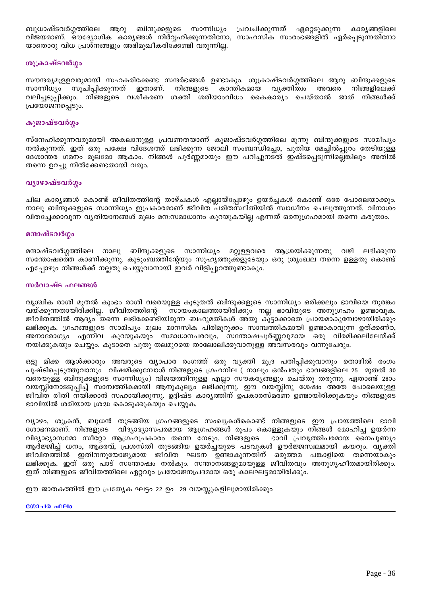ബുധാഷ്ടവർഗ്ഗത്തിലെ ആറു ബിന്ദുക്കളുടെ സാന്നിധ്യം പ്രവചിക്കുന്നത് ഏറ്റെടുക്കുന്ന കാര്യങ്ങളിലെ വിജയമാണ്. ഔദ്യോഗിക കാര്യങ്ങൾ നിർവ്വഹിക്കുന്നതിനോ, സാഹസിക സംരംഭങ്ങളിൽ ഏർപ്പെടുന്നതിനോ യാതൊരു വിധ പ്രശ്നങ്ങളും അഭിമുഖീകരിക്കേണ്ടി വരുന്നില്ല.

### ശുക്രാഷ്ടവർഗ്ഗം

സൗന്ദര്യമൂളളവരുമായി സഹകരിക്കേണ്ട സന്ദർഭങ്ങൾ ഉണ്ടാകും. ശുക്രാഷ്ടവർഗ്ഗത്തിലെ ആറു ബിന്ദുക്കളുടെ സാന്നിധ്യം സൂചിപ്പിക്കുന്നത് ഇതാണ്. നിങ്ങളുടെ കാന്തികമായ വൃക്തിത്വം നിങ്ങളിലേക്ക് അവരെ വലിച്ചടുപ്പിക്കും. നിങ്ങളുടെ വശീകരണ ശക്തി ശരിയാംവിധം കൈകാര്യം ചെയ്താൽ അത് നിങ്ങൾക്ക് പ്രയോജനപ്പെടും.

### കുജാഷ്ടവർഗ്ഗം

സ്നേഹിക്കുന്നവരുമായി അകലാനുള്ള പ്രവണതയാണ് കുജാഷ്ടവർഗ്ഗത്തിലെ മൂന്നു ബിന്ദുക്കളുടെ സാമീപ്യം നൽകുന്നത്. ഇത് ഒരു പക്ഷേ വിദേശത്ത് ലഭിക്കുന്ന ജോലി സംബന്ധിച്ചോ, പുതിയ മേച്ചിൽപ്പുറം തേടിയുള്ള ദേശാന്തര ഗമനം മൂലമോ ആകാം. നിങ്ങൾ പൂർണ്ണമായും ഈ പറിച്ചുനടൽ ഇഷ്ടപ്പെടുന്നില്ലെങ്കിലും അതിൽ തന്നെ ഉറച്ചു നിൽക്കേണ്ടതായി വരും.

### വ്യാഴാഷ്ടവർഗ്ഗം

ചില കാര്യങ്ങൾ കൊണ്ട് ജീവിതത്തിന്റെ താഴ്ചകൾ എല്ലായ്പ്പോഴും ഉയർച്ചകൾ കൊണ്ട് ഒരേ പോലെയാക്കും. നാലു ബിന്ദുക്കളുടെ സാന്നിധ്യം ഇപ്രകാരമാണ് ജീവിത പരിതസ്ഥിതിയിൽ സ്വാധീനം ചെലുത്തുന്നത്. വിനാശം വിതച്ചേക്കാവുന്ന വ്യതിയാനങ്ങൾ മൂലം മന:സമാധാനം കുറയുകയില്ല എന്നത് ഒരനുഗ്രഹമായി തന്നെ കരുതാം.

### മന്ദാഷ്ടവർഗ്ഗം

മറ്റുള്ളവരെ ആശ്രയിക്കുന്നതു വഴി ലഭിക്കുന്ന മന്ദാഷ്ടവർഗ്ഗത്തിലെ നാലു ബിന്ദുക്കളുടെ സാന്നിധ്യം സന്തോഷത്തെ കാണിക്കുന്നു. കുടുംബത്തിന്റേയും സുഹൃത്തുക്കളുടേയും ഒരു ശ്രൂംഖല തന്നെ ഉള്ളതു കൊണ്ട് എപ്പോഴും നിങ്ങൾക്ക് നല്ലതു ചെയ്യുവാനായി ഇവർ വിളിപ്പുറത്തുണ്ടാകും.

### സർവാഷ്ട ഫലങ്ങൾ

വൃശ്ചിക രാശി മുതൽ കുംഭം രാശി വരെയുള്ള കൂടുതൽ ബിന്ദുക്കളുടെ സാന്നിധ്യം ഒരിക്കലും ഭാവിയെ തുരങ്കം വയ്ക്കുന്നതായിരിക്കില്ല. ജീവിതത്തിന്റെ സായംകാലത്തായിരിക്കും നല്ല ഭാവിയുടെ അനുഗ്രഹം ഉണ്ടാവുക. ജീവിതത്തിൽ ആദ്യം തന്നെ ലഭിക്കേണ്ടിയിരുന്ന ബഹുമതികൾ അതു കൂട്ടാക്കാതെ പ്രായമാകുമ്പോഴായിരിക്കും ലഭിക്കുക. ഗ്രഹങ്ങളുടെ സാമിപ്യം മൂലം മാനസിക പിരിമുറുക്കം സാമ്പത്തികമായി ഉണ്ടാകാവുന്ന ഉത്ക്കണ്ഠ, അനാരോഗ്യം എന്നിവ കുറയുകയും സമാധാനപരവും, സന്തോഷപൂർണ്ണവുമായ ഒരു വിരമിക്കലിലേയ്ക്ക് നയിക്കുകയും ചെയ്യും. കൂടാതെ പുതു തലമുറയെ താലോലിക്കുവാനുള്ള അവസരവും വന്നുചേരും.

ഒട്ടു മിക്ക ആൾക്കാരും അവരുടെ വ്യാപാര രംഗത്ത് ഒരു വ്യക്തി മുദ്ര പതിപ്പിക്കുവാനും തൊഴിൽ രംഗം പുഷ്ടിപ്പെടുത്തുവാനും വിഷമിക്കുമ്പോൾ നിങ്ങളുടെ ഗ്രഹനില ( നാലും ഒൻപതും ഭാവങ്ങളിലെ 25 മുതൽ 30 വരെയുള്ള ബിന്ദുക്കളുടെ സാന്നിധ്യം) വിജയത്തിനുള്ള എല്ലാ സൗകര്യങ്ങളും ചെയ്തു തരുന്നു. ഏതാണ്ട് 28ാം വയസ്സിനോടടുപ്പിച്ച് സാമ്പത്തികമായി ആനുകൂല്യം ലഭിക്കുന്നു. ഈ വയസ്സിനു ശേഷം അതേ പോലെയുള്ള ജീവിത രീതി നയിക്കാൻ സഹായിക്കുന്നു. ഉദ്ദിഷ്ട കാര്യത്തിന് ഉപകാരസ്മരണ ഉണ്ടായിരിക്കുകയും നിങ്ങളുടെ ഭാവിയിൽ ശരിയായ ശ്രദ്ധ കൊടുക്കുകയും ചെയ്യുക.

വ്യാഴം, ശുക്രൻ, ബുധൻ തുടങ്ങിയ ഗ്രഹങ്ങളുടെ സംഖ്യകൾകൊണ്ട് നിങ്ങളുടെ ഈ പ്രായത്തിലെ ഭാവി ശോഭനമാണ്. നിങ്ങളുടെ വിദ്യാഭ്യാസപരമായ ആഗ്രഹങ്ങൾ രൂപം കൊള്ളുകയും നിങ്ങൾ മോഹിച്ച ഉയർന്ന വിദ്യാഭ്യാസമോ സീറ്റോ ആഗ്രഹപ്രകാരം തന്നെ നേടും. നിങ്ങളുടെ ഭാവി പ്രവൃത്തിപരമായ നൈപുണ്യം ആർജ്ജിച്ച് ധനം, ആദരവ്, പ്രശസ്തി തുടങ്ങിയ ഉയർച്ചയുടെ പടവുകൾ ഊർജ്ജസ്ഥലമായി കയറും. വ്യക്തി ജീവിതത്തിൽ ഇതിനനുയോജ്യമായ ജീവിത ഘടന ഉണ്ടാകുന്നതിന് ഒരുത്തമ പങ്കാളിയെ തന്നെയാകും ലഭിക്കുക. ഇത് ഒരു പാട് സന്തോഷം നൽകും. സന്താനങ്ങളുമായുള്ള ജീവിതവും അനുഗൃഹീതമായിരിക്കും. ഇത് നിങ്ങളുടെ ജീവിതത്തിലെ ഏറ്റവും പ്രയോജനപ്രദമായ ഒരു കാലഘട്ടമായിരിക്കും.

ഈ ജാതകത്തിൽ ഈ പ്രത്യേക ഘട്ടം 22 ഉം 29 വയസ്സുകളിലുമായിരിക്കും

#### ഗോചര ഫലം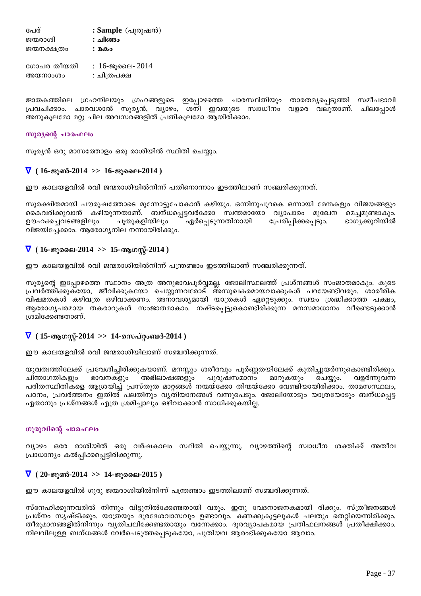പേര് : Sample (പുരുഷൻ) ജന്മരാശി : **ചിങ്ങം** ജന്മനക്ഷത്രം : **മകം** ഗോചര തീയതി $\qquad$ : 16-ജൂലൈ- 2014 അയനാംശം $\qquad : \mathfrak{a}$ ിത്രപക്ഷ

ജാതകത്തിലെ ഗ്രഹനിലയും ഗ്രഹങ്ങളുടെ ഇപ്പോഴത്തെ ചാരസ്ഥിതിയും താരതമൃപ്പെടുത്തി സമീപഭാവി ്രപവചിക്കാം. ചാരവശാൽ സുര്യൻ, വ്യാഴം, ശനി ഇവയുടെ സ്വാധീനം വളരെ വലുതാണ്. ചിലപോൾ അനുകൂലമോ മറ്റു ചില അവസരങ്ങളിൽ പ്രതികൂലമോ ആയിരിക്കാം.

## സൂര്യന്റെ ചാരഫലം

സൂര്യൻ ഒരു മാസത്തോളം ഒരു രാശിയിൽ സ്ഥിതി ചെയ്യും.

## $\nabla$  ( 16-ജുൺ-2014 >> 16-ജുലൈ-2014 )

ഈ കാലയളവിൽ രവി ജന്മരാശിയിൽനിന്ന് പതിനൊന്നാം ഇടത്തിലാണ് സഞ്ചരിക്കുന്നത്.

സുരക്ഷിതമായി പൗരുഷത്തോടെ മുന്നോട്ടുപോകാൻ കഴിയും. ഒന്നിനുപുറകെ ഒന്നായി മേന്മകളും വിജയങ്ങളും .കൈവരിക്കുവാൻ കഴിയുന്നതാണ്. ബന്ധപ്പെട്ടവർക്കോ സ്വന്തമായോ വ്യാപാരം മുഖേന മെച്ചമുണ്ടാകും.<br>ഊഹക്കച്ചവടങ്ങളിലും ചുതുകളിയിലും ഏർപ്പെടുന്നതിനായി പ്രേരിപിക്കപ്പെടും. ഭാഗൃക്കുറിയിൽ ഉൗഹക്കച്ചവടങ്ങളിലും വിജയിച്ചേക്കാം. ആരോഗ്യനില നന്നായിരിക്കും.

## ∇ **( 16-Pqsse-2014 >> 15-BKÌv-2014 )**

ഈ കാലയളവിൽ രവി ജന്മരാശിയിൽനിന്ന് പന്ത്രണ്ടാം ഇടത്തിലാണ് സഞ്ചരിക്കുന്നത്.

സൂര്യന്റെ ഇപ്പോഴത്തെ സ്ഥാനം അത്ര അനുഭാവപൂർവ്വമല്ല. ജോലിസ്ഥലത്ത് പ്രശ്നങ്ങൾ സംജാതമാകും. കൂടെ ്പ്രവർത്തിക്കുക്യോ, ജീവിക്കുകയോ ചെയ്യുന്നവരോട് അസുഖകരമായവാക്കുകൾ പറയേണ്ടിവരും. ശാരീരിക വിഷമതകൾ കഴിവത്ര ഒഴിവാക്കണം. അനാവശ്യമായി യാത്രകൾ ഏറ്റെടുക്കും. സ്വയം ശ്രദ്ധിക്കാത്ത പക്ഷം, ആരോഗൃപരമായ തകരാറുകൾ സംജാതമാകാം. നഷ്ടപ്പെട്ടുകൊണ്ടിരിക്കുന്ന മനസമാധാനം വീണ്ടെടുക്കാൻ ⊺ശമിക്കേണ്ടതാണ്.

## $∇$  (15-ആഗസ്റ്-2014 >> 14-സെപ്റ്റംബർ-2014 )

ഈ കാലയളവിൽ രവി ജന്മരാശിയിലാണ് സഞ്ചരിക്കുന്നത്.

യുവത്വത്തിലേക്ക് പ്രവേശിച്ചിരിക്കുകയാണ്. മനസ്സും ശരീരവും പൂർണ്ണതയിലേക്ക് കുതിച്ചുയർന്നുകൊണ്ടിരിക്കും.<br>ചിന്താഗതികളും ഭാവനകളും അഭിലാഷങ്ങളും പുരുഷസമാനം മാറുകയും ചെയ്യും. വളർന്നുവന്ന അഭിലാഷങ്ങളും പുരുഷസമാനം മാറുകയും ചെയ്യും. ിപരിതസ്ഥിതികളെ ആശ്രയിച്ച് പ്രസ്തുത മാറ്റങ്ങൾ നന്മയ്ക്കോ തിന്മയ്ക്കോ വേണ്ടിയായിരിക്കാം. താമസസ്ഥലം, പഠനം, പ്രവർത്തനം ഇതിൽ പലതിനും വ്യതിയാനങ്ങൾ വന്നുപെടും. ജോലിയോടും യാത്രയോടും ബന്ധപെട്ട ഏതാനും പ്രശ്നങ്ങൾ എത്ര ശ്രമിച്ചാലും ഒഴിവാക്കാൻ സാധിക്കുകയില്ല.

## ്റുരുവിന്റെ ചാരഫലം

വ്യാഴം ഒരേ രാശിയിൽ ഒരു വർഷകാലം സ്ഥിതി ചെയ്യുന്നു. വ്യാഴത്തിന്റെ സ്വാധീന ശക്തിക്ക് അതീവ പ്രാധാന്യം കൽപ്പിക്കപ്പെട്ടിരിക്കുന്നു.

## $\nabla$  ( 20-ജൂൺ-2014  $\gg$  14-ജൂലൈ-2015 )

ഈ കാലയളവിൽ ഗുരു ജന്മരാശിയിൽനിന്ന് പന്ത്രണ്ടാം ഇടത്തിലാണ് സഞ്ചരിക്കുന്നത്.

\_സ്നേഹിക്കുന്നവരിൽ നിന്നും വിട്ടുനിൽക്കേണ്ടതായി വരും. ഇതു വേദനാജനകമായി രിക്കും. സ്ത്രീജനങ്ങൾ ്പ്രശ്നം സൃഷ്ടിക്കും. യാത്രയും ദൂരദേശവാസവും ഉണ്ടാവും. കണക്കുകൂട്ടലുകൾ പലതും തെറ്റിയെന്നിരിക്കും. തീരുമാനങ്ങളിൽനിന്നും വൃതിചലിക്കേണ്ടതായും വന്നേക്കാം. ദൂരവ്യാപകമായ പ്രതിഫലനങ്ങൾ ്പ്രതീക്ഷിക്കാം. നിലവിലുള്ള ബന്ധങ്ങൾ വേർപെടുത്തപ്പെടുകയോ, പുതിയവ ആരംഭിക്കുകയോ ആവാം.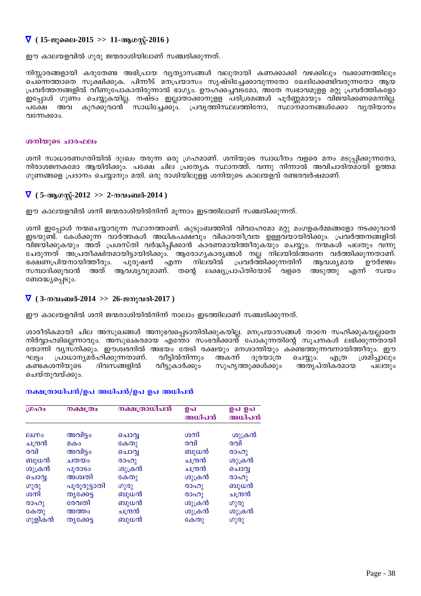# $\nabla$  ( 15-ജുലൈ-2015 >> 11-ആഗസ്ല്-2016 )

ഈ കാലയളവിൽ ഗുരു ജന്മരാശിയിലാണ് സഞ്ചരിക്കുന്നത്.

നിസ്സാരങ്ങളായി കരുതേണ്ട അഭിപ്രായ വ്യത്യാസങ്ങൾ വലുതായി കണക്കാക്കി വഴക്കിലും വക്കാണത്തിലും ്കച്നെത്താതെ സുക്ഷിക്കുക. പിന്നീട് മനപ്രയാസം സൃഷ്ടിച്ചേക്കാവുന്നതോ ഖേദിക്കേണ്ടിവരുന്നതോ ആയ  ${[}\mathrm{h}$ വർത്തനങ്ങളിൽ വീണുപോകാതിരുന്നാൽ ഭാഗ്യം. ഊഹക്കച്ചവടമോ, അതേ സ്വഭാവമുള്ള മറ്റു പ്രവർത്തികളോ ഇപ്പോൾ ഗുണം ചെയ്യുകയില്ല. നഷ്ടം ഇല്ലാതാക്കാനുളള പരിശ്രമങ്ങൾ പൂർണ്ണമായും വിജയിക്കണമെന്നില്ല. ്പക്ഷേ അവ കുറക്കുവാൻ് സാധിച്ചേക്കും. പ്രവൃത്തിസ്ഥലത്തിനോ, സ്ഥാനമാനങ്ങൾക്കോ വൃതിയാനം വന്നേക്കാം.

### **iomlogies absolute**

ശനി സാധാരണഗതിയിൽ ദുഃഖം തരുന്ന ഒരു ഗ്രഹമാണ്. ശനിയുടെ സ്വാധീനം വളരെ മനം മടുപ്പിക്കുന്നതോ,  $\,$ നിരാശജനകമോ ആയിരിക്കും. പക്ഷേ ചില പ്രത്യേക സ്ഥാനത്ത്. വന്നു നിന്നാൽ അവിചാരിതമായി ഉത്തമ  $\Omega$ ഗുണങ്ങളെ പ്രദാനം ചെയ്യാനും മതി. ഒരു രാശിയിലുളള ശനിയുടെ കാലയളവ് രണ്ടരവർഷമാണ്.

## $\nabla$  (5-ആഗസ്-2012 >> 2-നവംബർ-2014 )

ഈ കാലയളവിൽ ശനി ജന്മരാശിയിൽനിന്ന് മൂന്നാം ഇടത്തിലാണ് സഞ്ചരിക്കുന്നത്.

ശനി ഇപ്പോൾ നന്മചെയ്യാവുന്ന സ്ഥാനത്താണ്. കുടുംബത്തിൽ വിവാഹമോ മറ്റു മംഗളകർമ്മങ്ങളോ നടക്കുവാൻ CSbp−v. tIÄ¡p¶ hmÀ¯IÄ A[nI]£hpw hnImcXo{hX DÅhbmbncn¡pw. {]hÀ¯\§fnÂ വിജയിക്കുകയും അത് പ്രശസ്തി വർദ്ധിപ്പിക്കാൻ കാരണമായിത്തീരുകയും ചെയ്യും. നന്മകൾ പലതും വന്നു ്പേരുന്നത് അപ്രതീക്ഷിതമായിട്ടായിരിക്കും. ആരോഗ്യകാര്യങ്ങൾ നല്ല നിലയിൽത്തന്നെ വർത്തിക്കുന്നതാണ്. ഭക്ഷണപ്രിയനായിത്തീരും. പുരുഷൻ എന്ന നിലയിൽ പ്രവർത്തിക്കുന്നതിന് ആവശ്യമായ ഊർജ്ജം സമ്പാദിക്കുവാൻ അത് ആവശ്യവുമാണ്. തന്റെ ലക്ഷ്യപ്രാപ്തിയോട് വളരെ അടുത്തു എന്ന് സ്വയം ബോദ്ധ്യപ്പെടും.

## $\nabla$  ( 3-നവംബർ-2014 >> 26-ജനുവരി-2017 )

ഈ കാലയളവിൽ ശനി ജന്മരാശിയിൽനിന്ന് നാലാം ഇടത്തിലാണ് സഞ്ചരിക്കുന്നത്.

ശാരീരികമായി ചില അസുഖങ്ങൾ അനുഭവപ്പെടാതിരിക്കുകയില്ല. മനപ്രയാസങ്ങൾ താനേ സഹിക്കുകയല്ലാതെ  $\dot{m}$ ിർവ്വാഹമില്ലെന്നാവും. അസുഖകരമായ എന്തോ സംഭവിക്കാന്ദ് പോകുന്നതിന്റെ സൂചനകൾ ലഭിക്കുന്നതായി യോന്നി വൃസ്നിക്കും. ഈശ്വരനിൽ അഭയം തേടി രക്ഷയും മനശാന്തിയും കണ്ടെത്തുന്നവനായിത്തീരും. ഈ ഘട്ടം പ്രാധാന്യമർഹിക്കുന്നതാണ്. വീട്ടിൽനിന്നും അകന്ന് ദൂരയാത്ര ചെയ്യും. എത്ര ശ്രമിച്ചാലും<br>കണ്ടകശനിയുടെ ദിവസങ്ങളിൽ വീട്ടുകാർക്കും സുഹൃത്തുക്കൾക്കും അതൃപ്തികരമായ പലതും −സുഹൃത്തുക്കൾക്കും അതൃപ്തികരമായ പലതും ചെയ്തുവയ്ക്കും.

### $\Delta$

| ശ്രഹം        | നക്ഷത്രം     | നക്ഷത്രാധിപൻ | ഉപ<br>അധിപൻ | ഉപ ഉപ<br>അധിപൻ |
|--------------|--------------|--------------|-------------|----------------|
| <b>Alupo</b> | അവിട്ടം      | ചൊവ          | ശനി         | ശുക്രൻ         |
| ചന്ദ്രൻ      | മകം          | കേതു         | രവി         | രവി            |
| രവി          | അവിട്ടം      | ചൊവൃ         | ബുധൻ        | രാഹു           |
| ബുധൻ         | ചതയം         | രാഹു         | ചന്ദ്രൻ     | ശുക്രൻ         |
| ശുക്രൻ       | പൂരാടം       | ശുക്രൻ       | ചന്ദ്രൻ     | ചൊവ            |
| ചൊവൃ         | അശ്വതി       | കേതു         | ശുക്രൻ      | (0000)         |
| ഗുരു         | പൂരൂരുട്ടാതി | ഗുരു         | (0000)      | ബുധൻ           |
| ശനി          | തൃക്കേട്ട    | ബുധൻ         | (000)       | ചന്ദ്രൻ        |
| രാഹു         | രേവതി        | ബുധൻ         | ശുക്രൻ      | ഗുരു           |
| കേതു         | അത്തം        | ചന്ദ്രൻ      | ശുക്രൻ      | ശുക്രൻ         |
| ഗുളികൻ       | തൃക്കേട്ട    | ബുധൻ         | കേതു        | ഗുരു           |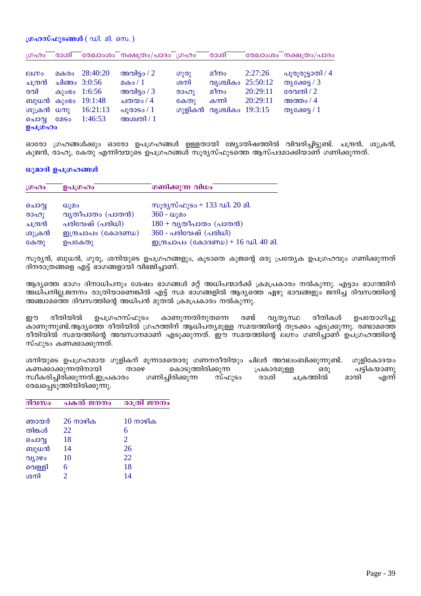### ഗ്രഹസ്ഫുടങ്ങൾ  $(\omega$ ി. മി. സെ.)

| ഗ്രഹം        | രാശി        |                    | രേഖാംശം നക്ഷത്രം/പാദം ഗ്രഹം |        | രാശി                    |          | രേഖാംശം നക്ഷത്രം/പാദം |
|--------------|-------------|--------------------|-----------------------------|--------|-------------------------|----------|-----------------------|
| <b>AIODO</b> | മകരം        | 28:40:20           | അവിട്ടം / $2$               | ഗുരു   | മീനം                    | 2:27:26  | പൂരൂരുട്ടാതി / 4      |
| ചന്ദ്രൻ      |             | ചിങ്ങം 3:0:56      | മകം / $1$                   | ശനി    | വൃശ്ചികം 25:50:12       |          | തൃക്കേട്ട / 3         |
| രവി          |             | കുംഭം 1:6:56       | അവിട്ടം / $3$               | (0000) | മീനം                    | 20:29:11 | രേവതി / 2             |
|              |             | ബുധൻ കുംഭം 19:1:48 | ചതയം / 4                    | കേതു   | കന്നി                   | 20:29:11 | അത്തം / $4$           |
| ശുക്രൻ ധനു   |             | 16:21:13           | പുരാടം / $1$                |        | ഗുളികൻ വൃശ്ചികം 19:3:15 |          | തൃക്കേട്ട / $1$       |
| ചൊവ          | <b>GOSO</b> | 1:46:53            | അശ്വതി / $1$                |        |                         |          |                       |
| ഉപഗ്രഹം      |             |                    |                             |        |                         |          |                       |

ഓരോ ഗ്രഹങ്ങൾക്കും ഓരോ ഉപഗ്രഹങ്ങൾ ഉള്ളതായി ജ്യോതിഷത്തിൽ വിവരിച്ചിട്ടുണ്ട്. ചന്ദ്രൻ, ശുക്രൻ, കുജൻ, രാഹു, കേതു എന്നിവയുടെ ഉപഗ്രഹങ്ങൾ സൂര്യസ്ഫുടത്തെ ആസ്പദമാക്കിയാണ് ഗണിക്കുന്നത്.

ധുമാദി ഉപഗ്രഹങ്ങൾ

| ഗ്രഹം   | ഉപഗ്രഹം                       | ഗണിക്കുന്ന വിധം                             |
|---------|-------------------------------|---------------------------------------------|
| ചൊവ്വ   | W <sub>1</sub> Q <sub>0</sub> | സൂര്യസ്ഫുടം + 133 ഡി. 20 മി.                |
| രാഹു    | വ്യതീപാതം (പാതൻ)              | $360 - \omega$ ുമം                          |
| ചന്ദ്രൻ | പരിവേഷ് (പരിധി)               | $180 + \alpha$ ൃതീപാതം (പാതൻ)               |
| ശുക്രൻ  | ഇന്ദ്രചാപം (കോദണ്ഡ)           | $360$ - പരിവേഷ് (പരിധി)                     |
| കേതു    | ഉപകേതു                        | <u> ഇന്ദ്രചാപം</u> (കോദണ്ഡ) + 16 ഡി. 40 മി. |

സുര്യൻ, ബുധൻ, ഗുരു, ശനിയുടെ ഉപഗ്രഹങ്ങളും, കൂടാതെ കുജന്റെ ഒരു പ്രത്യേക ഉപഗ്രഹവും ഗണിക്കുന്നത് ദിനരാത്രങ്ങളെ എട്ട് ഭാഗങ്ങളായി വിഭജിച്ചാണ്.

ആദ്യത്തെ ഭാഗം ദിനാധിപനും ശേഷം ഭാഗങ്ങൾ മറ്റ് അധിപന്മാർക്ക് ക്രമപ്രകാരം നൽകുന്നു. എട്ടാം ഭാഗത്തിന് അധിപനില്ല.ജനനം രാത്രിയാണെങ്കിൽ എട്ട് സമ ഭാഗങ്ങളിൽ ആദ്യത്തെ ഏഴു ഭാവങ്ങളും ജനിച്ച ദിവസത്തിന്റെ അഞ്ചാമത്തെ ദിവസത്തിന്റെ അധിപൻ മുതൽ ക്രമപ്രകാരം നൽകുന്നു.

ഉപഗ്രഹസ്ഫുടം രീതികൾ ഈ രീതിയിൽ കാണുന്നതിനുതന്നെ രണ്ട് വ്യത്യസ്ഥ ഉപയോഗിച്ചു കാണുന്നുണ്ട്.ആദ്യത്തെ രീതിയിൽ ഗ്രഹത്തിന് ആധിപത്യമുള്ള സമയത്തിന്റെ തുടക്കം എടുക്കുന്നു. രണ്ടാമത്തെ രീതിയിൽ സമയത്തിന്റെ അവസാനമാണ് എടുക്കുന്നത്. ഈ സമയത്തിന്റെ ലഗ്നം ഗണിച്ചാണ് ഉപഗ്രഹത്തിന്റെ സ്ഫുടം കണക്കാക്കുന്നത്.

ശനിയുടെ ഉപഗ്രഹമായ ഗുളികന് മുന്നാമതൊരു ഗണനരീതിയും ചിലർ അവലംബിക്കുന്നുണ്ട്. ഗുളികോദയം കണക്കാക്കുന്നതിനായി കൊടുത്തിരിക്കുന്ന പട്ടികയാണു താഴെ പ്രകാരമുള്ള ഒരു സ്വീകരിച്ചിരിക്കുന്നത്.ഇപ്രകാരം ഗണിച്ചിരിക്കുന്ന സ്ഫുടം രാശി ചക്തതിൽ മാന്ദി എന്ന് രേഖപ്പെടുത്തിയിരിക്കുന്നു.

| $\overline{\text{3}}\overline{\text{2}}\text{1}$ | പകൽ ജനനം                   | രാത്രി ജനനം    |
|--------------------------------------------------|----------------------------|----------------|
|                                                  |                            |                |
| ഞായർ                                             | $26 \text{ m}$ ഴിക         | 10 നാഴിക       |
| തിങ്കൾ                                           | 22                         | 6              |
| ചൊവൃ                                             | 18                         | $\overline{2}$ |
| ബുധൻ                                             | 14                         | 26             |
| വ്യാഴം                                           | 10                         | 22             |
| വെള്ളി                                           | 6                          | 18             |
| ശനി                                              | $\mathcal{D}_{\mathbb{C}}$ | 14             |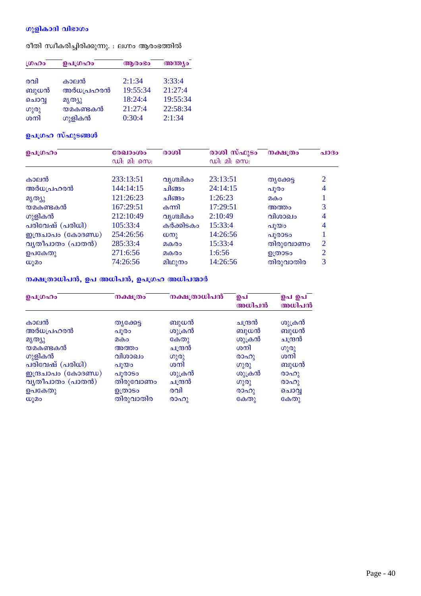# ഗുളികാദി വിഭാഗം

രീതി സ്വീകരിച്ചിരിക്കുന്നു. : ലഗ്നം ആരംഭത്തിൽ

| LOADO | ഉപഗ്രഹം   | ആരംഭം    | അന്ത്യം  |  |
|-------|-----------|----------|----------|--|
|       |           |          |          |  |
| രവി   | കാലൻ      | 2:1:34   | 3:33:4   |  |
| ബുധൻ  | അർധപ്രഹരൻ | 19:55:34 | 21:27:4  |  |
| ചൊവൃ  | മൃത്യു    | 18:24:4  | 19:55:34 |  |
| ഗുരു  | യമകണ്ടകൻ  | 21:27:4  | 22:58:34 |  |
| ശനി   | ഗുളികൻ    | 0:30:4   | 2:1:34   |  |

# ഉപഗ്രഹ സ്ഫുടങ്ങൾ

| ഉപഗ്രഹം             | രേഖാംശം<br>ഡി: മി: സെ: | രാശി         | രാശി സ്ഫുടം<br>ഡി: മി: സെ: | നക്ഷത്രം  | a1030          |
|---------------------|------------------------|--------------|----------------------------|-----------|----------------|
| കാലൻ                | 233:13:51              | വൃശ്ചികം     | 23:13:51                   | തൃക്കേട്ട | 2              |
| അർധപ്രഹരൻ           | 144:14:15              | ചിങ്ങാ       | 24:14:15                   | പൂരാ      | 4              |
| മൃത്യു              | 121:26:23              | ചിങ്ങം       | 1:26:23                    | മകം       |                |
| യമകണ്ടകൻ            | 167:29:51              | കന്നി        | 17:29:51                   | അത്തം     | 3              |
| ഗുളികൻ              | 212:10:49              | വൃശ്ചികം     | 2:10:49                    | വിശാഖം    | 4              |
| പരിവേഷ് (പരിധി)     | 105:33:4               | കർക്കിടകം    | 15:33:4                    | പുയം      | 4              |
| ഇന്ദ്രചാപം (കോദണ്ഡ) | 254:26:56              | $(\omega_0)$ | 14:26:56                   | പൂരാടം    |                |
| വ്യതീപാതം (പാതൻ)    | 285:33:4               | മകരം         | 15:33:4                    | തിരുവോണം  | 2              |
| ഉപകേതു              | 271:6:56               | മകരം         | 1:6:56                     | ഉത്രാടം   | $\overline{2}$ |
| $\omega$ ) 20       | 74:26:56               | മിഥുനം       | 14:26:56                   | തിരുവാതിര | 3              |

# നക്ഷത്രാധിപൻ, ഉപ അധിപൻ, ഉപഗ്രഹ അധിപന്മാർ

| ഉപഗ്രഹം             | നക്ഷത്രം  | നക്ഷത്രാധിപൻ | ഉപ<br>അധിപൻ | ഉപ ഉപ<br>അധിപൻ |
|---------------------|-----------|--------------|-------------|----------------|
| കാലൻ                | തൃക്കേട്ട | ബുധൻ         | ചന്ദ്രൻ     | ശുക്രൻ         |
| അർധപ്രഹരൻ           | പൂരാ      | ശുക്രൻ       | ബുധൻ        | ബുധൻ           |
| മൃത്യു              | മകം       | കേതു         | ശുക്രൻ      | ചന്ദ്രൻ        |
| യമകണ്ടകൻ            | അത്തം     | ചന്ദ്രൻ      | ശനി         | ഗുരു           |
| ഗുളികൻ              | വിശാഖം    | ഗുരു         | രാഹു        | ശനി            |
| പരിവേഷ് (പരിധി)     | പൂയം      | ശനി          | (0)         | ബുധൻ           |
| ഇന്ദ്രചാപം (കോദണ്ഡ) | പൂരാടം    | ശുക്രൻ       | ശുക്രൻ      | രാഹു           |
| വൃതീപാതം (പാതൻ)     | തിരുവോണം  | ചന്ദ്രൻ      | ഗുരു        | രാഹു           |
| ഉപകേതു              | ഉത്രാടം   | രവി          | രാഹു        | ചൊവ            |
| ധൂമം                | തിരുവാതിര | രാഹു         | കേതു        | കേതു           |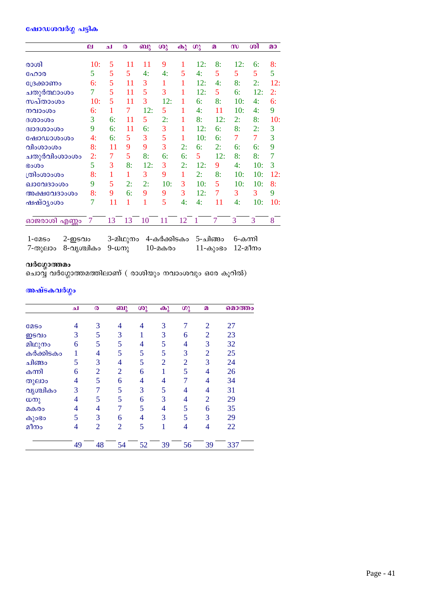## ഷോഡശവർഗ്ഗ പട്ടിക

|                            | $\mathbf{p}$ | ച  | $\boldsymbol{\omega}$ | ബു  | ശു  | കു | $\omega$ | $\boldsymbol{p}$ | m   | ശി  | മാ  |
|----------------------------|--------------|----|-----------------------|-----|-----|----|----------|------------------|-----|-----|-----|
| രാശി                       | 10:          | 5  | 11                    | 11  | 9   | 1  | 12:      | 8:               | 12: | 6:  | 8:  |
| ഹോര                        | 5            | 5  | 5                     | 4:  | 4:  | 5  | 4:       | 5                | 5   | 5   | 5   |
| ്രേക്കാണം                  | 6:           | 5  | 11                    | 3   | 1   | 1  | 12:      | 4:               | 8:  | 2:  | 12: |
| ചതുർത്ഥാംശം                | 7            | 5  | 11                    | 5   | 3   | 1  | 12:      | 5                | 6:  | 12: | 2:  |
| സപ്താംശം                   | 10:          | 5  | 11                    | 3   | 12: | 1  | 6:       | 8:               | 10: | 4:  | 6:  |
| നവാംശം                     | 6:           | 1  | 7                     | 12: | 5   | 1  | 4:       | 11               | 10: | 4:  | 9   |
| 0.000000                   | 3            | 6: | 11                    | 5   | 2:  | 1  | 8:       | 12:              | 2:  | 8:  | 10: |
| <b>GIOBOOOCOO</b>          | 9            | 6: | 11                    | 6:  | 3   | 1  | 12:      | 6:               | 8:  | 2:  | 3   |
| ഷോഡാശംശം                   | 4:           | 6: | 5                     | 3   | 5   | 1  | 10:      | 6:               | 7   | 7   | 3   |
| വിംശാംശം                   | 8:           | 11 | 9                     | 9   | 3   | 2: | 6:       | 2:               | 6:  | 6:  | 9   |
| ചതുർവിംശാംശം               | 2:           | 7  | 5                     | 8:  | 6:  | 6: | 5        | 12:              | 8:  | 8:  | 7   |
| <b>Bo</b> <sub>0</sub>     | 5            | 3  | 8:                    | 12: | 3   | 2: | 12:      | 9                | 4:  | 10: | 3   |
| ത്രിംശാംശം                 | 8:           | 1  | 1                     | 3   | 9   | 1  | 2:       | 8:               | 10: | 10: | 12: |
| ഖാവേദാംശം                  | 9            | 5  | 2:                    | 2:  | 10: | 3  | 10:      | 5                | 10: | 10: | 8:  |
| അക്ഷവേദാംശം                | 8:           | 9  | 6:                    | 9   | 9   | 3  | 12:      | 7                | 3   | 3   | 9   |
| ഷഷ്ഠൃംശം                   | 7            | 11 | 1                     | 1   | 5   | 4: | 4:       | 11               | 4:  | 10: | 10: |
| <mark>ഓജരാശി എണ്</mark> ണം | 7            | 13 | 13                    | 10  | 11  | 12 | 1        | $\overline{7}$   | 3   | 3   | 8   |

3-മിഥുനം 4-കർക്കിടകം 5-ചിങ്ങം 6-കന്നി  $1 -$  $050$  $2-$ ഇടവം 7-തുലാം 8-വൃശ്ചികം 9-ധനു  $10$ -മകരം 11-കുംഭം 12-മീനം

## വർഗ്ഗോത്തമം

ചൊവ്വ് വർഗ്ഗോത്തമത്തിലാണ് ( രാശിയും നവാംശവും ഒരേ കൂറിൽ)

# അഷ്ടകവർഗ്ഗം

|             | ا م | ര              | ബു             | ശു | കു             | $\omega$       | $\Omega$       | മൊത്തം |
|-------------|-----|----------------|----------------|----|----------------|----------------|----------------|--------|
| <b>COSO</b> | 4   | 3              | 4              | 4  | 3              | 7              | $\overline{2}$ | 27     |
| ഇടവം        | 3   | 5              | 3              | 1  | 3              | 6              | $\overline{2}$ | 23     |
| മിഥുനം      | 6   | 5              | 5              | 4  | 5              | 4              | 3              | 32     |
| കർക്കിടകം   |     | 4              | 5              | 5  | 5              | 3              | $\overline{2}$ | 25     |
| ചിങ്ങം      | 5   | 3              | 4              | 5  | $\overline{2}$ | $\overline{2}$ | 3              | 24     |
| കന്നി       | 6   | $\overline{2}$ | $\overline{2}$ | 6  |                | 5              | $\overline{4}$ | 26     |
| തുലാം       | 4   | 5              | 6              | 4  | 4              | 7              | 4              | 34     |
| വൃശ്ചികം    | 3   |                | 5              | 3  | 5              | 4              | $\overline{4}$ | 31     |
| ധനു         | 4   | 5              | 5              | 6  | 3              | 4              | $\overline{2}$ | 29     |
| മകരം        | 4   | 4              |                | 5  | 4              | 5              | 6              | 35     |
| കുാഭാ       | 5   | 3              | 6              | 4  | 3              | 5              | 3              | 29     |
| മീനം        | 4   | $\overline{2}$ | $\overline{2}$ | 5  | 1              | 4              | $\overline{4}$ | 22     |
|             | 49  | 48             | 54             | 52 | 39             | 56             | 39             | 337    |